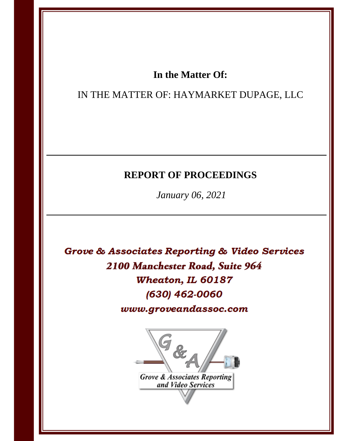## In the Matter Of:

## IN THE MATTER OF: HAYMARKET DUPAGE, LLC

# **REPORT OF PROCEEDINGS**

January 06, 2021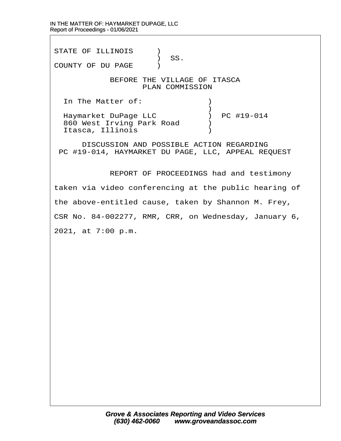STATE OF ILLINOIS )  $\big)$  SS. COUNTY OF DU PAGE )

## BEFORE THE VILLAGE OF ITASCA PLAN COMMISSION

In The Matter of:  $\qquad \qquad$  )

 $\hspace{0.5cm} \longrightarrow$ Haymarket DuPage LLC (a) PC #19-014 860 West Irving Park Road (b) Itasca, Illinois (1998)

DISCUSSION AND POSSIBLE ACTION REGARDING PC #19-014, HAYMARKET DU PAGE, LLC, APPEAL REQUEST

**REPORT OF PROCEEDINGS had and testimony** 

taken via video conferencing at the public hearing of

the above-entitled cause, taken by Shannon M. Frey,

CSR No. 84-002277, RMR, CRR, on Wednesday, January 6,

2021, at 7:00 p.m.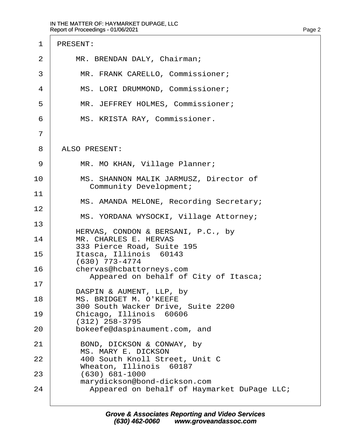| <b>PRESENT:</b><br>MR. BRENDAN DALY, Chairman;<br>MR. FRANK CARELLO, Commissioner;<br>MS. LORI DRUMMOND, Commissioner;<br>MR. JEFFREY HOLMES, Commissioner; |
|-------------------------------------------------------------------------------------------------------------------------------------------------------------|
|                                                                                                                                                             |
|                                                                                                                                                             |
|                                                                                                                                                             |
|                                                                                                                                                             |
|                                                                                                                                                             |
| MS. KRISTA RAY, Commissioner.                                                                                                                               |
|                                                                                                                                                             |
| <b>ALSO PRESENT:</b>                                                                                                                                        |
| MR. MO KHAN, Village Planner;                                                                                                                               |
| MS. SHANNON MALIK JARMUSZ, Director of<br><b>Community Development;</b>                                                                                     |
| MS. AMANDA MELONE, Recording Secretary;                                                                                                                     |
| MS. YORDANA WYSOCKI, Village Attorney;                                                                                                                      |
|                                                                                                                                                             |
| HERVAS, CONDON & BERSANI, P.C., by<br>MR. CHARLES E. HERVAS                                                                                                 |
| 333 Pierce Road, Suite 195<br>Itasca, Illinois 60143                                                                                                        |
| (630) 773-4774<br>chervas@hcbattorneys.com                                                                                                                  |
| Appeared on behalf of City of Itasca;                                                                                                                       |
| DASPIN & AUMENT, LLP, by<br>MS. BRIDGET M. O'KEEFE                                                                                                          |
| 300 South Wacker Drive, Suite 2200<br>Chicago, Illinois 60606                                                                                               |
| (312) 258-3795<br>bokeefe@daspinaument.com, and                                                                                                             |
| BOND, DICKSON & CONWAY, by<br><b>MS. MARY E. DICKSON</b>                                                                                                    |
| 400 South Knoll Street, Unit C                                                                                                                              |
| Wheaton, Illinois 60187<br>$(630) 681 - 1000$                                                                                                               |
| marydickson@bond-dickson.com<br>Appeared on behalf of Haymarket DuPage LLC;                                                                                 |
|                                                                                                                                                             |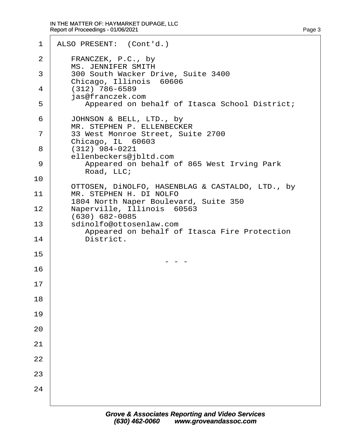| $\mathbf 1$ | ALSO PRESENT: (Cont'd.)                                                     |
|-------------|-----------------------------------------------------------------------------|
| 2           | FRANCZEK, P.C., by<br><b>MS. JENNIFER SMITH</b>                             |
| 3           | 300 South Wacker Drive, Suite 3400<br>Chicago, Illinois 60606               |
| 4           | $(312)$ 786-6589<br>jas@franczek.com                                        |
| 5           | Appeared on behalf of Itasca School District;                               |
| 6           | JOHNSON & BELL, LTD., by<br>MR. STEPHEN P. ELLENBECKER                      |
| 7<br>8      | 33 West Monroe Street, Suite 2700<br>Chicago, IL 60603<br>$(312)$ 984-0221  |
| 9           | ellenbeckers@jbltd.com<br>Appeared on behalf of 865 West Irving Park        |
| 10          | Road, LLC;                                                                  |
| 11          | OTTOSEN, DINOLFO, HASENBLAG & CASTALDO, LTD., by<br>MR. STEPHEN H. DI NOLFO |
| 12          | 1804 North Naper Boulevard, Suite 350<br>Naperville, Illinois 60563         |
| 13          | (630) 682-0085<br>sdinolfo@ottosenlaw.com                                   |
| 14          | Appeared on behalf of Itasca Fire Protection<br>District.                   |
| 15          |                                                                             |
| 16          |                                                                             |
| 17          |                                                                             |
| 18          |                                                                             |
| 19          |                                                                             |
| 20          |                                                                             |
| 21          |                                                                             |
| 22          |                                                                             |
| 23          |                                                                             |
| 24          |                                                                             |
|             |                                                                             |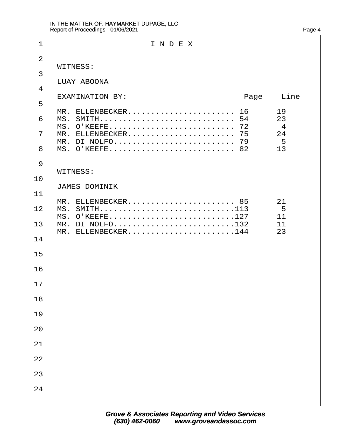| 1                   | INDEX                                                                    |
|---------------------|--------------------------------------------------------------------------|
| 2                   | <b>WITNESS:</b>                                                          |
| 3                   | <b>LUAY ABOONA</b>                                                       |
| 4                   | <b>EXAMINATION BY:</b><br>Page<br>Line                                   |
| 5                   | MR. ELLENBECKER 16<br>19                                                 |
| 6                   | 23<br>MS. O'KEEFE 72<br>$\overline{4}$                                   |
| $\overline{7}$<br>8 | MR. ELLENBECKER 75<br>24<br>MR. DI NOLFO 79<br>5<br>MS. O'KEEFE 82<br>13 |
| 9                   | <b>WITNESS:</b>                                                          |
| 10                  | <b>JAMES DOMINIK</b>                                                     |
| 11                  | MR. ELLENBECKER 85<br>21                                                 |
| 12 <sup>1</sup>     | MS. SMITH113<br>5<br>MS. O'KEEFE127<br>11                                |
| 14                  | 13 MR. DI NOLFO132<br>11<br>MR. ELLENBECKER144<br>23                     |
| 15                  |                                                                          |
| 16                  |                                                                          |
| 17                  |                                                                          |
| 18                  |                                                                          |
| 19                  |                                                                          |
| 20                  |                                                                          |
| 21                  |                                                                          |
| 22                  |                                                                          |
| 23                  |                                                                          |
| 24                  |                                                                          |
|                     |                                                                          |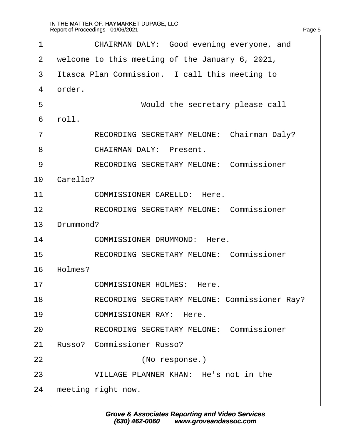| 1              | CHAIRMAN DALY: Good evening everyone, and       |
|----------------|-------------------------------------------------|
| $\overline{2}$ | welcome to this meeting of the January 6, 2021, |
| 3              | Itasca Plan Commission. I call this meeting to  |
| 4              | drder.                                          |
| 5              | Would the secretary please call                 |
| 6              | rbll.                                           |
| $\overline{7}$ | RECORDING SECRETARY MELONE: Chairman Daly?      |
| 8              | <b>CHAIRMAN DALY: Present.</b>                  |
| 9              | <b>RECORDING SECRETARY MELONE: Commissioner</b> |
| 10             | Carello?                                        |
| 11             | <b>COMMISSIONER CARELLO: Here.</b>              |
| 12             | <b>RECORDING SECRETARY MELONE: Commissioner</b> |
| 13             | Drummond?                                       |
| 14             | <b>COMMISSIONER DRUMMOND: Here.</b>             |
| 15             | <b>RECORDING SECRETARY MELONE: Commissioner</b> |
| 16             | Holmes?                                         |
| 17             | <b>COMMISSIONER HOLMES: Here.</b>               |
| 18             | RECORDING SECRETARY MELONE: Commissioner Ray?   |
| 19             | <b>COMMISSIONER RAY: Here.</b>                  |
| 20             | <b>RECORDING SECRETARY MELONE: Commissioner</b> |
| 21             | <b>Russo? Commissioner Russo?</b>               |
| 22             | (No response.)                                  |
| 23             | VILLAGE PLANNER KHAN: He's not in the           |
| 24             | meeting right now.                              |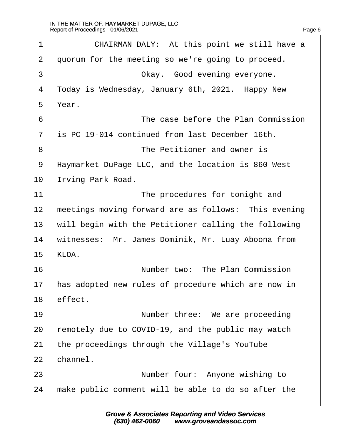$\Gamma$ 

| 1              | CHAIRMAN DALY: At this point we still have a         |
|----------------|------------------------------------------------------|
| 2              | quorum for the meeting so we're going to proceed.    |
| 3              | Okay. Good evening everyone.                         |
| 4              | Today is Wednesday, January 6th, 2021. Happy New     |
| 5              | Year.                                                |
| 6              | The case before the Plan Commission                  |
| $\overline{7}$ | is PC 19-014 continued from last December 16th.      |
| 8              | The Petitioner and owner is                          |
| 9              | Haymarket DuPage LLC, and the location is 860 West   |
| 10             | rving Park Road.                                     |
| 11             | The procedures for tonight and                       |
| 12             | meetings moving forward are as follows: This evening |
| 13             | will begin with the Petitioner calling the following |
| 14             | witnesses: Mr. James Dominik, Mr. Luay Aboona from   |
| 15             | KLOA.                                                |
| 16             | Number two: The Plan Commission                      |
| 17             | has adopted new rules of procedure which are now in  |
| 18             | effect.                                              |
| 19             | Number three: We are proceeding                      |
| 20             | remotely due to COVID-19, and the public may watch   |
| 21             | the proceedings through the Village's YouTube        |
| 22             | channel.                                             |
| 23             | Number four: Anyone wishing to                       |
| 24             | make public comment will be able to do so after the  |
|                |                                                      |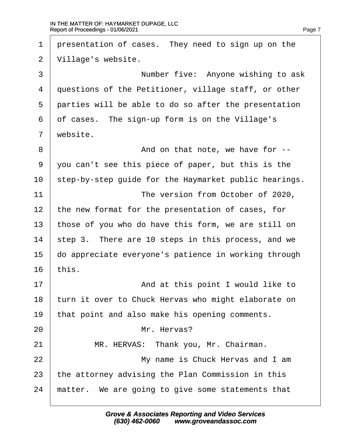1 presentation of cases. They need to sign up on the 2 Village's website. 3 **Number five: Anyone wishing to ask** 4 duestions of the Petitioner, village staff, or other 5 parties will be able to do so after the presentation 6 of cases. The sign-up form is on the Village's 7 website. 8 **8** And on that note, we have for --·9· ·you can't see this piece of paper, but this is the 10 step-by-step guide for the Haymarket public hearings. 11 **I** The version from October of 2020, 12 the new format for the presentation of cases, for 13 those of you who do have this form, we are still on 14 step 3. There are 10 steps in this process, and we 15 do appreciate everyone's patience in working through  $16$  this. 17 **And at this point I would like to** 18 turn it over to Chuck Hervas who might elaborate on 19 that point and also make his opening comments. 20 I Mr. Hervas? 21 | MR. HERVAS: Thank you, Mr. Chairman. 22 **I** My name is Chuck Hervas and I am 23 the attorney advising the Plan Commission in this 24 matter. We are going to give some statements that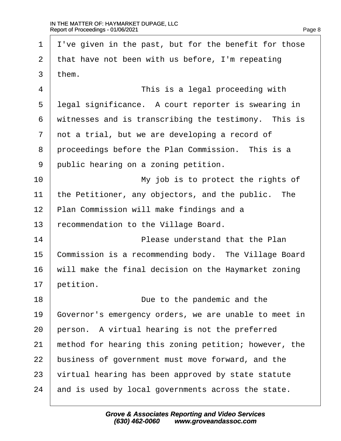1 Ive given in the past, but for the benefit for those 2 that have not been with us before, I'm repeating 3 them.  $\frac{4}{1}$  This is a legal proceeding with 5 legal significance. A court reporter is swearing in 6 witnesses and is transcribing the testimony. This is 7 not a trial, but we are developing a record of 8 proceedings before the Plan Commission. This is a 9 public hearing on a zoning petition. 10· · · · · · · · · · ·My job is to protect the rights of 11 the Petitioner, any objectors, and the public. The 12 Plan Commission will make findings and a 13 recommendation to the Village Board. 14 **I Please understand that the Plan** 15 Commission is a recommending body. The Village Board 16 will make the final decision on the Haymarket zoning 17 betition. 18 **Due to the pandemic and the** 19 Governor's emergency orders, we are unable to meet in 20 person. A virtual hearing is not the preferred 21 method for hearing this zoning petition; however, the 22 business of government must move forward, and the 23 virtual hearing has been approved by state statute 24 and is used by local governments across the state.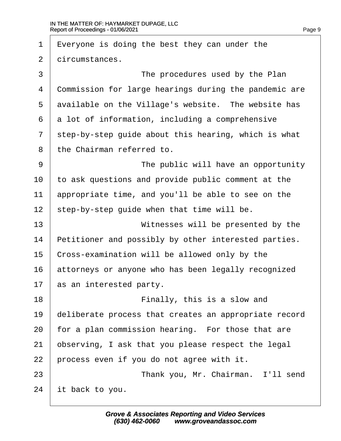| 1              | $E$ veryone is doing the best they can under the      |
|----------------|-------------------------------------------------------|
| $\overline{2}$ | dircumstances.                                        |
| 3              | The procedures used by the Plan                       |
| 4              | Commission for large hearings during the pandemic are |
| 5              | available on the Village's website. The website has   |
| 6              | a lot of information, including a comprehensive       |
| $\overline{7}$ | step-by-step guide about this hearing, which is what  |
| 8              | the Chairman referred to.                             |
| 9              | The public will have an opportunity                   |
| 10             | to ask questions and provide public comment at the    |
| 11             | appropriate time, and you'll be able to see on the    |
| 12             | step-by-step guide when that time will be.            |
| 13             | Witnesses will be presented by the                    |
| 14             | Petitioner and possibly by other interested parties.  |
| 15             | Cross-examination will be allowed only by the         |
| 16             | attorneys or anyone who has been legally recognized   |
| 17             | as an interested party.                               |
| 18             | Finally, this is a slow and                           |
| 19             | deliberate process that creates an appropriate record |
| 20             | for a plan commission hearing. For those that are     |
| 21             | observing, I ask that you please respect the legal    |
| 22             | process even if you do not agree with it.             |
| 23             | Thank you, Mr. Chairman. I'll send                    |
| 24             | it back to you.                                       |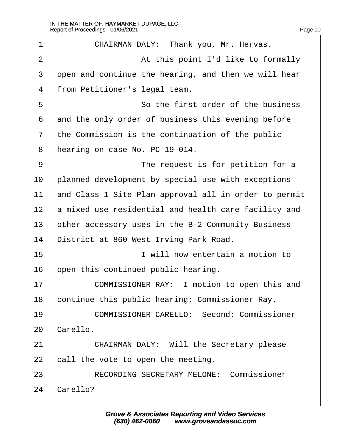| 1              | CHAIRMAN DALY: Thank you, Mr. Hervas.                 |
|----------------|-------------------------------------------------------|
| 2              | At this point I'd like to formally                    |
| 3              | open and continue the hearing, and then we will hear  |
| 4              | from Petitioner's legal team.                         |
| 5              | So the first order of the business                    |
| 6              | and the only order of business this evening before    |
| $\overline{7}$ | the Commission is the continuation of the public      |
| 8              | hearing on case No. PC 19-014.                        |
| 9              | The request is for petition for a                     |
| 10             | planned development by special use with exceptions    |
| 11             | and Class 1 Site Plan approval all in order to permit |
| 12             | a mixed use residential and health care facility and  |
| 13             | other accessory uses in the B-2 Community Business    |
| 14             | District at 860 West Irving Park Road.                |
| 15             | I will now entertain a motion to                      |
| 16             | open this continued public hearing.                   |
| 17             | COMMISSIONER RAY: I motion to open this and           |
| 18             | continue this public hearing; Commissioner Ray.       |
| 19             | <b>COMMISSIONER CARELLO: Second; Commissioner</b>     |
| 20             | Carello.                                              |
| 21             | <b>CHAIRMAN DALY: Will the Secretary please</b>       |
| 22             | call the vote to open the meeting.                    |
| 23             | <b>RECORDING SECRETARY MELONE: Commissioner</b>       |
| 24             | Carello?                                              |
|                |                                                       |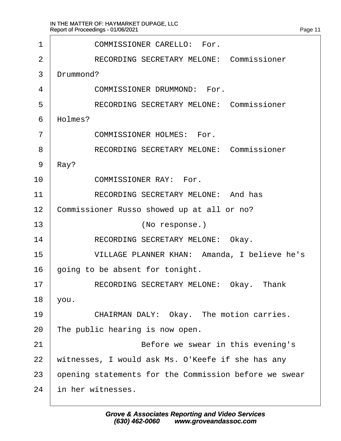| 1              | <b>COMMISSIONER CARELLO: For.</b>                     |
|----------------|-------------------------------------------------------|
| 2              | <b>RECORDING SECRETARY MELONE: Commissioner</b>       |
| 3              | Drummond?                                             |
| 4              | <b>COMMISSIONER DRUMMOND: For.</b>                    |
| 5              | <b>RECORDING SECRETARY MELONE: Commissioner</b>       |
| 6              | Holmes?                                               |
| $\overline{7}$ | <b>COMMISSIONER HOLMES: For.</b>                      |
| 8              | <b>RECORDING SECRETARY MELONE: Commissioner</b>       |
| 9              | Ray?                                                  |
| 10             | <b>COMMISSIONER RAY: For.</b>                         |
| 11             | <b>RECORDING SECRETARY MELONE: And has</b>            |
| 12             | Commissioner Russo showed up at all or no?            |
| 13             | (No response.)                                        |
| 14             | RECORDING SECRETARY MELONE: Okay.                     |
| 15             | VILLAGE PLANNER KHAN: Amanda, I believe he's          |
| 16             | going to be absent for tonight.                       |
| 17             | RECORDING SECRETARY MELONE: Okay. Thank               |
| 18             | you.                                                  |
| 19             | CHAIRMAN DALY: Okay. The motion carries.              |
| 20             | The public hearing is now open.                       |
| 21             | Before we swear in this evening's                     |
| 22             | witnesses, I would ask Ms. O'Keefe if she has any     |
| 23             | opening statements for the Commission before we swear |
| 24             | in her witnesses.                                     |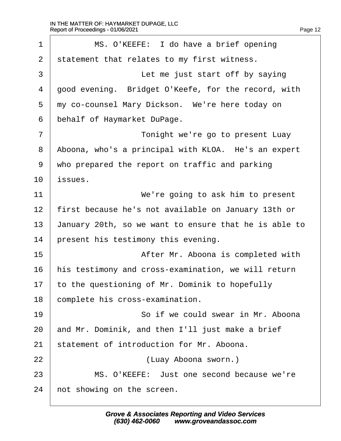$\Gamma$ 

| 1              | MS. O'KEEFE: I do have a brief opening                |
|----------------|-------------------------------------------------------|
| 2              | statement that relates to my first witness.           |
| 3              | Let me just start off by saying                       |
| 4              | good evening. Bridget O'Keefe, for the record, with   |
| 5              | my co-counsel Mary Dickson. We're here today on       |
| 6              | behalf of Haymarket DuPage.                           |
| $\overline{7}$ | Tonight we're go to present Luay                      |
| 8              | Aboona, who's a principal with KLOA. He's an expert   |
| 9              | who prepared the report on traffic and parking        |
| 10             | issues.                                               |
| 11             | We're going to ask him to present                     |
| 12             | first because he's not available on January 13th or   |
| 13             | January 20th, so we want to ensure that he is able to |
| 14             | present his testimony this evening.                   |
| 15             | After Mr. Aboona is completed with                    |
| 16             | his testimony and cross-examination, we will return   |
| 17             | to the questioning of Mr. Dominik to hopefully        |
| 18             | complete his cross-examination.                       |
| 19             | So if we could swear in Mr. Aboona                    |
| 20             | and Mr. Dominik, and then I'll just make a brief      |
| 21             | statement of introduction for Mr. Aboona.             |
| 22             | (Luay Aboona sworn.)                                  |
| 23             | MS. O'KEEFE: Just one second because we're            |
| 24             | not showing on the screen.                            |
|                |                                                       |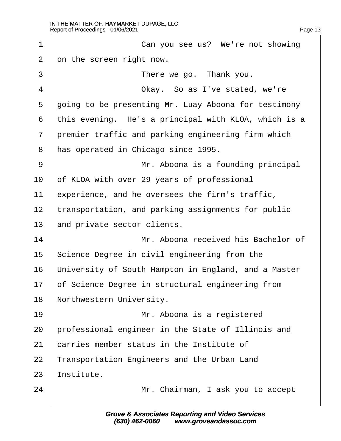| 1              | Can you see us? We're not showing                    |
|----------------|------------------------------------------------------|
| $\overline{2}$ | on the screen right now.                             |
| 3              | There we go. Thank you.                              |
| 4              | Okay. So as I've stated, we're                       |
| 5              | going to be presenting Mr. Luay Aboona for testimony |
| 6              | this evening. He's a principal with KLOA, which is a |
| $\overline{7}$ | premier traffic and parking engineering firm which   |
| 8              | has operated in Chicago since 1995.                  |
| 9              | Mr. Aboona is a founding principal                   |
| 10             | of KLOA with over 29 years of professional           |
| 11             | experience, and he oversees the firm's traffic,      |
| 12             | transportation, and parking assignments for public   |
| 13             | and private sector clients.                          |
| 14             | Mr. Aboona received his Bachelor of                  |
| 15             | Science Degree in civil engineering from the         |
| 16             | University of South Hampton in England, and a Master |
| 17             | of Science Degree in structural engineering from     |
| 18             | Northwestern University.                             |
| 19             | Mr. Aboona is a registered                           |
| 20             | professional engineer in the State of Illinois and   |
| 21             | carries member status in the Institute of            |
| 22             | Transportation Engineers and the Urban Land          |
| 23             | Institute.                                           |
| 24             | Mr. Chairman, I ask you to accept                    |
|                |                                                      |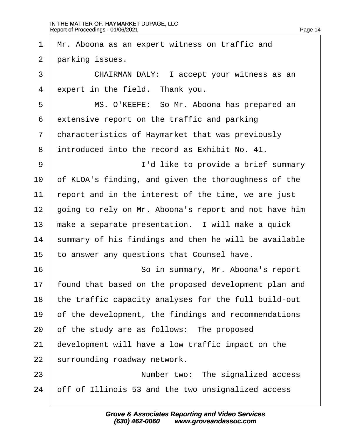1 Mr. Aboona as an expert witness on traffic and 2 parking issues. 3 **CHAIRMAN DALY: I accept your witness as an** 4 expert in the field. Thank you. 5 | MS. O'KEEFE: So Mr. Aboona has prepared an 6 extensive report on the traffic and parking 7 characteristics of Haymarket that was previously ·8· ·introduced into the record as Exhibit No. 41. 9 | I'd like to provide a brief summary 10 of KLOA's finding, and given the thoroughness of the 11 report and in the interest of the time, we are just 12 going to rely on Mr. Aboona's report and not have him 13 make a separate presentation. I will make a quick 14 summary of his findings and then he will be available 15 to answer any questions that Counsel have. 16 **So in summary, Mr. Aboona's report** 17 found that based on the proposed development plan and 18 the traffic capacity analyses for the full build-out 19 of the development, the findings and recommendations 20 of the study are as follows: The proposed 21 development will have a low traffic impact on the 22 surrounding roadway network. 23 **I** Number two: The signalized access 24 off of Illinois 53 and the two unsignalized access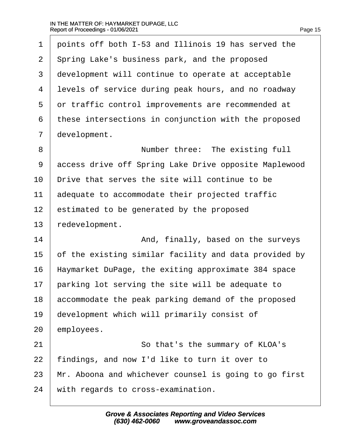| 1              | points off both I-53 and Illinois 19 has served the   |
|----------------|-------------------------------------------------------|
| $\overline{2}$ | Spring Lake's business park, and the proposed         |
| 3              | development will continue to operate at acceptable    |
| 4              | levels of service during peak hours, and no roadway   |
| 5              | or traffic control improvements are recommended at    |
| 6              | these intersections in conjunction with the proposed  |
| $\overline{7}$ | development.                                          |
| 8              | Number three: The existing full                       |
| 9              | access drive off Spring Lake Drive opposite Maplewood |
| 10             | Drive that serves the site will continue to be        |
| 11             | adequate to accommodate their projected traffic       |
| 12             | estimated to be generated by the proposed             |
| 13             | redevelopment.                                        |
| 14             | And, finally, based on the surveys                    |
| 15             | of the existing similar facility and data provided by |
| 16             | Haymarket DuPage, the exiting approximate 384 space   |
| 17             | parking lot serving the site will be adequate to      |
| 18             | accommodate the peak parking demand of the proposed   |
| 19             | development which will primarily consist of           |
| 20             | employees.                                            |
| 21             | So that's the summary of KLOA's                       |
| 22             | findings, and now I'd like to turn it over to         |
| 23             | Mr. Aboona and whichever counsel is going to go first |
| 24             | with regards to cross-examination.                    |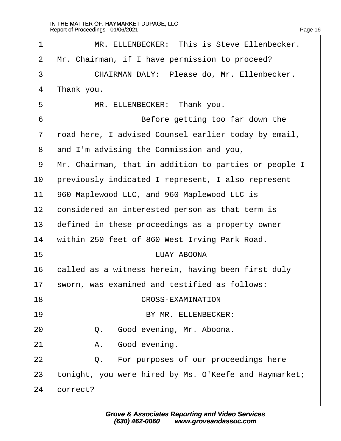| 1              | MR. ELLENBECKER: This is Steve Ellenbecker.           |
|----------------|-------------------------------------------------------|
| 2              | Mr. Chairman, if I have permission to proceed?        |
| 3              | CHAIRMAN DALY: Please do, Mr. Ellenbecker.            |
| 4              | Thank you.                                            |
| 5              | MR. ELLENBECKER: Thank you.                           |
| 6              | Before getting too far down the                       |
| $\overline{7}$ | road here, I advised Counsel earlier today by email,  |
| 8              | and I'm advising the Commission and you,              |
| 9              | Mr. Chairman, that in addition to parties or people I |
| 10             | previously indicated I represent, I also represent    |
| 11             | 960 Maplewood LLC, and 960 Maplewood LLC is           |
| 12             | considered an interested person as that term is       |
| 13             | defined in these proceedings as a property owner      |
| 14             | within 250 feet of 860 West Irving Park Road.         |
| 15             | <b>LUAY ABOONA</b>                                    |
| 16             | called as a witness herein, having been first duly    |
| 17             | sworn, was examined and testified as follows:         |
| 18             | <b>CROSS-EXAMINATION</b>                              |
| 19             | BY MR. ELLENBECKER:                                   |
| 20             | Good evening, Mr. Aboona.<br>Q.                       |
| 21             | Good evening.<br>А.                                   |
| 22             | For purposes of our proceedings here<br>Q.            |
| 23             | tonight, you were hired by Ms. O'Keefe and Haymarket; |
| 24             | correct?                                              |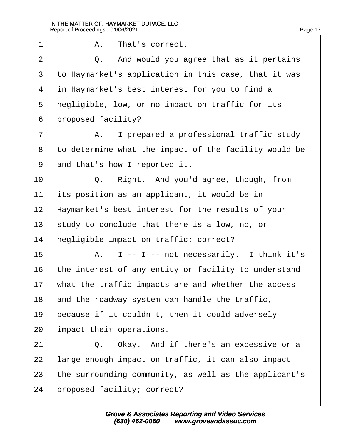| 1              | A. That's correct.                                    |
|----------------|-------------------------------------------------------|
| $\overline{2}$ | Q. And would you agree that as it pertains            |
| 3              | to Haymarket's application in this case, that it was  |
| 4              | in Haymarket's best interest for you to find a        |
| 5              | negligible, low, or no impact on traffic for its      |
| 6              | proposed facility?                                    |
| 7              | A. I prepared a professional traffic study            |
| 8              | to determine what the impact of the facility would be |
| 9              | and that's how I reported it.                         |
| 10             | Right. And you'd agree, though, from<br>Q.            |
| 11             | its position as an applicant, it would be in          |
| 12             | Haymarket's best interest for the results of your     |
| 13             | study to conclude that there is a low, no, or         |
| 14             | hegligible impact on traffic; correct?                |
| 15             | A. I -- I -- not necessarily. I think it's            |
| 16             | the interest of any entity or facility to understand  |
| 17             | what the traffic impacts are and whether the access   |
| 18             | and the roadway system can handle the traffic,        |
| 19             | because if it couldn't, then it could adversely       |
| 20             | Impact their operations.                              |
| 21             | Q. Okay. And if there's an excessive or a             |
| 22             | arge enough impact on traffic, it can also impact     |
| 23             | the surrounding community, as well as the applicant's |
| 24             | proposed facility; correct?                           |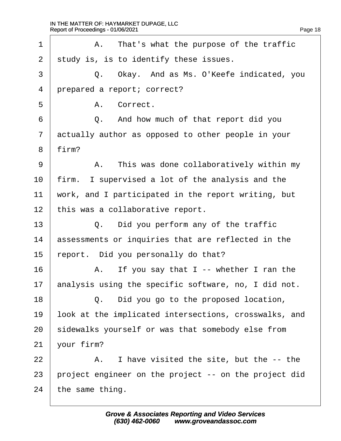| 1              | A. That's what the purpose of the traffic             |
|----------------|-------------------------------------------------------|
| $\overline{2}$ | study is, is to identify these issues.                |
| 3              | Q. Okay. And as Ms. O'Keefe indicated, you            |
| 4              | prepared a report; correct?                           |
| 5              | A. Correct.                                           |
| 6              | Q. And how much of that report did you                |
| $\overline{7}$ | actually author as opposed to other people in your    |
| 8              | firm?                                                 |
| 9              | A. This was done collaboratively within my            |
| 10             | firm. I supervised a lot of the analysis and the      |
| 11             | work, and I participated in the report writing, but   |
| 12             | this was a collaborative report.                      |
| 13             | Q. Did you perform any of the traffic                 |
| 14             | assessments or inquiries that are reflected in the    |
| 15             | report. Did you personally do that?                   |
| 16             | A. If you say that I -- whether I ran the             |
| 17             | analysis using the specific software, no, I did not.  |
| 18             | Q. Did you go to the proposed location,               |
| 19             | look at the implicated intersections, crosswalks, and |
| 20             | sidewalks yourself or was that somebody else from     |
| 21             | your firm?                                            |
| 22             | A. I have visited the site, but the -- the            |
| 23             | project engineer on the project -- on the project did |
| 24             | the same thing.                                       |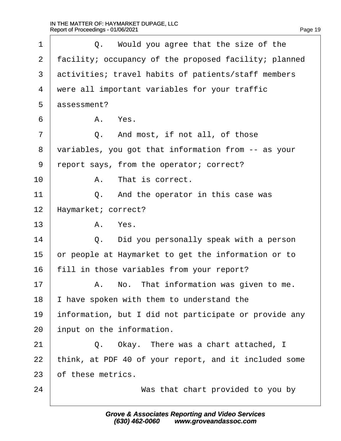| 1  | Q. Would you agree that the size of the               |
|----|-------------------------------------------------------|
| 2  | facility; occupancy of the proposed facility; planned |
| 3  | activities; travel habits of patients/staff members   |
| 4  | were all important variables for your traffic         |
| 5  | assessment?                                           |
| 6  | A. Yes.                                               |
| 7  | Q. And most, if not all, of those                     |
| 8  | variables, you got that information from -- as your   |
| 9  | report says, from the operator; correct?              |
| 10 | A. That is correct.                                   |
| 11 | Q. And the operator in this case was                  |
| 12 | Haymarket; correct?                                   |
| 13 | A. Yes.                                               |
| 14 | Q. Did you personally speak with a person             |
| 15 | or people at Haymarket to get the information or to   |
| 16 | fill in those variables from your report?             |
| 17 | A. No. That information was given to me.              |
| 18 | have spoken with them to understand the               |
| 19 | information, but I did not participate or provide any |
| 20 | input on the information.                             |
| 21 | Q. Okay. There was a chart attached, I                |
| 22 | think, at PDF 40 of your report, and it included some |
| 23 | of these metrics.                                     |
| 24 | Was that chart provided to you by                     |
|    |                                                       |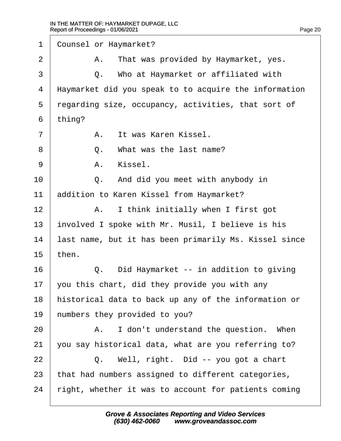| 1              | <b>Counsel or Haymarket?</b>                          |
|----------------|-------------------------------------------------------|
| 2              | A. That was provided by Haymarket, yes.               |
| 3              | Q. Who at Haymarket or affiliated with                |
| 4              | Haymarket did you speak to to acquire the information |
| 5              | regarding size, occupancy, activities, that sort of   |
| 6              | thing?                                                |
| $\overline{7}$ | A. It was Karen Kissel.                               |
| 8              | Q. What was the last name?                            |
| 9              | A. Kissel.                                            |
| 10             | Q. And did you meet with anybody in                   |
| 11             | addition to Karen Kissel from Haymarket?              |
| 12             | A. I think initially when I first got                 |
| 13             | involved I spoke with Mr. Musil, I believe is his     |
| 14             | last name, but it has been primarily Ms. Kissel since |
| 15             | then.                                                 |
| 16             | Q. Did Haymarket -- in addition to giving             |
| 17             | you this chart, did they provide you with any         |
| 18             | historical data to back up any of the information or  |
| 19             | humbers they provided to you?                         |
| 20             | A. I don't understand the question. When              |
| 21             | you say historical data, what are you referring to?   |
| 22             | Q. Well, right. Did -- you got a chart                |
| 23             | that had numbers assigned to different categories,    |
| 24             | right, whether it was to account for patients coming  |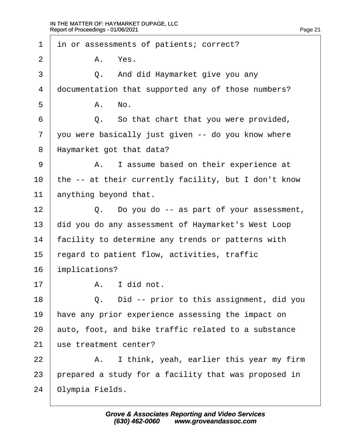| 1              | in or assessments of patients; correct?              |
|----------------|------------------------------------------------------|
| 2              | A. Yes.                                              |
| 3              | Q. And did Haymarket give you any                    |
| 4              | documentation that supported any of those numbers?   |
| 5              | A. No.                                               |
| 6              | Q. So that chart that you were provided,             |
| $\overline{7}$ | you were basically just given -- do you know where   |
| 8              | Haymarket got that data?                             |
| 9              | A. I assume based on their experience at             |
| 10             | the -- at their currently facility, but I don't know |
| 11             | anything beyond that.                                |
| 12             | Q. Do you do -- as part of your assessment,          |
| 13             | did you do any assessment of Haymarket's West Loop   |
| 14             | facility to determine any trends or patterns with    |
| 15             | egard to patient flow, activities, traffic           |
| 16             | mplications?                                         |
| 17             | A. I did not.                                        |
| 18             | Did -- prior to this assignment, did you<br>Q.       |
| 19             | have any prior experience assessing the impact on    |
| 20             | auto, foot, and bike traffic related to a substance  |
| 21             | use treatment center?                                |
| 22             | I think, yeah, earlier this year my firm<br>А.       |
| 23             | prepared a study for a facility that was proposed in |
| 24             | Olympia Fields.                                      |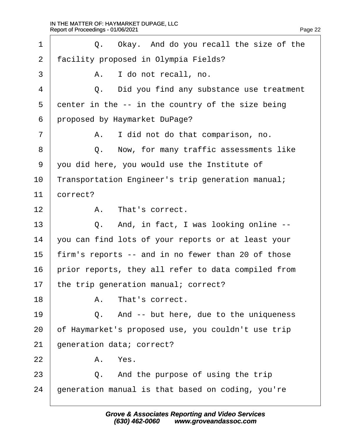| 1              | Q. Okay. And do you recall the size of the          |  |  |  |
|----------------|-----------------------------------------------------|--|--|--|
| 2              | facility proposed in Olympia Fields?                |  |  |  |
| 3              | I do not recall, no.<br>А.                          |  |  |  |
| 4              | Q. Did you find any substance use treatment         |  |  |  |
| 5              | denter in the -- in the country of the size being   |  |  |  |
| 6              | proposed by Haymarket DuPage?                       |  |  |  |
| $\overline{7}$ | I did not do that comparison, no.<br>А.             |  |  |  |
| 8              | Q. Now, for many traffic assessments like           |  |  |  |
| 9              | you did here, you would use the Institute of        |  |  |  |
| 10             | Transportation Engineer's trip generation manual;   |  |  |  |
| 11             | correct?                                            |  |  |  |
| 12             | A. That's correct.                                  |  |  |  |
| 13             | Q. And, in fact, I was looking online --            |  |  |  |
| 14             | you can find lots of your reports or at least your  |  |  |  |
| 15             | firm's reports -- and in no fewer than 20 of those  |  |  |  |
| 16             | prior reports, they all refer to data compiled from |  |  |  |
| 17             | the trip generation manual; correct?                |  |  |  |
| 18             | A. That's correct.                                  |  |  |  |
| 19             | Q. And -- but here, due to the uniqueness           |  |  |  |
| 20             | of Haymarket's proposed use, you couldn't use trip  |  |  |  |
| 21             | generation data; correct?                           |  |  |  |
| 22             | A. Yes.                                             |  |  |  |
| 23             | And the purpose of using the trip<br>Q.             |  |  |  |
| 24             | generation manual is that based on coding, you're   |  |  |  |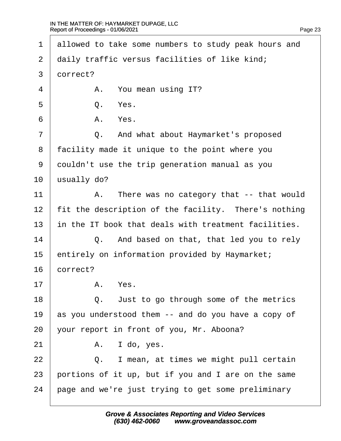1 allowed to take some numbers to study peak hours and 2 daily traffic versus facilities of like kind; 3 dorrect?  $4 \mid$  A. You mean using IT?  $5 \quad$  0. Yes.  $6$   $A$   $Yes$ . 7 | Q. And what about Haymarket's proposed 8 facility made it unique to the point where you 9 douldn't use the trip generation manual as you 10 **usually do?** 11  $\parallel$  A. There was no category that -- that would 12 fit the description of the facility. There's nothing 13 in the IT book that deals with treatment facilities.  $14$   $\Box$  Q. And based on that, that led you to rely 15 entirely on information provided by Haymarket; 16 correct?  $17$  A. Yes. 18  $\vert$  Q. Just to go through some of the metrics 19 as you understood them -- and do you have a copy of 20 your report in front of you, Mr. Aboona?  $21$  A. I do, yes.  $22$   $\Box$  Q. I mean, at times we might pull certain 23 bortions of it up, but if you and I are on the same 24 bage and we're just trying to get some preliminary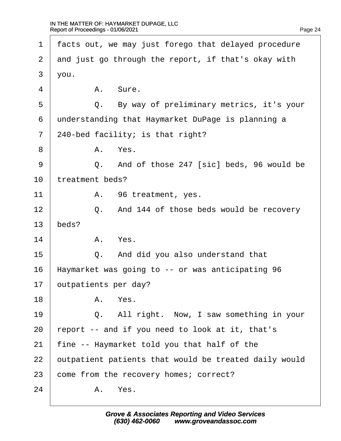| 1              | facts out, we may just forego that delayed procedure  |
|----------------|-------------------------------------------------------|
| 2              | and just go through the report, if that's okay with   |
| 3              | you.                                                  |
| 4              | A. Sure.                                              |
| 5              | Q. By way of preliminary metrics, it's your           |
| 6              | understanding that Haymarket DuPage is planning a     |
| $\overline{7}$ | 240-bed facility; is that right?                      |
| 8              | A. Yes.                                               |
| 9              | Q. And of those 247 [sic] beds, 96 would be           |
| 10             | treatment beds?                                       |
| 11             | A. 96 treatment, yes.                                 |
| 12             | Q. And 144 of those beds would be recovery            |
| 13             | beds?                                                 |
| 14             | A. Yes.                                               |
| 15             | Q. And did you also understand that                   |
| 16             | Haymarket was going to -- or was anticipating 96      |
| 17             | outpatients per day?                                  |
| 18             | A. Yes.                                               |
| 19             | Q. All right. Now, I saw something in your            |
| 20             | report -- and if you need to look at it, that's       |
| 21             | fine -- Haymarket told you that half of the           |
| 22             | putpatient patients that would be treated daily would |
| 23             | come from the recovery homes; correct?                |
| 24             | A. Yes.                                               |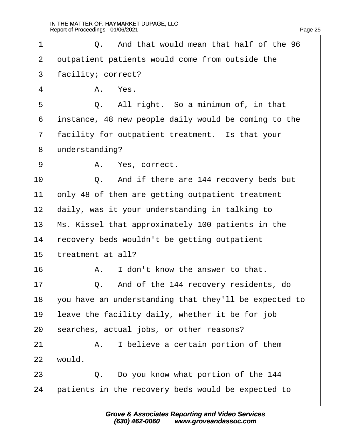| 1              | Q. And that would mean that half of the 96            |  |  |
|----------------|-------------------------------------------------------|--|--|
| 2              | dutpatient patients would come from outside the       |  |  |
| 3              | facility; correct?                                    |  |  |
| 4              | A. Yes.                                               |  |  |
| 5              | Q. All right. So a minimum of, in that                |  |  |
| 6              | instance, 48 new people daily would be coming to the  |  |  |
| $\overline{7}$ | facility for outpatient treatment. Is that your       |  |  |
| 8              | understanding?                                        |  |  |
| 9              | A. Yes, correct.                                      |  |  |
| 10             | Q. And if there are 144 recovery beds but             |  |  |
| 11             | only 48 of them are getting outpatient treatment      |  |  |
| 12             | daily, was it your understanding in talking to        |  |  |
| 13             | Ms. Kissel that approximately 100 patients in the     |  |  |
| 14             | recovery beds wouldn't be getting outpatient          |  |  |
| 15             | treatment at all?                                     |  |  |
| 16             | I don't know the answer to that.<br>А.                |  |  |
| 17             | And of the 144 recovery residents, do<br>Q.           |  |  |
| 18             | you have an understanding that they'll be expected to |  |  |
| 19             | eave the facility daily, whether it be for job        |  |  |
| 20             | searches, actual jobs, or other reasons?              |  |  |
| 21             | I believe a certain portion of them<br>А.             |  |  |
| 22             | would.                                                |  |  |
| 23             | Q. Do you know what portion of the 144                |  |  |
| 24             | patients in the recovery beds would be expected to    |  |  |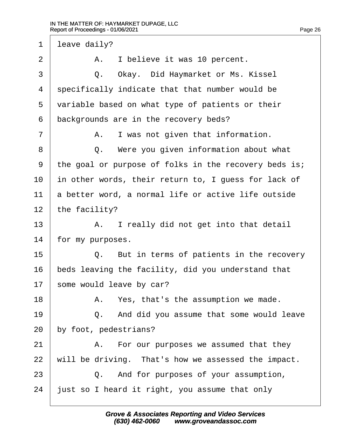1 leave daily? 2 | A. I believe it was 10 percent. 3 | Q. Okay. Did Haymarket or Ms. Kissel 4 specifically indicate that that number would be 5 variable based on what type of patients or their 6 backgrounds are in the recovery beds?  $7 \mid$  A. I was not given that information. 8 | Q. Were you given information about what ·9· ·the goal or purpose of folks in the recovery beds is; 10 in other words, their return to, I guess for lack of 11 a better word, a normal life or active life outside 12 the facility?  $13$  | A. I really did not get into that detail 14 for my purposes.  $15$   $\Box$  Q. But in terms of patients in the recovery 16 beds leaving the facility, did you understand that 17 some would leave by car?  $18$  | A. Yes, that's the assumption we made. 19  $\vert$  Q. And did you assume that some would leave 20 by foot, pedestrians?  $21$  | A. For our purposes we assumed that they 22 will be driving. That's how we assessed the impact.  $23$   $\Box$  Q. And for purposes of your assumption, 24 just so I heard it right, you assume that only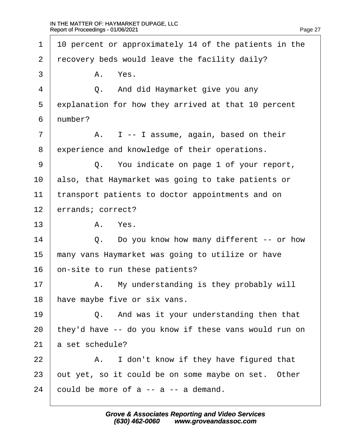| 1              | 10 percent or approximately 14 of the patients in the |
|----------------|-------------------------------------------------------|
| 2              | recovery beds would leave the facility daily?         |
| 3              | A. Yes.                                               |
| 4              | Q. And did Haymarket give you any                     |
| 5              | explanation for how they arrived at that 10 percent   |
| 6              | number?                                               |
| $\overline{7}$ | A. I -- I assume, again, based on their               |
| 8              | experience and knowledge of their operations.         |
| 9              | Q. You indicate on page 1 of your report,             |
| 10             | also, that Haymarket was going to take patients or    |
| 11             | transport patients to doctor appointments and on      |
| 12             | errands; correct?                                     |
| 13             | A. Yes.                                               |
| 14             | Q. Do you know how many different -- or how           |
| 15             | many vans Haymarket was going to utilize or have      |
| 16             | on-site to run these patients?                        |
| 17             | A. My understanding is they probably will             |
| 18             | have maybe five or six vans.                          |
| 19             | Q. And was it your understanding then that            |
| 20             | they'd have -- do you know if these vans would run on |
| 21             | a set schedule?                                       |
| 22             | A. I don't know if they have figured that             |
| 23             | put yet, so it could be on some maybe on set. Other   |
| 24             | could be more of a -- a -- a demand.                  |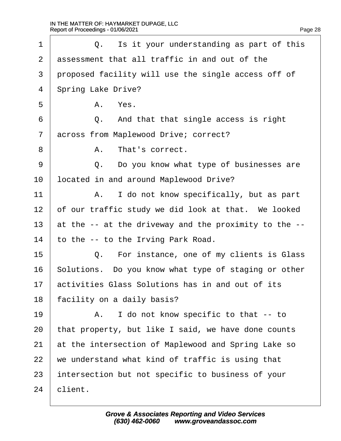| 1              | Q. Is it your understanding as part of this           |  |  |
|----------------|-------------------------------------------------------|--|--|
| 2              | assessment that all traffic in and out of the         |  |  |
| 3              | proposed facility will use the single access off of   |  |  |
| 4              | <b>Spring Lake Drive?</b>                             |  |  |
| 5              | A. Yes.                                               |  |  |
| 6              | Q. And that that single access is right               |  |  |
| $\overline{7}$ | across from Maplewood Drive; correct?                 |  |  |
| 8              | A. That's correct.                                    |  |  |
| 9              | Q. Do you know what type of businesses are            |  |  |
| 10             | located in and around Maplewood Drive?                |  |  |
| 11             | A. I do not know specifically, but as part            |  |  |
| 12             | of our traffic study we did look at that. We looked   |  |  |
| 13             | at the -- at the driveway and the proximity to the -- |  |  |
| 14             | to the -- to the Irving Park Road.                    |  |  |
| 15             | Q. For instance, one of my clients is Glass           |  |  |
| 16             | Solutions. Do you know what type of staging or other  |  |  |
| 17             | activities Glass Solutions has in and out of its      |  |  |
| 18             | facility on a daily basis?                            |  |  |
| 19             | A. I do not know specific to that -- to               |  |  |
| 20             | that property, but like I said, we have done counts   |  |  |
| 21             | at the intersection of Maplewood and Spring Lake so   |  |  |
| 22             | we understand what kind of traffic is using that      |  |  |
| 23             | intersection but not specific to business of your     |  |  |
| 24             | client.                                               |  |  |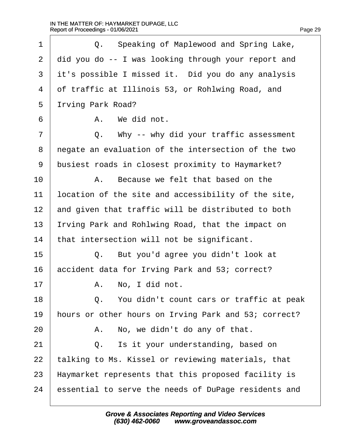| 1  |    | Q. Speaking of Maplewood and Spring Lake,            |
|----|----|------------------------------------------------------|
| 2  |    | did you do -- I was looking through your report and  |
| 3  |    | it's possible I missed it. Did you do any analysis   |
| 4  |    | of traffic at Illinois 53, or Rohlwing Road, and     |
| 5  |    | Irving Park Road?                                    |
| 6  |    | A. We did not.                                       |
| 7  |    | Q. Why -- why did your traffic assessment            |
| 8  |    | negate an evaluation of the intersection of the two  |
| 9  |    | busiest roads in closest proximity to Haymarket?     |
| 10 |    | A. Because we felt that based on the                 |
| 11 |    | location of the site and accessibility of the site,  |
| 12 |    | and given that traffic will be distributed to both   |
| 13 |    | rving Park and Rohlwing Road, that the impact on     |
| 14 |    | that intersection will not be significant.           |
| 15 | Q. | But you'd agree you didn't look at                   |
| 16 |    | accident data for Irving Park and 53; correct?       |
| 17 |    | A. No, I did not.                                    |
| 18 |    | Q. You didn't count cars or traffic at peak          |
| 19 |    | hours or other hours on Irving Park and 53; correct? |
| 20 |    | A. No, we didn't do any of that.                     |
| 21 | Q. | Is it your understanding, based on                   |
| 22 |    | talking to Ms. Kissel or reviewing materials, that   |
| 23 |    | Haymarket represents that this proposed facility is  |
| 24 |    | essential to serve the needs of DuPage residents and |
|    |    |                                                      |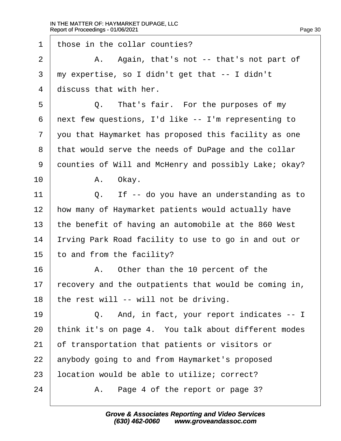Г

| 1              | those in the collar counties?                         |
|----------------|-------------------------------------------------------|
| $\overline{2}$ | A. Again, that's not -- that's not part of            |
| 3              | my expertise, so I didn't get that -- I didn't        |
| 4              | discuss that with her.                                |
| 5              | Q. That's fair. For the purposes of my                |
| 6              | next few questions, I'd like -- I'm representing to   |
| $\overline{7}$ | you that Haymarket has proposed this facility as one  |
| 8              | that would serve the needs of DuPage and the collar   |
| 9              | dounties of Will and McHenry and possibly Lake; okay? |
| 10             | A. Okay.                                              |
| 11             | Q. If -- do you have an understanding as to           |
| 12             | how many of Haymarket patients would actually have    |
| 13             | the benefit of having an automobile at the 860 West   |
| 14             | Irving Park Road facility to use to go in and out or  |
| 15             | to and from the facility?                             |
| 16             | A. Other than the 10 percent of the                   |
| 17             | recovery and the outpatients that would be coming in, |
| 18             | the rest will -- will not be driving.                 |
| 19             | Q. And, in fact, your report indicates -- I           |
| 20             | think it's on page 4. You talk about different modes  |
| 21             | of transportation that patients or visitors or        |
| 22             | anybody going to and from Haymarket's proposed        |
| 23             | ocation would be able to utilize; correct?            |
| 24             | Page 4 of the report or page 3?<br>А.                 |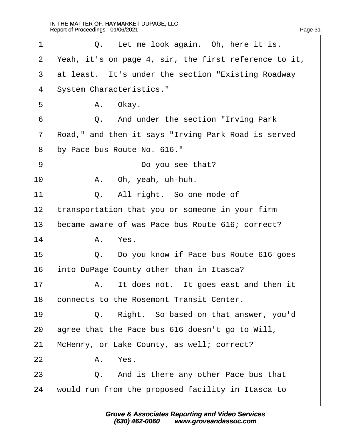| 1              | Q. Let me look again. Oh, here it is.                 |
|----------------|-------------------------------------------------------|
| 2              | Yeah, it's on page 4, sir, the first reference to it, |
| 3              | at least. It's under the section "Existing Roadway"   |
| 4              | <b>System Characteristics."</b>                       |
| 5              | A. Okay.                                              |
| 6              | Q. And under the section "Irving Park                 |
| $\overline{7}$ | Road," and then it says "Irving Park Road is served   |
| 8              | by Pace bus Route No. 616."                           |
| 9              | Do you see that?                                      |
| 10             | A. Oh, yeah, uh-huh.                                  |
| 11             | Q. All right. So one mode of                          |
| 12             | transportation that you or someone in your firm       |
| 13             | became aware of was Pace bus Route 616; correct?      |
| 14             | A. Yes.                                               |
| 15             | Do you know if Pace bus Route 616 goes<br>Q.          |
| 16             | into DuPage County other than in Itasca?              |
| 17             | A. It does not. It goes east and then it              |
| 18             | connects to the Rosemont Transit Center.              |
| 19             | Q. Right. So based on that answer, you'd              |
| 20             | agree that the Pace bus 616 doesn't go to Will,       |
| 21             | McHenry, or Lake County, as well; correct?            |
| 22             | A. Yes.                                               |
| 23             | Q. And is there any other Pace bus that               |
| 24             | would run from the proposed facility in Itasca to     |
|                |                                                       |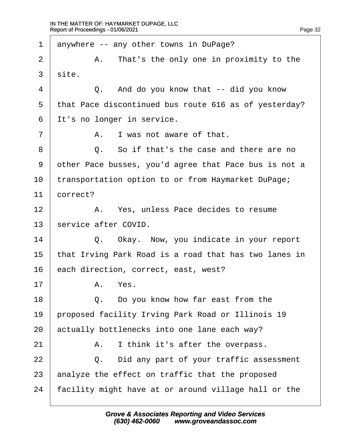| 1              |                                                       | anywhere -- any other towns in DuPage?                |  |  |
|----------------|-------------------------------------------------------|-------------------------------------------------------|--|--|
| $\overline{2}$ |                                                       | A. That's the only one in proximity to the            |  |  |
| 3              | site.                                                 |                                                       |  |  |
| 4              |                                                       | Q. And do you know that -- did you know               |  |  |
| 5              | that Pace discontinued bus route 616 as of yesterday? |                                                       |  |  |
| 6              | It's no longer in service.                            |                                                       |  |  |
| 7              |                                                       | A. I was not aware of that.                           |  |  |
| 8              |                                                       | Q. So if that's the case and there are no             |  |  |
| 9              |                                                       | other Pace busses, you'd agree that Pace bus is not a |  |  |
| 10             | transportation option to or from Haymarket DuPage;    |                                                       |  |  |
| 11             | correct?                                              |                                                       |  |  |
| 12             |                                                       | A. Yes, unless Pace decides to resume                 |  |  |
| 13             | service after COVID.                                  |                                                       |  |  |
| 14             |                                                       | Q. Okay. Now, you indicate in your report             |  |  |
| 15             |                                                       | that Irving Park Road is a road that has two lanes in |  |  |
| 16             | each direction, correct, east, west?                  |                                                       |  |  |
| 17             |                                                       | A. Yes.                                               |  |  |
| 18             |                                                       | Q. Do you know how far east from the                  |  |  |
| 19             |                                                       | proposed facility Irving Park Road or Illinois 19     |  |  |
| 20             | actually bottlenecks into one lane each way?          |                                                       |  |  |
| 21             | А.                                                    | I think it's after the overpass.                      |  |  |
| 22             | Q.                                                    | Did any part of your traffic assessment               |  |  |
| 23             |                                                       | analyze the effect on traffic that the proposed       |  |  |
| 24             | facility might have at or around village hall or the  |                                                       |  |  |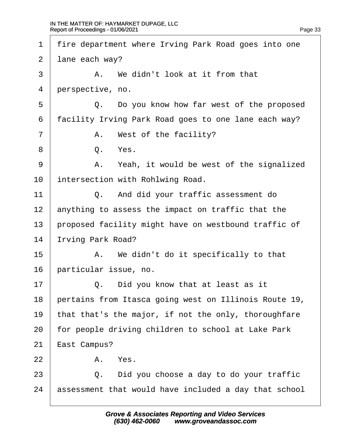| 1              | fire department where Irving Park Road goes into one |                                                       |  |  |
|----------------|------------------------------------------------------|-------------------------------------------------------|--|--|
| 2              | lane each way?                                       |                                                       |  |  |
| 3              |                                                      | A. We didn't look at it from that                     |  |  |
| 4              | perspective, no.                                     |                                                       |  |  |
| 5              |                                                      | Q. Do you know how far west of the proposed           |  |  |
| 6              | facility Irving Park Road goes to one lane each way? |                                                       |  |  |
| $\overline{7}$ |                                                      | A. West of the facility?                              |  |  |
| 8              |                                                      | Q. Yes.                                               |  |  |
| 9              |                                                      | A. Yeah, it would be west of the signalized           |  |  |
| 10             |                                                      | intersection with Rohlwing Road.                      |  |  |
| 11             |                                                      | Q. And did your traffic assessment do                 |  |  |
| 12             |                                                      | anything to assess the impact on traffic that the     |  |  |
| 13             | proposed facility might have on westbound traffic of |                                                       |  |  |
| 14             | rving Park Road?                                     |                                                       |  |  |
| 15             |                                                      | A. We didn't do it specifically to that               |  |  |
| 16             | particular issue, no.                                |                                                       |  |  |
| 17             |                                                      | Q. Did you know that at least as it                   |  |  |
| 18             |                                                      | pertains from Itasca going west on Illinois Route 19, |  |  |
| 19             |                                                      | that that's the major, if not the only, thoroughfare  |  |  |
| 20             | for people driving children to school at Lake Park   |                                                       |  |  |
| 21             | East Campus?                                         |                                                       |  |  |
| 22             |                                                      | A. Yes.                                               |  |  |
| 23             | Q.                                                   | Did you choose a day to do your traffic               |  |  |
| 24             |                                                      | assessment that would have included a day that school |  |  |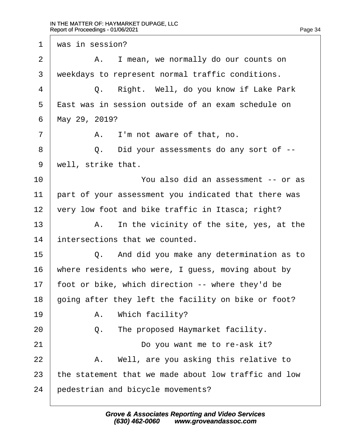1 was in session?  $2 \mid$  A. I mean, we normally do our counts on 3 weekdays to represent normal traffic conditions. 4 | Q. Right. Well, do you know if Lake Park  $5$   $\overline{E}$  ast was in session outside of an exam schedule on 6 May 29, 2019?  $7 \mid$  A. I'm not aware of that, no. 8 | Q. Did your assessments do any sort of --9 well, strike that. 10 **Fig. 4 10 EXECUTE:** You also did an assessment -- or as 11 part of your assessment you indicated that there was 12 very low foot and bike traffic in Itasca; right?  $13$  | A. In the vicinity of the site, yes, at the 14 intersections that we counted.  $15$   $\Box$  Q. And did you make any determination as to 16 where residents who were, I guess, moving about by 17 foot or bike, which direction -- where they'd be 18 going after they left the facility on bike or foot?  $19$  | A. Which facility?  $20$   $\Box$  Q. The proposed Haymarket facility. 21 **Do you want me to re-ask it?**  $22$  | A. Well, are you asking this relative to 23 the statement that we made about low traffic and low 24 **bedestrian and bicycle movements?**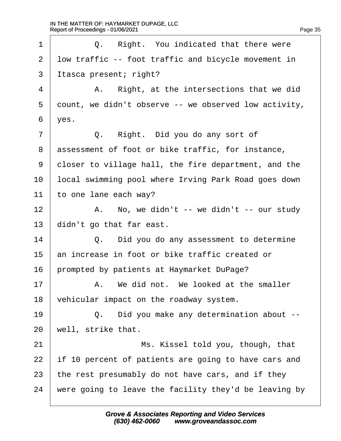| 1              | Q. Right. You indicated that there were               |
|----------------|-------------------------------------------------------|
| $\overline{2}$ | Iow traffic -- foot traffic and bicycle movement in   |
| 3              | Itasca present; right?                                |
| 4              | Right, at the intersections that we did<br>А.         |
| 5              | dount, we didn't observe -- we observed low activity, |
| 6              | yes.                                                  |
| $\overline{7}$ | Q. Right. Did you do any sort of                      |
| 8              | assessment of foot or bike traffic, for instance,     |
| 9              | doser to village hall, the fire department, and the   |
| 10             | local swimming pool where Irving Park Road goes down  |
| 11             | to one lane each way?                                 |
| 12             | A. No, we didn't -- we didn't -- our study            |
| 13             | didn't go that far east.                              |
| 14             | Q. Did you do any assessment to determine             |
| 15             | an increase in foot or bike traffic created or        |
| 16             | prompted by patients at Haymarket DuPage?             |
| 17             | A. We did not. We looked at the smaller               |
| 18             | vehicular impact on the roadway system.               |
| 19             | Q. Did you make any determination about --            |
| 20             | well, strike that.                                    |
| 21             | Ms. Kissel told you, though, that                     |
| 22             | If 10 percent of patients are going to have cars and  |
| 23             | the rest presumably do not have cars, and if they     |
| 24             | were going to leave the facility they'd be leaving by |
|                |                                                       |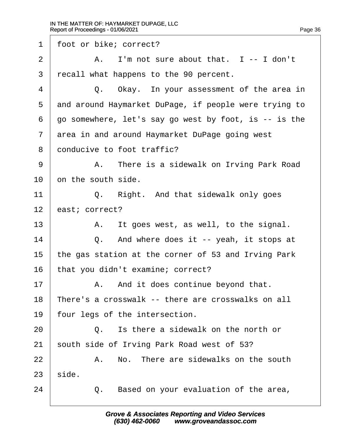1 foot or bike; correct?  $2 \mid$  A. I'm not sure about that.  $1 - 1$  don't ·3· ·recall what happens to the 90 percent.  $4 \mid$  Q. Okay. In your assessment of the area in 5 and around Haymarket DuPage, if people were trying to ·6· ·go somewhere, let's say go west by foot, is -- is the 7 area in and around Haymarket DuPage going west 8 donducive to foot traffic? 9 | A. There is a sidewalk on Irving Park Road 10 bn the south side. 11  $\vert$  Q. Right. And that sidewalk only goes 12 **bast**; correct?  $13$  | A. It goes west, as well, to the signal. 14  $\vert$  Q. And where does it -- yeah, it stops at 15 the gas station at the corner of 53 and Irving Park 16 that you didn't examine; correct?  $17$   $\parallel$  A. And it does continue beyond that. 18 There's a crosswalk -- there are crosswalks on all 19 four legs of the intersection.  $20$   $\Box$   $\Box$  is there a sidewalk on the north or 21 south side of Irving Park Road west of 53?  $22$   $\parallel$  A. No. There are sidewalks on the south  $23$  side.  $24$   $\Box$  Q. Based on your evaluation of the area,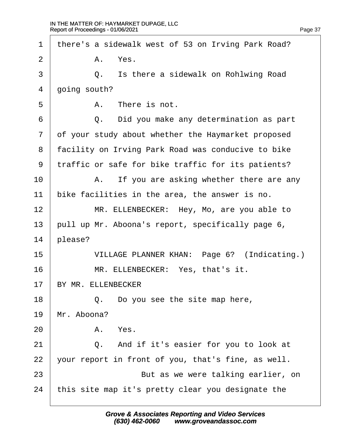| $\mathbf 1$    |              |    | there's a sidewalk west of 53 on Irving Park Road? |
|----------------|--------------|----|----------------------------------------------------|
| 2              |              |    | A. Yes.                                            |
| 3              |              |    | Q. Is there a sidewalk on Rohlwing Road            |
| 4              | going south? |    |                                                    |
| 5              |              |    | A. There is not.                                   |
| 6              |              |    | Q. Did you make any determination as part          |
| $\overline{7}$ |              |    | of your study about whether the Haymarket proposed |
| 8              |              |    | facility on Irving Park Road was conducive to bike |
| 9              |              |    | traffic or safe for bike traffic for its patients? |
| 10             |              |    | A. If you are asking whether there are any         |
| 11             |              |    | bike facilities in the area, the answer is no.     |
| 12             |              |    | MR. ELLENBECKER: Hey, Mo, are you able to          |
| 13             |              |    | pull up Mr. Aboona's report, specifically page 6,  |
| 14             | please?      |    |                                                    |
| 15             |              |    | VILLAGE PLANNER KHAN: Page 6? (Indicating.)        |
| 16             |              |    | MR. ELLENBECKER: Yes, that's it.                   |
| 17             |              |    | BY MR. ELLENBECKER                                 |
| 18             |              |    | Q. Do you see the site map here,                   |
| 19             |              |    | Mr. Aboona?                                        |
| 20             |              |    | A. Yes.                                            |
| 21             |              | Q. | And if it's easier for you to look at              |
| 22             |              |    | your report in front of you, that's fine, as well. |
| 23             |              |    | But as we were talking earlier, on                 |
| 24             |              |    | this site map it's pretty clear you designate the  |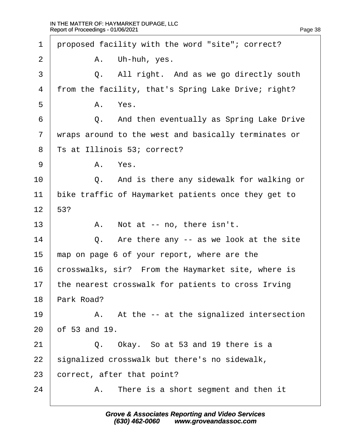| 1              |               | proposed facility with the word "site"; correct?     |
|----------------|---------------|------------------------------------------------------|
| $\overline{2}$ |               | A. Uh-huh, yes.                                      |
| 3              |               | Q. All right. And as we go directly south            |
| 4              |               | from the facility, that's Spring Lake Drive; right?  |
| 5              |               | A. Yes.                                              |
| 6              |               | Q. And then eventually as Spring Lake Drive          |
| $\overline{7}$ |               | wraps around to the west and basically terminates or |
| 8              |               | Ts at Illinois 53; correct?                          |
| 9              |               | A. Yes.                                              |
| 10             |               | Q. And is there any sidewalk for walking or          |
| 11             |               | bike traffic of Haymarket patients once they get to  |
| 12             | 53?           |                                                      |
| 13             |               | A. Not at -- no, there isn't.                        |
| 14             |               | Q. Are there any -- as we look at the site           |
| 15             |               | map on page 6 of your report, where are the          |
| 16             |               | crosswalks, sir? From the Haymarket site, where is   |
| 17             |               | the nearest crosswalk for patients to cross Irving   |
| 18             | Park Road?    |                                                      |
| 19             |               | A. At the -- at the signalized intersection          |
| 20             | of 53 and 19. |                                                      |
| 21             |               | Q. Okay. So at 53 and 19 there is a                  |
| 22             |               | signalized crosswalk but there's no sidewalk,        |
| 23             |               | correct, after that point?                           |
| 24             |               | A. There is a short segment and then it              |
|                |               |                                                      |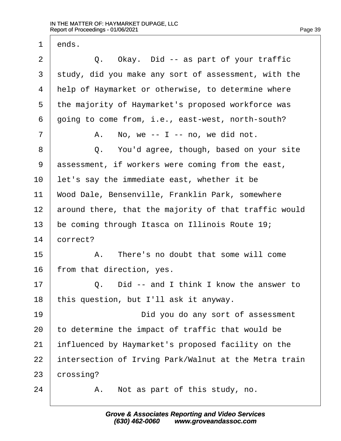$2 \mid Q$ . Okay. Did -- as part of your traffic

3 study, did you make any sort of assessment, with the

4 Help of Haymarket or otherwise, to determine where

5 the majority of Haymarket's proposed workforce was

1 dnds.

6 doing to come from, i.e., east-west, north-south?  $7 \mid$  A. No, we -- I -- no, we did not. 8 | Q. You'd agree, though, based on your site 9 assessment, if workers were coming from the east, 10 let's say the immediate east, whether it be 11 Wood Dale, Bensenville, Franklin Park, somewhere 12 around there, that the majority of that traffic would 13 be coming through Itasca on Illinois Route 19; 14 **correct?**  $15$   $\phantom{0}$   $\phantom{0}$   $\phantom{0}$   $\phantom{0}$   $\phantom{0}$   $\phantom{0}$   $\phantom{0}$   $\phantom{0}$   $\phantom{0}$   $\phantom{0}$   $\phantom{0}$   $\phantom{0}$   $\phantom{0}$   $\phantom{0}$   $\phantom{0}$   $\phantom{0}$   $\phantom{0}$   $\phantom{0}$   $\phantom{0}$   $\phantom{0}$   $\phantom{0}$   $\phantom{0}$   $\phantom{0}$   $\phantom{0}$  16 from that direction, yes.  $17$   $\Box$  Q. Did -- and I think I know the answer to 18 this question, but I'll ask it anyway. 19 **Did you do any sort of assessment** 20 to determine the impact of traffic that would be

- 21 influenced by Haymarket's proposed facility on the
- 22 intersection of Irving Park/Walnut at the Metra train

23 crossing?

 $24$  | A. Not as part of this study, no.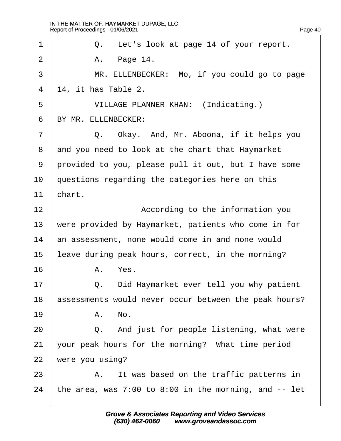| 1              | Q. Let's look at page 14 of your report.                   |
|----------------|------------------------------------------------------------|
|                |                                                            |
| $\overline{2}$ | Page 14.<br>А.                                             |
| 3              | MR. ELLENBECKER: Mo, if you could go to page               |
| 4              | 14, it has Table 2.                                        |
| 5              | <b>VILLAGE PLANNER KHAN: (Indicating.)</b>                 |
| 6              | BY MR. ELLENBECKER:                                        |
| $\overline{7}$ | Okay. And, Mr. Aboona, if it helps you<br>Q.               |
| 8              | and you need to look at the chart that Haymarket           |
| 9              | provided to you, please pull it out, but I have some       |
| 10             | questions regarding the categories here on this            |
| 11             | chart.                                                     |
| 12             | According to the information you                           |
| 13             | were provided by Haymarket, patients who come in for       |
| 14             | an assessment, none would come in and none would           |
| 15             | leave during peak hours, correct, in the morning?          |
| 16             | A. Yes.                                                    |
| 17             | Did Haymarket ever tell you why patient<br>Q.              |
| 18             | assessments would never occur between the peak hours?      |
| 19             | A. No.                                                     |
| 20             | Q. And just for people listening, what were                |
| 21             | your peak hours for the morning? What time period          |
| 22             | were you using?                                            |
| 23             | A. It was based on the traffic patterns in                 |
| 24             | the area, was $7:00$ to $8:00$ in the morning, and $-$ let |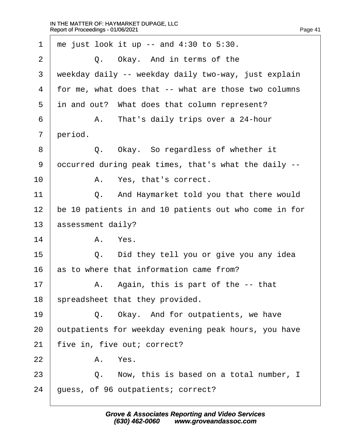| 1              | me just look it up $-$ and 4:30 to 5:30.              |
|----------------|-------------------------------------------------------|
| $\overline{2}$ | Q. Okay. And in terms of the                          |
| 3              | weekday daily -- weekday daily two-way, just explain  |
| 4              | for me, what does that -- what are those two columns  |
| 5              | in and out? What does that column represent?          |
| 6              | A. That's daily trips over a 24-hour                  |
| 7              | period.                                               |
| 8              | Q. Okay. So regardless of whether it                  |
| 9              | dccurred during peak times, that's what the daily --  |
| 10             | A. Yes, that's correct.                               |
| 11             | Q. And Haymarket told you that there would            |
| 12             | be 10 patients in and 10 patients out who come in for |
| 13             | assessment daily?                                     |
| 14             | A. Yes.                                               |
| 15             | Did they tell you or give you any idea<br>Q.          |
| 16             | as to where that information came from?               |
| 17             | A. Again, this is part of the -- that                 |
| 18             | spreadsheet that they provided.                       |
| 19             | Q. Okay. And for outpatients, we have                 |
| 20             | outpatients for weekday evening peak hours, you have  |
| 21             | five in, five out; correct?                           |
| 22             | A. Yes.                                               |
| 23             | Now, this is based on a total number, I<br>Q.         |
| 24             | guess, of 96 outpatients; correct?                    |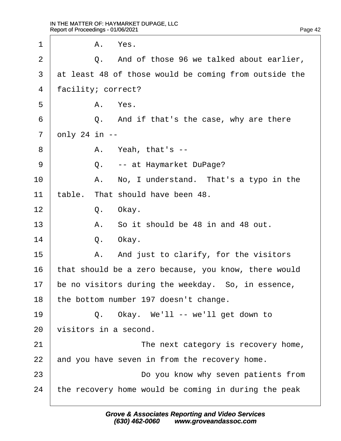| 1  | A. Yes.                                               |
|----|-------------------------------------------------------|
| 2  | Q. And of those 96 we talked about earlier,           |
| 3  | at least 48 of those would be coming from outside the |
| 4  | facility; correct?                                    |
| 5  | A. Yes.                                               |
| 6  | Q. And if that's the case, why are there              |
| 7  | $q$ nly 24 in $-$                                     |
| 8  | A. Yeah, that's --                                    |
| 9  | Q. -- at Haymarket DuPage?                            |
| 10 | A. No, I understand. That's a typo in the             |
| 11 | table. That should have been 48.                      |
| 12 | Q. Okay.                                              |
| 13 | A. So it should be 48 in and 48 out.                  |
| 14 | Okay.<br>Q.                                           |
| 15 | A. And just to clarify, for the visitors              |
| 16 | that should be a zero because, you know, there would  |
| 17 | be no visitors during the weekday. So, in essence,    |
| 18 | the bottom number 197 doesn't change.                 |
| 19 | Q. Okay. We'll -- we'll get down to                   |
| 20 | visitors in a second.                                 |
| 21 | The next category is recovery home,                   |
| 22 | and you have seven in from the recovery home.         |
| 23 | Do you know why seven patients from                   |
| 24 | the recovery home would be coming in during the peak  |
|    |                                                       |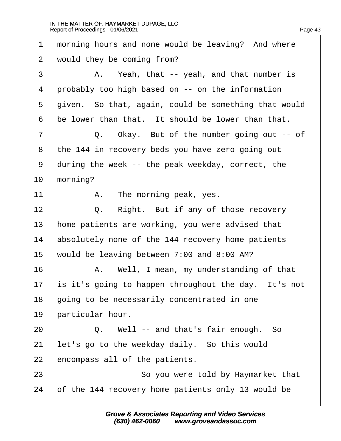1 morning hours and none would be leaving? And where 2 would they be coming from?  $3 \mid$  A. Yeah, that -- yeah, and that number is 4 probably too high based on -- on the information 5 diven. So that, again, could be something that would 6 be lower than that. It should be lower than that.  $7 \mid$  Q. Okay. But of the number going out -- of 8 the 144 in recovery beds you have zero going out 9 during the week -- the peak weekday, correct, the 10 morning? 11  $\parallel$  A. The morning peak, yes.  $12 \mid Q$ . Right. But if any of those recovery 13 home patients are working, you were advised that 14 **absolutely none of the 144 recovery home patients** 15 would be leaving between 7:00 and 8:00 AM? 16 **A.** Well, I mean, my understanding of that 17 is it's going to happen throughout the day. It's not 18 going to be necessarily concentrated in one 19 barticular hour.  $20$   $\Box$  Q. Well -- and that's fair enough. So 21 let's go to the weekday daily. So this would 22 encompass all of the patients. 23 **So you were told by Haymarket that** 24 b f the 144 recovery home patients only 13 would be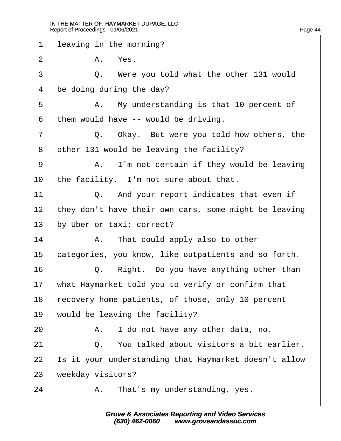| 1  | leaving in the morning?                               |
|----|-------------------------------------------------------|
| 2  | A. Yes.                                               |
| 3  | Q. Were you told what the other 131 would             |
| 4  | be doing during the day?                              |
| 5  | A. My understanding is that 10 percent of             |
| 6  | them would have -- would be driving.                  |
| 7  | Q. Okay. But were you told how others, the            |
| 8  | other 131 would be leaving the facility?              |
| 9  | A. I'm not certain if they would be leaving           |
| 10 | the facility. I'm not sure about that.                |
| 11 | Q. And your report indicates that even if             |
| 12 | they don't have their own cars, some might be leaving |
| 13 | by Uber or taxi; correct?                             |
| 14 | A. That could apply also to other                     |
| 15 | categories, you know, like outpatients and so forth.  |
| 16 | Right. Do you have anything other than<br>Q.          |
| 17 | what Haymarket told you to verify or confirm that     |
| 18 | ecovery home patients, of those, only 10 percent      |
| 19 |                                                       |
|    | would be leaving the facility?                        |
| 20 | A. I do not have any other data, no.                  |
| 21 | Q. You talked about visitors a bit earlier.           |
| 22 | s it your understanding that Haymarket doesn't allow  |
| 23 | weekday visitors?                                     |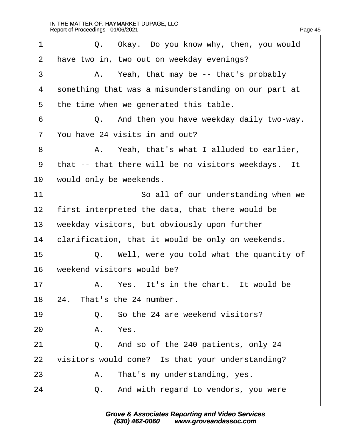| 1  | Q. Okay. Do you know why, then, you would            |
|----|------------------------------------------------------|
| 2  | have two in, two out on weekday evenings?            |
| 3  | A. Yeah, that may be -- that's probably              |
| 4  | something that was a misunderstanding on our part at |
| 5  | the time when we generated this table.               |
| 6  | Q. And then you have weekday daily two-way.          |
| 7  | You have 24 visits in and out?                       |
| 8  | A. Yeah, that's what I alluded to earlier,           |
| 9  | that -- that there will be no visitors weekdays. It  |
| 10 | would only be weekends.                              |
| 11 | So all of our understanding when we                  |
| 12 | first interpreted the data, that there would be      |
| 13 | weekday visitors, but obviously upon further         |
| 14 | clarification, that it would be only on weekends.    |
| 15 | Q. Well, were you told what the quantity of          |
| 16 | weekend visitors would be?                           |
| 17 | A. Yes. It's in the chart. It would be               |
| 18 | 24. That's the 24 number.                            |
| 19 | Q. So the 24 are weekend visitors?                   |
| 20 | A. Yes.                                              |
| 21 | Q. And so of the 240 patients, only 24               |
| 22 | visitors would come? Is that your understanding?     |
| 23 | A. That's my understanding, yes.                     |
| 24 | Q. And with regard to vendors, you were              |
|    |                                                      |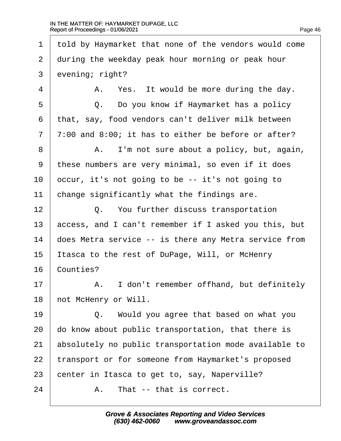·1· ·told by Haymarket that none of the vendors would come 2 during the weekday peak hour morning or peak hour 3 evening; right?  $4 \mid$  A. Yes. It would be more during the day.  $5 \mid Q$ . Do you know if Haymarket has a policy ·6· ·that, say, food vendors can't deliver milk between 7 7:00 and 8:00; it has to either be before or after? 8 | A. I'm not sure about a policy, but, again, ·9· ·these numbers are very minimal, so even if it does 10  $\epsilon$  becur, it's not going to be -- it's not going to 11 change significantly what the findings are. 12 **Q.** You further discuss transportation 13 access, and I can't remember if I asked you this, but 14 does Metra service -- is there any Metra service from 15 Itasca to the rest of DuPage, Will, or McHenry 16 Counties? 17 | A. I don't remember offhand, but definitely 18 hot McHenry or Will.  $19$   $\Box$  Q. Would you agree that based on what you 20 do know about public transportation, that there is 21 absolutely no public transportation mode available to 22 transport or for someone from Haymarket's proposed 23 benter in Itasca to get to, say, Naperville?  $24$   $\parallel$  A. That -- that is correct.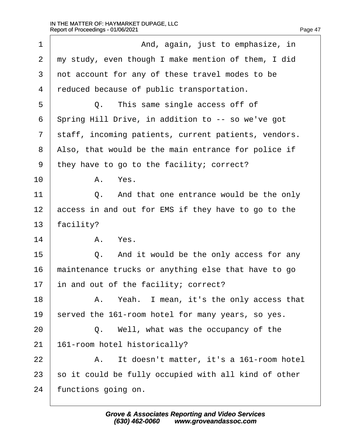| 1              | And, again, just to emphasize, in                    |
|----------------|------------------------------------------------------|
| $\overline{2}$ | my study, even though I make mention of them, I did  |
| 3              | not account for any of these travel modes to be      |
| 4              | reduced because of public transportation.            |
| 5              | Q. This same single access off of                    |
| 6              | Spring Hill Drive, in addition to -- so we've got    |
| $\overline{7}$ | staff, incoming patients, current patients, vendors. |
| 8              | Also, that would be the main entrance for police if  |
| 9              | they have to go to the facility; correct?            |
| 10             | A. Yes.                                              |
| 11             | And that one entrance would be the only<br>Q.        |
| 12             | access in and out for EMS if they have to go to the  |
| 13             | facility?                                            |
| 14             | A. Yes.                                              |
| 15             | And it would be the only access for any<br>Q.        |
| 16             | maintenance trucks or anything else that have to go  |
| 17             | in and out of the facility; correct?                 |
| 18             | A. Yeah. I mean, it's the only access that           |
| 19             | served the 161-room hotel for many years, so yes.    |
| 20             | Q. Well, what was the occupancy of the               |
| 21             | 161-room hotel historically?                         |
| 22             | A. It doesn't matter, it's a 161-room hotel          |
| 23             | so it could be fully occupied with all kind of other |
| 24             | functions going on.                                  |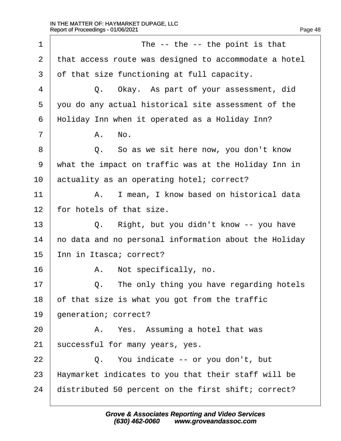| 1              | The -- the -- the point is that                       |  |
|----------------|-------------------------------------------------------|--|
| $\overline{2}$ | that access route was designed to accommodate a hotel |  |
| 3              | of that size functioning at full capacity.            |  |
| 4              | Q. Okay. As part of your assessment, did              |  |
| 5              | you do any actual historical site assessment of the   |  |
| 6              | Holiday Inn when it operated as a Holiday Inn?        |  |
| $\overline{7}$ | A. No.                                                |  |
| 8              | Q. So as we sit here now, you don't know              |  |
| 9              | what the impact on traffic was at the Holiday Inn in  |  |
| 10             | actuality as an operating hotel; correct?             |  |
| 11             | A. I mean, I know based on historical data            |  |
| 12             | for hotels of that size.                              |  |
| 13             | Q. Right, but you didn't know -- you have             |  |
| 14             | ho data and no personal information about the Holiday |  |
| 15             | nn in Itasca; correct?                                |  |
| 16             | Not specifically, no.<br>А.                           |  |
| 17             | The only thing you have regarding hotels<br>Q.        |  |
| 18             | of that size is what you got from the traffic         |  |
| 19             | generation; correct?                                  |  |
| 20             | A. Yes. Assuming a hotel that was                     |  |
| 21             | successful for many years, yes.                       |  |
| 22             | Q. You indicate -- or you don't, but                  |  |
| 23             | Haymarket indicates to you that their staff will be   |  |
| 24             | distributed 50 percent on the first shift; correct?   |  |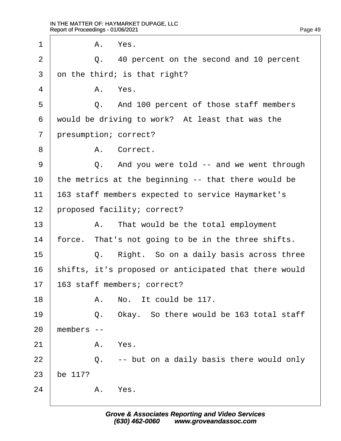1 | A. Yes. 2  $\vert$  Q. 40 percent on the second and 10 percent 3 dn the third; is that right?  $4$  A. Yes. 5 **Q.** And 100 percent of those staff members 6 would be driving to work? At least that was the 7 presumption; correct? 8 | A. Correct. 9 | Q. And you were told -- and we went through 10 the metrics at the beginning -- that there would be 11 **163 staff members expected to service Haymarket's** 12 proposed facility; correct?  $13$  | A. That would be the total employment 14 force. That's not going to be in the three shifts.  $15$   $\Box$  Q. Right. So on a daily basis across three 16 shifts, it's proposed or anticipated that there would 17 **163 staff members; correct?**  $18$   $\parallel$  A. No. It could be 117.  $19$   $\Box$  Q. Okay. So there would be 163 total staff  $20$  members  $21$  A. Yes.  $22$   $\Box$  Q. -- but on a daily basis there would only 23 be 117?  $24$  A. Yes.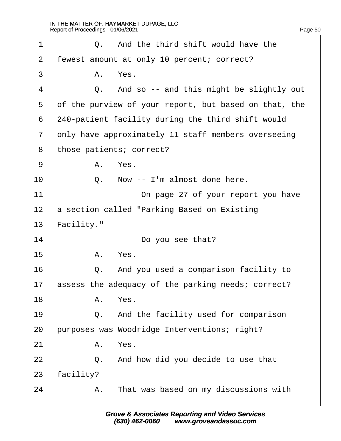| 1              |            | Q. And the third shift would have the                 |
|----------------|------------|-------------------------------------------------------|
| $\overline{2}$ |            | fewest amount at only 10 percent; correct?            |
| 3              |            | A. Yes.                                               |
| 4              |            | Q. And so -- and this might be slightly out           |
| 5              |            | of the purview of your report, but based on that, the |
| 6              |            | 240-patient facility during the third shift would     |
| $\overline{7}$ |            | only have approximately 11 staff members overseeing   |
| 8              |            | those patients; correct?                              |
| 9              |            | A. Yes.                                               |
| 10             | Q.         | Now -- I'm almost done here.                          |
| 11             |            | On page 27 of your report you have                    |
| 12             |            | a section called "Parking Based on Existing           |
| 13             | Facility." |                                                       |
| 14             |            | Do you see that?                                      |
| 15             |            | A. Yes.                                               |
| 16             |            | Q. And you used a comparison facility to              |
| 17             |            | assess the adequacy of the parking needs; correct?    |
| 18             |            | A. Yes.                                               |
| 19             |            | Q. And the facility used for comparison               |
| 20             |            | purposes was Woodridge Interventions; right?          |
| 21             |            | A. Yes.                                               |
| 22             |            | Q. And how did you decide to use that                 |
| 23             | facility?  |                                                       |
| 24             |            | A. That was based on my discussions with              |
|                |            |                                                       |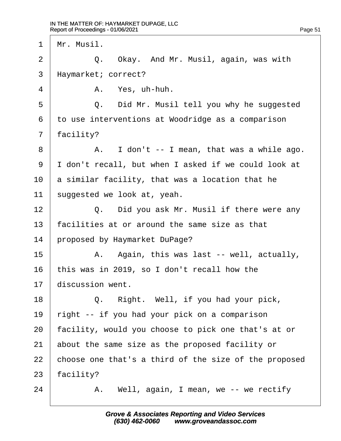1 Mr. Musil.

 $2 \mid Q_{\cdot}$  Okay. And Mr. Musil, again, was with

3 Haymarket; correct?

 $4$   $A$ . Yes, uh-huh.

5 **Q.** Did Mr. Musil tell you why he suggested

·6· ·to use interventions at Woodridge as a comparison

7 facility?

 $8 \mid$  A. I don't -- I mean, that was a while ago.

9 I don't recall, but when I asked if we could look at

10  $\alpha$  a similar facility, that was a location that he

11 suggested we look at, yeah.

12  $\parallel$  Q. Did you ask Mr. Musil if there were any

13 facilities at or around the same size as that

14 proposed by Haymarket DuPage?

 $15$  | A. Again, this was last -- well, actually,

16 this was in 2019, so I don't recall how the

17 discussion went.

18 | Q. Right. Well, if you had your pick,

19 right -- if you had your pick on a comparison

20 facility, would you choose to pick one that's at or

21 about the same size as the proposed facility or

22 choose one that's a third of the size of the proposed

23 facility?

 $24$  | A. Well, again, I mean, we -- we rectify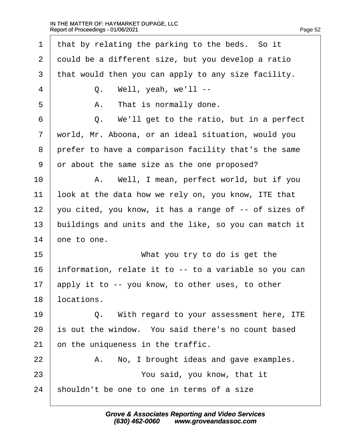| 1              | that by relating the parking to the beds. So it       |
|----------------|-------------------------------------------------------|
| $\overline{2}$ | dould be a different size, but you develop a ratio    |
| 3              | that would then you can apply to any size facility.   |
| $\overline{4}$ | Q. Well, yeah, we'll --                               |
| 5              | A. That is normally done.                             |
| 6              | Q. We'll get to the ratio, but in a perfect           |
| $\overline{7}$ | world, Mr. Aboona, or an ideal situation, would you   |
| 8              | prefer to have a comparison facility that's the same  |
| 9              | or about the same size as the one proposed?           |
| 10             | A. Well, I mean, perfect world, but if you            |
| 11             | look at the data how we rely on, you know, ITE that   |
| 12             | you cited, you know, it has a range of -- of sizes of |
| 13             | buildings and units and the like, so you can match it |
| 14             | one to one.                                           |
| 15             | What you try to do is get the                         |
| 16             | information, relate it to -- to a variable so you can |
| 17             | apply it to -- you know, to other uses, to other      |
| 18             | locations.                                            |
| 19             | Q. With regard to your assessment here, ITE           |
| 20             | is out the window. You said there's no count based    |
| 21             | on the uniqueness in the traffic.                     |
| 22             | No, I brought ideas and gave examples.<br>А.          |
| 23             | You said, you know, that it                           |
| 24             | shouldn't be one to one in terms of a size            |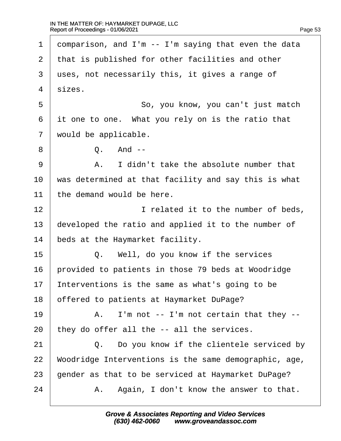| 1              | domparison, and I'm -- I'm saying that even the data  |
|----------------|-------------------------------------------------------|
| $\overline{2}$ | that is published for other facilities and other      |
| 3              | uses, not necessarily this, it gives a range of       |
| 4              | sizes.                                                |
| 5              | So, you know, you can't just match                    |
| 6              | it one to one. What you rely on is the ratio that     |
| 7              | would be applicable.                                  |
| 8              | Q. And --                                             |
| 9              | A. I didn't take the absolute number that             |
| 10             | was determined at that facility and say this is what  |
| 11             | the demand would be here.                             |
| 12             | I related it to the number of beds,                   |
| 13             | developed the ratio and applied it to the number of   |
| 14             | beds at the Haymarket facility.                       |
| 15             | Q. Well, do you know if the services                  |
| 16             | provided to patients in those 79 beds at Woodridge    |
| 17             | nterventions is the same as what's going to be        |
| 18             | offered to patients at Haymarket DuPage?              |
| 19             | A. I'm not -- I'm not certain that they --            |
| 20             | they do offer all the -- all the services.            |
| 21             | Q. Do you know if the clientele serviced by           |
| 22             | Woodridge Interventions is the same demographic, age, |
| 23             | gender as that to be serviced at Haymarket DuPage?    |
| 24             | A. Again, I don't know the answer to that.            |
|                |                                                       |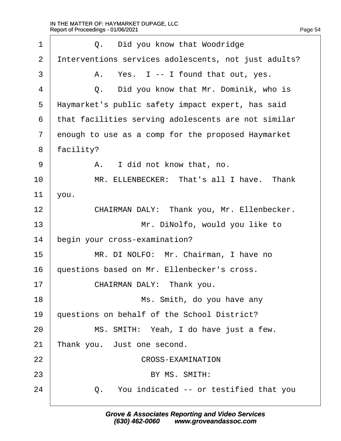| 1              | Q. Did you know that Woodridge                       |
|----------------|------------------------------------------------------|
| 2              | Interventions services adolescents, not just adults? |
| 3              | A. Yes. I -- I found that out, yes.                  |
| $\overline{4}$ | Q. Did you know that Mr. Dominik, who is             |
| 5              | Haymarket's public safety impact expert, has said    |
| 6              | that facilities serving adolescents are not similar  |
| $\overline{7}$ | enough to use as a comp for the proposed Haymarket   |
| 8              | facility?                                            |
| 9              | A. I did not know that, no.                          |
| 10             | MR. ELLENBECKER: That's all I have. Thank            |
| 11             | you.                                                 |
| 12             | CHAIRMAN DALY: Thank you, Mr. Ellenbecker.           |
| 13             | Mr. DiNolfo, would you like to                       |
| 14             | begin your cross-examination?                        |
| 15             | MR. DI NOLFO: Mr. Chairman, I have no                |
| 16             | questions based on Mr. Ellenbecker's cross.          |
| 17             | CHAIRMAN DALY: Thank you.                            |
| 18             | Ms. Smith, do you have any                           |
| 19             | questions on behalf of the School District?          |
| 20             | MS. SMITH: Yeah, I do have just a few.               |
| 21             | Thank you. Just one second.                          |
| 22             | <b>CROSS-EXAMINATION</b>                             |
| 23             | BY MS. SMITH:                                        |
| 24             | Q. You indicated -- or testified that you            |
|                |                                                      |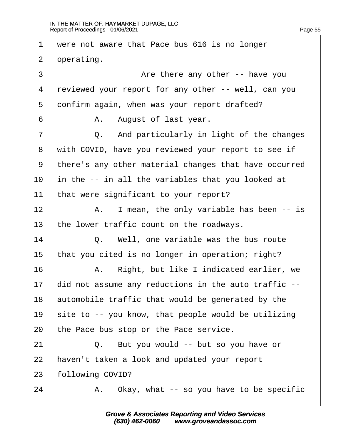1 were not aware that Pace bus 616 is no longer 2 dperating. 3 **CO 1** Are there any other -- have you 4 reviewed your report for any other -- well, can you 5 donfirm again, when was your report drafted?  $6 \mid$  A. August of last year.  $7 \mid$  Q. And particularly in light of the changes 8 with COVID, have you reviewed your report to see if ·9· ·there's any other material changes that have occurred 10 in the -- in all the variables that you looked at 11 that were significant to your report?  $12$  | A. I mean, the only variable has been -- is 13 the lower traffic count on the roadways.  $14$   $\Box$  Q. Well, one variable was the bus route 15 that you cited is no longer in operation; right? 16 | A. Right, but like I indicated earlier, we 17 did not assume any reductions in the auto traffic --18 automobile traffic that would be generated by the 19 site to -- you know, that people would be utilizing 20 the Pace bus stop or the Pace service.  $21$   $\Box$  Q. But you would -- but so you have or 22 haven't taken a look and updated your report 23 following COVID?  $24$  | A. Okay, what -- so you have to be specific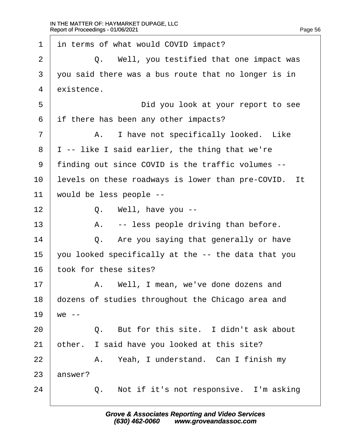| 1              | in terms of what would COVID impact?                 |
|----------------|------------------------------------------------------|
| $\overline{2}$ | Q. Well, you testified that one impact was           |
| 3              | you said there was a bus route that no longer is in  |
| $\overline{4}$ | existence.                                           |
| 5              | Did you look at your report to see                   |
| 6              | if there has been any other impacts?                 |
| $\overline{7}$ | A. I have not specifically looked. Like              |
| 8              | I -- like I said earlier, the thing that we're       |
| 9              | finding out since COVID is the traffic volumes --    |
| 10             | levels on these roadways is lower than pre-COVID. It |
| 11             | would be less people --                              |
| 12             | Q. Well, have you --                                 |
| 13             | A. -- less people driving than before.               |
| 14             | Q. Are you saying that generally or have             |
| 15             | you looked specifically at the -- the data that you  |
| 16             | took for these sites?                                |
| 17             | A. Well, I mean, we've done dozens and               |
| 18             | dozens of studies throughout the Chicago area and    |
| 19             | we --                                                |
| 20             | Q. But for this site. I didn't ask about             |
| 21             | other. I said have you looked at this site?          |
| 22             | A. Yeah, I understand. Can I finish my               |
| 23             | answer?                                              |
| 24             | Q. Not if it's not responsive. I'm asking            |
|                |                                                      |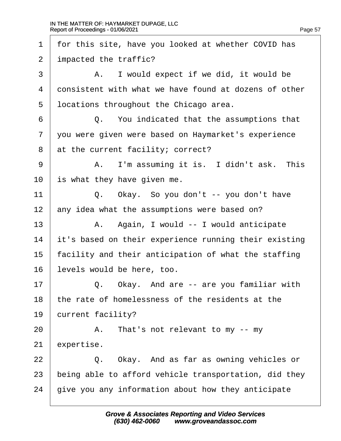| 1              | for this site, have you looked at whether COVID has   |
|----------------|-------------------------------------------------------|
| 2              | impacted the traffic?                                 |
| 3              | A. I would expect if we did, it would be              |
| 4              | donsistent with what we have found at dozens of other |
| 5              | Incations throughout the Chicago area.                |
| 6              | Q. You indicated that the assumptions that            |
| $\overline{7}$ | you were given were based on Haymarket's experience   |
| 8              | at the current facility; correct?                     |
| 9              | A. I'm assuming it is. I didn't ask. This             |
| 10             | s what they have given me.                            |
| 11             | Q. Okay. So you don't -- you don't have               |
| 12             | any idea what the assumptions were based on?          |
| 13             | A. Again, I would -- I would anticipate               |
| 14             | it's based on their experience running their existing |
| 15             | facility and their anticipation of what the staffing  |
| 16             | evels would be here, too.                             |
| 17             | Q. Okay. And are -- are you familiar with             |
| 18             | the rate of homelessness of the residents at the      |
| 19             | current facility?                                     |
| 20             | A. That's not relevant to my -- my                    |
| 21             | expertise.                                            |
| 22             | Q. Okay. And as far as owning vehicles or             |
| 23             | being able to afford vehicle transportation, did they |
| 24             | give you any information about how they anticipate    |
|                |                                                       |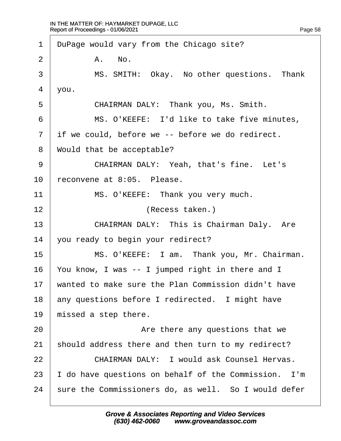| $\mathbf 1$    | DuPage would vary from the Chicago site?             |
|----------------|------------------------------------------------------|
| $\overline{2}$ | A. No.                                               |
| 3              | MS. SMITH: Okay. No other questions. Thank           |
| 4              | you.                                                 |
| 5              | CHAIRMAN DALY: Thank you, Ms. Smith.                 |
| 6              | MS. O'KEEFE: I'd like to take five minutes,          |
| $\overline{7}$ | if we could, before we -- before we do redirect.     |
| 8              | Would that be acceptable?                            |
| 9              | CHAIRMAN DALY: Yeah, that's fine. Let's              |
| 10             | reconvene at 8:05. Please.                           |
| 11             | MS. O'KEEFE: Thank you very much.                    |
| 12             | (Recess taken.)                                      |
| 13             | CHAIRMAN DALY: This is Chairman Daly. Are            |
| 14             | you ready to begin your redirect?                    |
| 15             | MS. O'KEEFE: I am. Thank you, Mr. Chairman.          |
| 16             | You know, I was -- I jumped right in there and I     |
| 17             | wanted to make sure the Plan Commission didn't have  |
| 18             | any questions before I redirected. I might have      |
| 19             | missed a step there.                                 |
| 20             | Are there any questions that we                      |
| 21             | should address there and then turn to my redirect?   |
| 22             | <b>CHAIRMAN DALY: I would ask Counsel Hervas.</b>    |
| 23             | do have questions on behalf of the Commission. I'm   |
| 24             | sure the Commissioners do, as well. So I would defer |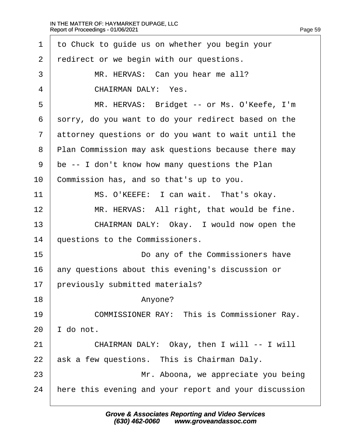| 1              | to Chuck to guide us on whether you begin your        |
|----------------|-------------------------------------------------------|
| 2              | redirect or we begin with our questions.              |
| 3              | MR. HERVAS: Can you hear me all?                      |
| 4              | <b>CHAIRMAN DALY: Yes.</b>                            |
| 5              | MR. HERVAS: Bridget -- or Ms. O'Keefe, I'm            |
| 6              | sorry, do you want to do your redirect based on the   |
| $\overline{7}$ | attorney questions or do you want to wait until the   |
| 8              | Plan Commission may ask questions because there may   |
| 9              | be -- I don't know how many questions the Plan        |
| 10             | Commission has, and so that's up to you.              |
| 11             | MS. O'KEEFE: I can wait. That's okay.                 |
| 12             | MR. HERVAS: All right, that would be fine.            |
| 13             | CHAIRMAN DALY: Okay. I would now open the             |
| 14             | questions to the Commissioners.                       |
| 15             | Do any of the Commissioners have                      |
| 16             | any questions about this evening's discussion or      |
| 17             | previously submitted materials?                       |
| 18             | Anyone?                                               |
| 19             | <b>COMMISSIONER RAY: This is Commissioner Ray.</b>    |
| 20             | do not.                                               |
| 21             | CHAIRMAN DALY: Okay, then I will -- I will            |
| 22             | ask a few questions. This is Chairman Daly.           |
| 23             | Mr. Aboona, we appreciate you being                   |
| 24             | here this evening and your report and your discussion |
|                |                                                       |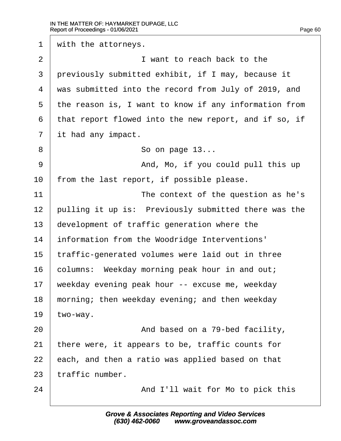1 with the attorneys.  $2 \mid$  **I** want to reach back to the 3 previously submitted exhibit, if I may, because it 4 was submitted into the record from July of 2019, and 5 the reason is, I want to know if any information from ·6· ·that report flowed into the new report, and if so, if 7 it had any impact.  $8 \quad | \quad S_0 \text{ on page 13...}$ 9 | And, Mo, if you could pull this up 10 from the last report, if possible please. 11 **I** The context of the question as he's 12 pulling it up is: Previously submitted there was the 13 development of traffic generation where the 14 **information from the Woodridge Interventions'** 15 traffic-generated volumes were laid out in three 16 columns: Weekday morning peak hour in and out; 17 weekday evening peak hour -- excuse me, weekday 18 morning; then weekday evening; and then weekday 19  $two$ -way. 20 **And based on a 79-bed facility,** 21 there were, it appears to be, traffic counts for 22 each, and then a ratio was applied based on that 23 traffic number. 24 **And I'll wait for Mo to pick this**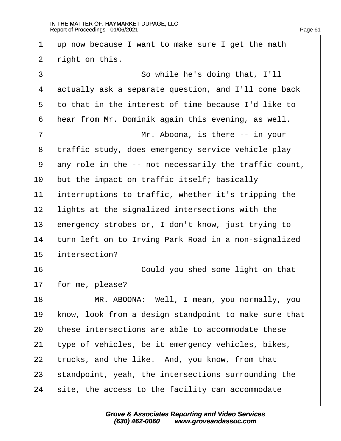| 1              | up now because I want to make sure I get the math     |
|----------------|-------------------------------------------------------|
| $\overline{2}$ | right on this.                                        |
| 3              | So while he's doing that, I'll                        |
| 4              | actually ask a separate question, and I'll come back  |
| 5              | to that in the interest of time because I'd like to   |
| 6              | hear from Mr. Dominik again this evening, as well.    |
| 7              | Mr. Aboona, is there -- in your                       |
| 8              | traffic study, does emergency service vehicle play    |
| 9              | any role in the -- not necessarily the traffic count, |
| 10             | but the impact on traffic itself; basically           |
| 11             | interruptions to traffic, whether it's tripping the   |
| 12             | lights at the signalized intersections with the       |
| 13             | emergency strobes or, I don't know, just trying to    |
| 14             | turn left on to Irving Park Road in a non-signalized  |
| 15             | intersection?                                         |
| 16             | Could you shed some light on that                     |
| 17             | for me, please?                                       |
| 18             | MR. ABOONA: Well, I mean, you normally, you           |
| 19             | know, look from a design standpoint to make sure that |
| 20             | these intersections are able to accommodate these     |
| 21             | type of vehicles, be it emergency vehicles, bikes,    |
| 22             | trucks, and the like. And, you know, from that        |
| 23             | standpoint, yeah, the intersections surrounding the   |
| 24             | site, the access to the facility can accommodate      |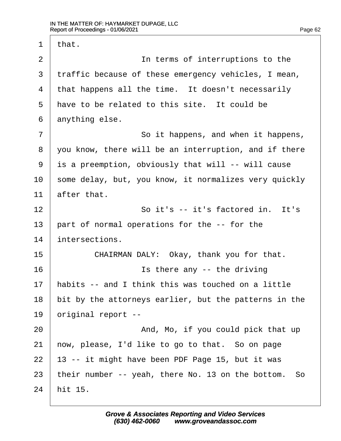1 that. 2 **I I I** in terms of interruptions to the 3 traffic because of these emergency vehicles, I mean, 4 that happens all the time. It doesn't necessarily 5 have to be related to this site. It could be 6 dnything else. 7 **8** · So it happens, and when it happens, ·8· ·you know, there will be an interruption, and if there ·9· ·is a preemption, obviously that will -- will cause 10 some delay, but, you know, it normalizes very quickly 11  $\theta$  after that. 12 **So it's -- it's factored in.** It's 13 part of normal operations for the -- for the 14 intersections. 15 **CHAIRMAN DALY: Okay, thank you for that.**  $16$   $\parallel$  is there any -- the driving 17 habits -- and I think this was touched on a little 18 bit by the attorneys earlier, but the patterns in the 19 briginal report --20 And, Mo, if you could pick that up 21 how, please, I'd like to go to that. So on page 22  $\uparrow$  13 -- it might have been PDF Page 15, but it was 23 their number -- yeah, there No. 13 on the bottom. So 24 hit 15.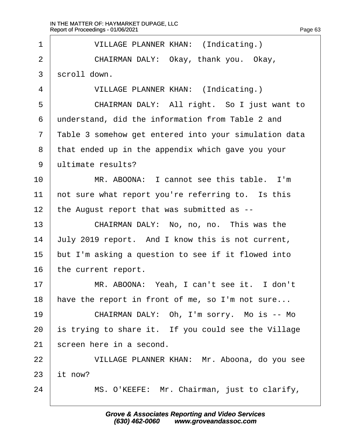| 1              | <b>VILLAGE PLANNER KHAN: (Indicating.)</b>            |
|----------------|-------------------------------------------------------|
| $\overline{2}$ | CHAIRMAN DALY: Okay, thank you. Okay,                 |
| $\mathfrak{S}$ | scroll down.                                          |
| 4              | <b>VILLAGE PLANNER KHAN: (Indicating.)</b>            |
| 5              | CHAIRMAN DALY: All right. So I just want to           |
| 6              | understand, did the information from Table 2 and      |
| $\overline{7}$ | Table 3 somehow get entered into your simulation data |
| 8              | that ended up in the appendix which gave you your     |
| 9              | ultimate results?                                     |
| 10             | MR. ABOONA: I cannot see this table. I'm              |
| 11             | not sure what report you're referring to. Is this     |
| 12             | the August report that was submitted as --            |
| 13             | CHAIRMAN DALY: No, no, no. This was the               |
| 14             | July 2019 report. And I know this is not current,     |
| 15             | but I'm asking a question to see if it flowed into    |
| 16             | the current report.                                   |
| 17             | MR. ABOONA: Yeah, I can't see it. I don't             |
| 18             | have the report in front of me, so I'm not sure       |
| 19             | CHAIRMAN DALY: Oh, I'm sorry. Mo is -- Mo             |
| 20             | is trying to share it. If you could see the Village   |
| 21             | screen here in a second.                              |
| 22             | VILLAGE PLANNER KHAN: Mr. Aboona, do you see          |
| 23             | it now?                                               |
| 24             | MS. O'KEEFE: Mr. Chairman, just to clarify,           |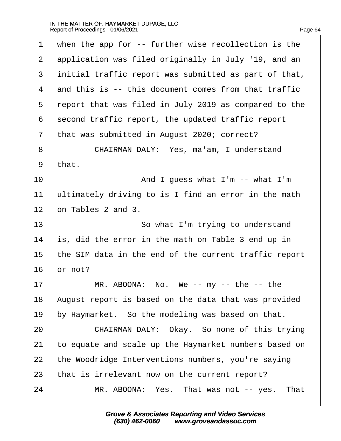| 1              | when the app for -- further wise recollection is the  |
|----------------|-------------------------------------------------------|
| $\overline{2}$ | application was filed originally in July '19, and an  |
| 3              | initial traffic report was submitted as part of that, |
| $\overline{4}$ | and this is -- this document comes from that traffic  |
| 5              | report that was filed in July 2019 as compared to the |
| 6              | second traffic report, the updated traffic report     |
| 7              | that was submitted in August 2020; correct?           |
| 8              | CHAIRMAN DALY: Yes, ma'am, I understand               |
| 9              | that.                                                 |
| 10             | And I guess what I'm -- what I'm                      |
| 11             | ultimately driving to is I find an error in the math  |
| 12             | on Tables 2 and 3.                                    |
| 13             | So what I'm trying to understand                      |
| 14             | s, did the error in the math on Table 3 end up in     |
| 15             | the SIM data in the end of the current traffic report |
| 16             | or not?                                               |
| 17             | MR. ABOONA: No. We -- my -- the -- the                |
| 18             | August report is based on the data that was provided  |
| 19             | by Haymarket. So the modeling was based on that.      |
| 20             | CHAIRMAN DALY: Okay. So none of this trying           |
| 21             | to equate and scale up the Haymarket numbers based on |
| 22             | the Woodridge Interventions numbers, you're saying    |
| 23             | that is irrelevant now on the current report?         |
| 24             | MR. ABOONA: Yes. That was not -- yes. That            |
|                |                                                       |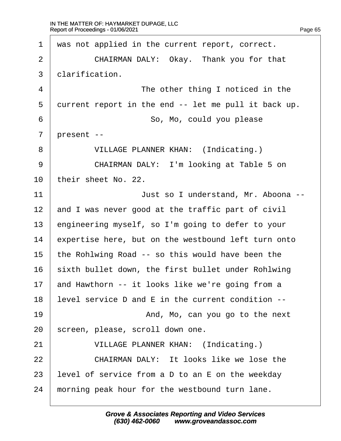1 was not applied in the current report, correct. 2 | CHAIRMAN DALY: Okay. Thank you for that 3 diarification. 4 **The other thing I noticed in the** 5 durrent report in the end -- let me pull it back up. 6 **6** · · · · · · So, Mo, could you please 7 present --8 | VILLAGE PLANNER KHAN: (Indicating.) 9 | CHAIRMAN DALY: I'm looking at Table 5 on 10 their sheet No. 22. 11 | **Just so I understand, Mr. Aboona --**12 and I was never good at the traffic part of civil 13 engineering myself, so I'm going to defer to your 14 expertise here, but on the westbound left turn onto 15 the Rohlwing Road -- so this would have been the 16 sixth bullet down, the first bullet under Rohlwing 17 and Hawthorn -- it looks like we're going from a 18 level service D and E in the current condition --19 **19** And, Mo, can you go to the next 20 screen, please, scroll down one. 21 | VILLAGE PLANNER KHAN: (Indicating.)  $22$   $\parallel$  CHAIRMAN DALY: It looks like we lose the 23 level of service from a D to an  $E$  on the weekday 24 morning peak hour for the westbound turn lane.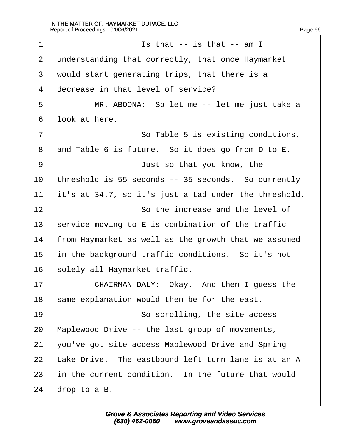| 1              | Is that -- is that -- am I                            |
|----------------|-------------------------------------------------------|
| 2              | understanding that correctly, that once Haymarket     |
| 3              | would start generating trips, that there is a         |
| 4              | decrease in that level of service?                    |
| 5              | MR. ABOONA: So let me -- let me just take a           |
| 6              | look at here.                                         |
| $\overline{7}$ | So Table 5 is existing conditions,                    |
| 8              | and Table 6 is future. So it does go from D to E.     |
| 9              | Just so that you know, the                            |
| 10             | threshold is 55 seconds -- 35 seconds. So currently   |
| 11             | it's at 34.7, so it's just a tad under the threshold. |
| 12             | So the increase and the level of                      |
| 13             | service moving to E is combination of the traffic     |
| 14             | from Haymarket as well as the growth that we assumed  |
| 15             | in the background traffic conditions. So it's not     |
| 16             | solely all Haymarket traffic.                         |
| 17             | CHAIRMAN DALY: Okay. And then I guess the             |
| 18             | same explanation would then be for the east.          |
| 19             | So scrolling, the site access                         |
| 20             | Maplewood Drive -- the last group of movements,       |
| 21             | you've got site access Maplewood Drive and Spring     |
| 22             | Lake Drive. The eastbound left turn lane is at an A   |
| 23             | in the current condition. In the future that would    |
| 24             | drop to a $B$ .                                       |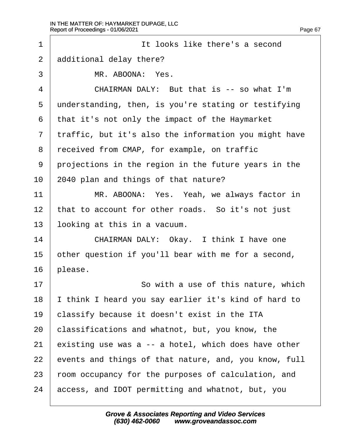| 1              | It looks like there's a second                        |
|----------------|-------------------------------------------------------|
| $\overline{2}$ | additional delay there?                               |
| 3              | MR. ABOONA: Yes.                                      |
| 4              | CHAIRMAN DALY: But that is -- so what I'm             |
| 5              | understanding, then, is you're stating or testifying  |
| 6              | that it's not only the impact of the Haymarket        |
| $\overline{7}$ | traffic, but it's also the information you might have |
| 8              | received from CMAP, for example, on traffic           |
| 9              | projections in the region in the future years in the  |
| 10             | 2040 plan and things of that nature?                  |
| 11             | MR. ABOONA: Yes. Yeah, we always factor in            |
| 12             | that to account for other roads. So it's not just     |
| 13             | looking at this in a vacuum.                          |
| 14             | CHAIRMAN DALY: Okay. I think I have one               |
| 15             | other question if you'll bear with me for a second,   |
| 16             | please.                                               |
| 17             | So with a use of this nature, which                   |
| 18             | think I heard you say earlier it's kind of hard to    |
| 19             | classify because it doesn't exist in the ITA          |
| 20             | classifications and whatnot, but, you know, the       |
| 21             | existing use was a -- a hotel, which does have other  |
| 22             | events and things of that nature, and, you know, full |
| 23             | foom occupancy for the purposes of calculation, and   |
| 24             | access, and IDOT permitting and whatnot, but, you     |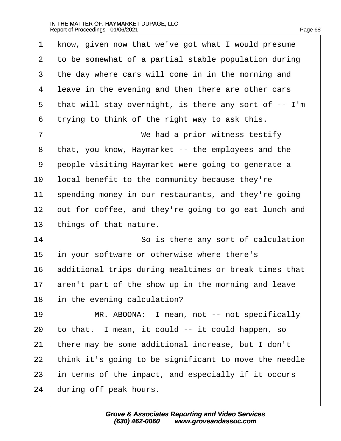| 1              | know, given now that we've got what I would presume   |
|----------------|-------------------------------------------------------|
| 2              | to be somewhat of a partial stable population during  |
| 3              | the day where cars will come in in the morning and    |
| 4              | leave in the evening and then there are other cars    |
| 5              | that will stay overnight, is there any sort of -- I'm |
| 6              | trying to think of the right way to ask this.         |
| $\overline{7}$ | We had a prior witness testify                        |
| 8              | that, you know, Haymarket -- the employees and the    |
| 9              | people visiting Haymarket were going to generate a    |
| 10             | local benefit to the community because they're        |
| 11             | spending money in our restaurants, and they're going  |
| 12             | out for coffee, and they're going to go eat lunch and |
| 13             | things of that nature.                                |
| 14             | So is there any sort of calculation                   |
| 15             | in your software or otherwise where there's           |
| 16             | additional trips during mealtimes or break times that |
| 17             | aren't part of the show up in the morning and leave   |
| 18             | in the evening calculation?                           |
| 19             | MR. ABOONA: I mean, not -- not specifically           |
| 20             | to that. I mean, it could -- it could happen, so      |
| 21             | there may be some additional increase, but I don't    |
| 22             | think it's going to be significant to move the needle |
| 23             | in terms of the impact, and especially if it occurs   |
| 24             | during off peak hours.                                |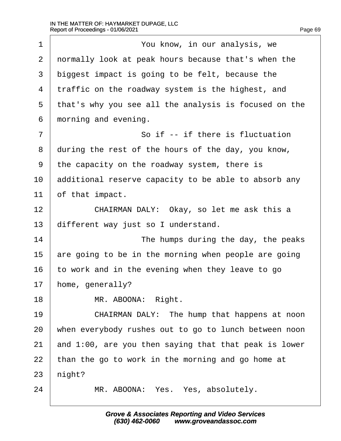| 1              | You know, in our analysis, we                         |
|----------------|-------------------------------------------------------|
| $\overline{2}$ | normally look at peak hours because that's when the   |
| 3              | biggest impact is going to be felt, because the       |
| 4              | traffic on the roadway system is the highest, and     |
| 5              | that's why you see all the analysis is focused on the |
| 6              | morning and evening.                                  |
| $\overline{7}$ | So if -- if there is fluctuation                      |
| 8              | during the rest of the hours of the day, you know,    |
| 9              | the capacity on the roadway system, there is          |
| 10             | additional reserve capacity to be able to absorb any  |
| 11             | of that impact.                                       |
| 12             | CHAIRMAN DALY: Okay, so let me ask this a             |
| 13             | different way just so I understand.                   |
| 14             | The humps during the day, the peaks                   |
| 15             | are going to be in the morning when people are going  |
| 16             | to work and in the evening when they leave to go      |
| 17             | home, generally?                                      |
| 18             | MR. ABOONA: Right.                                    |
| 19             | CHAIRMAN DALY: The hump that happens at noon          |
| 20             | when everybody rushes out to go to lunch between noon |
| 21             | and 1:00, are you then saying that that peak is lower |
| 22             | than the go to work in the morning and go home at     |
| 23             | hight?                                                |
| 24             | MR. ABOONA: Yes. Yes, absolutely.                     |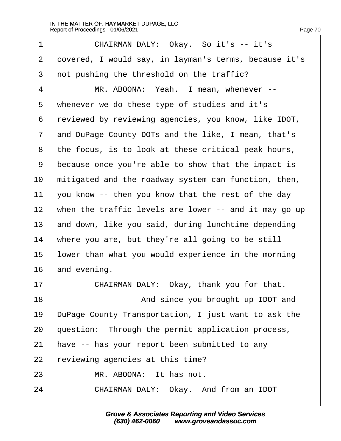| 1              | CHAIRMAN DALY: Okay. So it's -- it's                  |
|----------------|-------------------------------------------------------|
| $\overline{2}$ | dovered, I would say, in layman's terms, because it's |
| 3              | not pushing the threshold on the traffic?             |
| $\overline{4}$ | MR. ABOONA: Yeah. I mean, whenever --                 |
| 5              | whenever we do these type of studies and it's         |
| 6              | reviewed by reviewing agencies, you know, like IDOT,  |
| 7              | and DuPage County DOTs and the like, I mean, that's   |
| 8              | the focus, is to look at these critical peak hours,   |
| 9              | because once you're able to show that the impact is   |
| 10             | mitigated and the roadway system can function, then,  |
| 11             | you know -- then you know that the rest of the day    |
| 12             | when the traffic levels are lower -- and it may go up |
| 13             | and down, like you said, during lunchtime depending   |
| 14             | where you are, but they're all going to be still      |
| 15             | lower than what you would experience in the morning   |
| 16             | and evening.                                          |
| 17             | CHAIRMAN DALY: Okay, thank you for that.              |
| 18             | And since you brought up IDOT and                     |
| 19             | DuPage County Transportation, I just want to ask the  |
| 20             | question: Through the permit application process,     |
| 21             | have -- has your report been submitted to any         |
| 22             | reviewing agencies at this time?                      |
| 23             | MR. ABOONA: It has not.                               |
| 24             | CHAIRMAN DALY: Okay. And from an IDOT                 |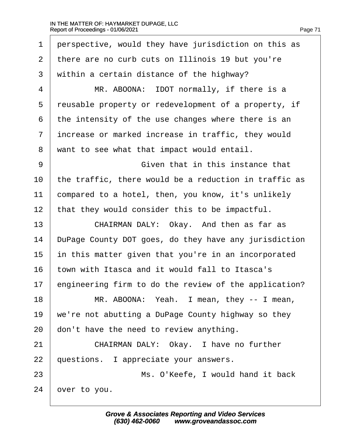| 1  | perspective, would they have jurisdiction on this as  |
|----|-------------------------------------------------------|
| 2  | there are no curb cuts on Illinois 19 but you're      |
| 3  | within a certain distance of the highway?             |
| 4  | MR. ABOONA: IDOT normally, if there is a              |
| 5  | reusable property or redevelopment of a property, if  |
| 6  | the intensity of the use changes where there is an    |
| 7  | increase or marked increase in traffic, they would    |
| 8  | want to see what that impact would entail.            |
| 9  | Given that in this instance that                      |
| 10 | the traffic, there would be a reduction in traffic as |
| 11 | compared to a hotel, then, you know, it's unlikely    |
| 12 | that they would consider this to be impactful.        |
| 13 | CHAIRMAN DALY: Okay. And then as far as               |
| 14 | DuPage County DOT goes, do they have any jurisdiction |
| 15 | in this matter given that you're in an incorporated   |
| 16 | town with Itasca and it would fall to Itasca's        |
| 17 | engineering firm to do the review of the application? |
| 18 | MR. ABOONA: Yeah. I mean, they -- I mean,             |
| 19 | we're not abutting a DuPage County highway so they    |
| 20 | don't have the need to review anything.               |
| 21 | CHAIRMAN DALY: Okay. I have no further                |
| 22 | questions. I appreciate your answers.                 |
| 23 | Ms. O'Keefe, I would hand it back                     |
| 24 | over to you.                                          |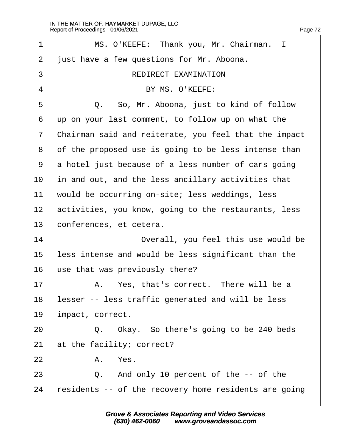| 1              | MS. O'KEEFE: Thank you, Mr. Chairman. I               |
|----------------|-------------------------------------------------------|
| $\overline{2}$ | just have a few questions for Mr. Aboona.             |
| 3              | <b>REDIRECT EXAMINATION</b>                           |
| 4              | BY MS. O'KEEFE:                                       |
| 5              | Q. So, Mr. Aboona, just to kind of follow             |
| 6              | up on your last comment, to follow up on what the     |
| 7              | Chairman said and reiterate, you feel that the impact |
| 8              | of the proposed use is going to be less intense than  |
| 9              | a hotel just because of a less number of cars going   |
| 10             | in and out, and the less ancillary activities that    |
| 11             | would be occurring on-site; less weddings, less       |
| 12             | activities, you know, going to the restaurants, less  |
| 13             | conferences, et cetera.                               |
| 14             | Overall, you feel this use would be                   |
| 15             | less intense and would be less significant than the   |
| 16             | use that was previously there?                        |
| 17             | A. Yes, that's correct. There will be a               |
| 18             | lesser -- less traffic generated and will be less     |
| 19             | impact, correct.                                      |
| 20             | Q. Okay. So there's going to be 240 beds              |
| 21             | at the facility; correct?                             |
| 22             | A. Yes.                                               |
| 23             | Q. And only 10 percent of the -- of the               |
| 24             | residents -- of the recovery home residents are going |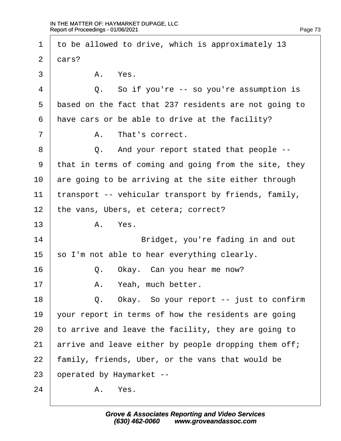1 to be allowed to drive, which is approximately 13  $2$  dars?  $3 \parallel$  A Yes. 4 **Q.** So if you're -- so you're assumption is 5 based on the fact that 237 residents are not going to 6 have cars or be able to drive at the facility?  $7 \parallel$  A. That's correct. 8 | Q. And your report stated that people --9 that in terms of coming and going from the site, they 10 are going to be arriving at the site either through 11 transport -- vehicular transport by friends, family, 12 the vans, Ubers, et cetera; correct? 13 | A. Yes. 14 **Bridget, you're fading in and out** 15 so I'm not able to hear everything clearly.  $16$   $\Box$  Q. Okay. Can you hear me now? 17 | A. Yeah, much better. 18  $\vert$  Q. Okay. So your report -- just to confirm 19 vour report in terms of how the residents are going 20 to arrive and leave the facility, they are going to 21 arrive and leave either by people dropping them off; 22 family, friends, Uber, or the vans that would be 23 b perated by Haymarket -- $24$  A. Yes.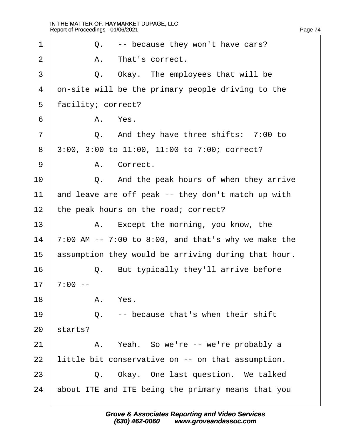| 1              | Q. -- because they won't have cars?                              |
|----------------|------------------------------------------------------------------|
| $\overline{2}$ | A. That's correct.                                               |
| 3              | Q. Okay. The employees that will be                              |
| 4              | on-site will be the primary people driving to the                |
| 5              | facility; correct?                                               |
| 6              | A. Yes.                                                          |
| $\overline{7}$ | Q. And they have three shifts: 7:00 to                           |
| 8              | 3:00, 3:00 to 11:00, 11:00 to 7:00; correct?                     |
| 9              | A. Correct.                                                      |
| 10             | Q. And the peak hours of when they arrive                        |
| 11             | and leave are off peak -- they don't match up with               |
| 12             | the peak hours on the road; correct?                             |
| 13             | A. Except the morning, you know, the                             |
| 14             | $\overline{7:00}$ AM -- 7:00 to 8:00, and that's why we make the |
| 15             | assumption they would be arriving during that hour.              |
| 16             | But typically they'll arrive before<br>Q.                        |
| 17             | $7:00 -$                                                         |
| 18             | A. Yes.                                                          |
| 19             | Q. -- because that's when their shift                            |
| 20             | starts?                                                          |
| 21             | A. Yeah. So we're -- we're probably a                            |
| 22             | little bit conservative on -- on that assumption.                |
| 23             | Q. Okay. One last question. We talked                            |
| 24             | about ITE and ITE being the primary means that you               |
|                |                                                                  |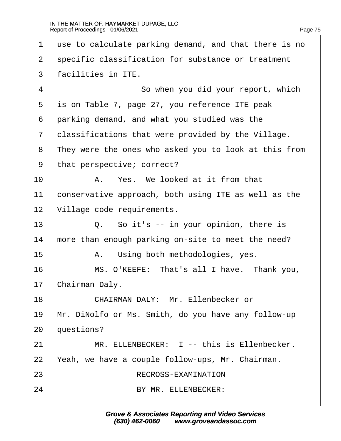| 1            | use to calculate parking demand, and that there is no |
|--------------|-------------------------------------------------------|
| 2            | specific classification for substance or treatment    |
| 3            | facilities in ITE.                                    |
| 4            | So when you did your report, which                    |
| 5            | is on Table 7, page 27, you reference ITE peak        |
| 6            | parking demand, and what you studied was the          |
| $\mathbf{7}$ | dassifications that were provided by the Village.     |
| 8            | They were the ones who asked you to look at this from |
| 9            | that perspective; correct?                            |
| 10           | A. Yes. We looked at it from that                     |
| 11           | conservative approach, both using ITE as well as the  |
| 12           | Village code requirements.                            |
| 13           | Q. So it's -- in your opinion, there is               |
| 14           | more than enough parking on-site to meet the need?    |
| 15           | A. Using both methodologies, yes.                     |
| 16           | MS. O'KEEFE: That's all I have. Thank you,            |
| 17           | Chairman Daly.                                        |
| 18           | <b>CHAIRMAN DALY: Mr. Ellenbecker or</b>              |
| 19           | Mr. DiNolfo or Ms. Smith, do you have any follow-up   |
| 20           | questions?                                            |
| 21           | MR. ELLENBECKER: 1 -- this is Ellenbecker.            |
| 22           | Yeah, we have a couple follow-ups, Mr. Chairman.      |
| 23           | RECROSS-EXAMINATION                                   |
| 24           | BY MR. ELLENBECKER:                                   |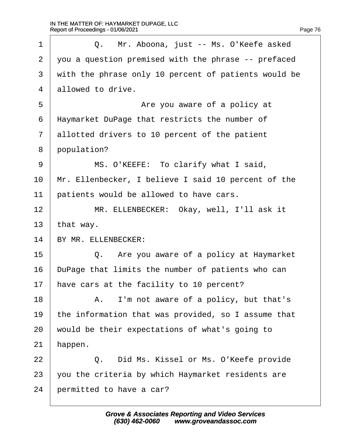| 1              | Q. Mr. Aboona, just -- Ms. O'Keefe asked             |
|----------------|------------------------------------------------------|
| $\overline{2}$ | you a question premised with the phrase -- prefaced  |
| 3              | with the phrase only 10 percent of patients would be |
| $\overline{4}$ | allowed to drive.                                    |
| 5              | Are you aware of a policy at                         |
| 6              | Haymarket DuPage that restricts the number of        |
| $\overline{7}$ | allotted drivers to 10 percent of the patient        |
| 8              | population?                                          |
| 9              | MS. O'KEEFE: To clarify what I said,                 |
| 10             | Mr. Ellenbecker, I believe I said 10 percent of the  |
| 11             | patients would be allowed to have cars.              |
| 12             | MR. ELLENBECKER: Okay, well, I'll ask it             |
| 13             | that way.                                            |
| 14             | BY MR. ELLENBECKER:                                  |
| 15             | Q. Are you aware of a policy at Haymarket            |
| 16             | DuPage that limits the number of patients who can    |
| 17             | have cars at the facility to 10 percent?             |
| 18             | A. I'm not aware of a policy, but that's             |
| 19             | the information that was provided, so I assume that  |
| 20             | would be their expectations of what's going to       |
| 21             | happen.                                              |
| 22             | Did Ms. Kissel or Ms. O'Keefe provide<br>Q.          |
| 23             | you the criteria by which Haymarket residents are    |
| 24             | permitted to have a car?                             |
|                |                                                      |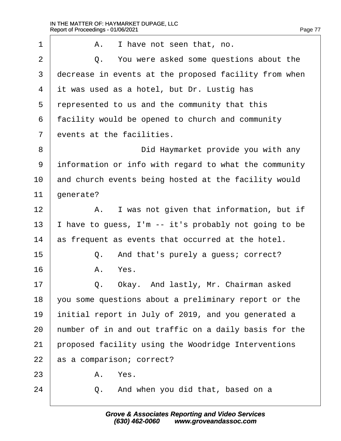| 1              | A. I have not seen that, no.                          |
|----------------|-------------------------------------------------------|
| $\overline{2}$ | Q. You were asked some questions about the            |
| 3              | decrease in events at the proposed facility from when |
| 4              | it was used as a hotel, but Dr. Lustig has            |
| 5              | represented to us and the community that this         |
| 6              | facility would be opened to church and community      |
| $\overline{7}$ | events at the facilities.                             |
| 8              | Did Haymarket provide you with any                    |
| 9              | information or info with regard to what the community |
| 10             | and church events being hosted at the facility would  |
| 11             | generate?                                             |
| 12             | A. I was not given that information, but if           |
| 13             | have to guess, I'm -- it's probably not going to be   |
| 14             | as frequent as events that occurred at the hotel.     |
| 15             | And that's purely a guess; correct?<br>Q.             |
| 16             | A. Yes.                                               |
| 17             | Okay. And lastly, Mr. Chairman asked<br>Q.            |
| 18             | you some questions about a preliminary report or the  |
| 19             | initial report in July of 2019, and you generated a   |
| 20             | humber of in and out traffic on a daily basis for the |
| 21             | proposed facility using the Woodridge Interventions   |
| 22             | as a comparison; correct?                             |
| 23             | A. Yes.                                               |
| 24             | And when you did that, based on a<br>Q.               |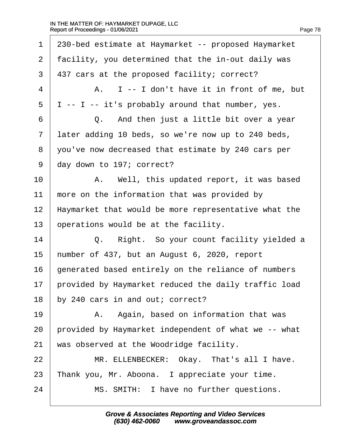| 1              | 230-bed estimate at Haymarket -- proposed Haymarket  |
|----------------|------------------------------------------------------|
| 2              | facility, you determined that the in-out daily was   |
| 3              | 437 cars at the proposed facility; correct?          |
| 4              | A. I -- I don't have it in front of me, but          |
| 5              | I -- I -- it's probably around that number, yes.     |
| 6              | Q. And then just a little bit over a year            |
| $\overline{7}$ | later adding 10 beds, so we're now up to 240 beds,   |
| 8              | you've now decreased that estimate by 240 cars per   |
| 9              | day down to 197; correct?                            |
| 10             | A. Well, this updated report, it was based           |
| 11             | more on the information that was provided by         |
| 12             | Haymarket that would be more representative what the |
| 13             | operations would be at the facility.                 |
| 14             | Right. So your count facility yielded a<br>Q.        |
| 15             | humber of 437, but an August 6, 2020, report         |
| 16             | generated based entirely on the reliance of numbers  |
| 17             | provided by Haymarket reduced the daily traffic load |
| 18             | by 240 cars in and out; correct?                     |
| 19             | A. Again, based on information that was              |
| 20             | provided by Haymarket independent of what we -- what |
| 21             | was observed at the Woodridge facility.              |
| 22             | MR. ELLENBECKER: Okay. That's all I have.            |
| 23             | Thank you, Mr. Aboona. I appreciate your time.       |
| 24             | MS. SMITH: I have no further questions.              |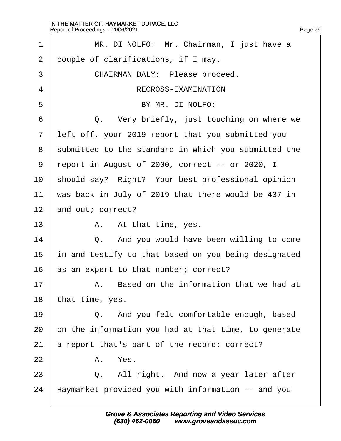| 1              | MR. DI NOLFO: Mr. Chairman, I just have a            |
|----------------|------------------------------------------------------|
| 2              | douple of clarifications, if I may.                  |
| 3              | CHAIRMAN DALY: Please proceed.                       |
| 4              | RECROSS-EXAMINATION                                  |
| 5              | BY MR. DI NOLFO:                                     |
| 6              | Q. Very briefly, just touching on where we           |
| $\overline{7}$ | left off, your 2019 report that you submitted you    |
| 8              | submitted to the standard in which you submitted the |
| 9              | report in August of 2000, correct -- or 2020, I      |
| 10             | should say? Right? Your best professional opinion    |
| 11             | was back in July of 2019 that there would be 437 in  |
| 12             | and out; correct?                                    |
| 13             | A. At that time, yes.                                |
| 14             | Q. And you would have been willing to come           |
| 15             | in and testify to that based on you being designated |
| 16             | as an expert to that number; correct?                |
| 17             | A. Based on the information that we had at           |
| 18             | that time, yes.                                      |
| 19             | Q. And you felt comfortable enough, based            |
| 20             | on the information you had at that time, to generate |
| 21             | a report that's part of the record; correct?         |
| 22             | A. Yes.                                              |
| 23             | Q. All right. And now a year later after             |
| 24             | Haymarket provided you with information -- and you   |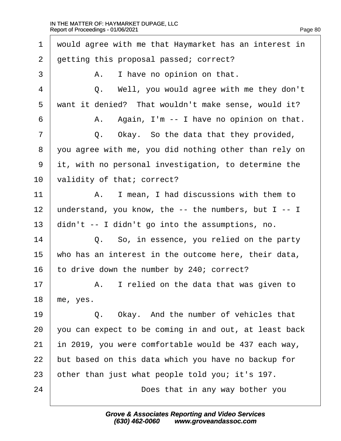| 1              | would agree with me that Haymarket has an interest in |
|----------------|-------------------------------------------------------|
| $\overline{2}$ | getting this proposal passed; correct?                |
| 3              | A. I have no opinion on that.                         |
| $\overline{4}$ | Q. Well, you would agree with me they don't           |
| 5              | want it denied? That wouldn't make sense, would it?   |
| 6              | A. Again, I'm -- I have no opinion on that.           |
| 7              | Q. Okay. So the data that they provided,              |
| 8              | you agree with me, you did nothing other than rely on |
| 9              | it, with no personal investigation, to determine the  |
| 10             | validity of that; correct?                            |
| 11             | A. I mean, I had discussions with them to             |
| 12             | understand, you know, the -- the numbers, but I -- I  |
| 13             | didn't -- I didn't go into the assumptions, no.       |
| 14             | Q. So, in essence, you relied on the party            |
| 15             | who has an interest in the outcome here, their data,  |
| 16             | to drive down the number by 240; correct?             |
| 17             | A. I relied on the data that was given to             |
| 18             | me, yes.                                              |
| 19             | Q. Okay. And the number of vehicles that              |
| 20             | you can expect to be coming in and out, at least back |
| 21             | in 2019, you were comfortable would be 437 each way,  |
| 22             | but based on this data which you have no backup for   |
| 23             | other than just what people told you; it's 197.       |
| 24             | Does that in any way bother you                       |
|                |                                                       |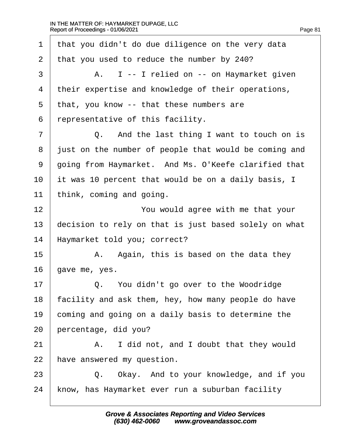| 1              | that you didn't do due diligence on the very data     |
|----------------|-------------------------------------------------------|
| $\overline{2}$ | that you used to reduce the number by 240?            |
| 3              | A. I -- I relied on -- on Haymarket given             |
| 4              | their expertise and knowledge of their operations,    |
| 5              | that, you know -- that these numbers are              |
| 6              | representative of this facility.                      |
| $\overline{7}$ | Q. And the last thing I want to touch on is           |
| 8              | just on the number of people that would be coming and |
| 9              | going from Haymarket. And Ms. O'Keefe clarified that  |
| 10             | it was 10 percent that would be on a daily basis, I   |
| 11             | think, coming and going.                              |
| 12             | You would agree with me that your                     |
| 13             | decision to rely on that is just based solely on what |
| 14             | Haymarket told you; correct?                          |
| 15             | A. Again, this is based on the data they              |
| 16             | gave me, yes.                                         |
| 17             | Q. You didn't go over to the Woodridge                |
| 18             | facility and ask them, hey, how many people do have   |
| 19             | coming and going on a daily basis to determine the    |
| 20             | percentage, did you?                                  |
| 21             | A. I did not, and I doubt that they would             |
| 22             | have answered my question.                            |
| 23             | Q. Okay. And to your knowledge, and if you            |
| 24             | know, has Haymarket ever run a suburban facility      |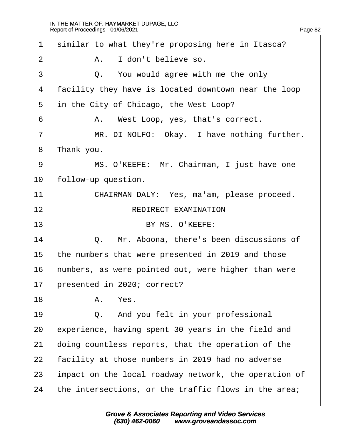| 1              | similar to what they're proposing here in Itasca?     |
|----------------|-------------------------------------------------------|
| 2              | A. I don't believe so.                                |
| 3              | Q. You would agree with me the only                   |
| 4              | facility they have is located downtown near the loop  |
| 5              | in the City of Chicago, the West Loop?                |
| 6              | A. West Loop, yes, that's correct.                    |
| $\overline{7}$ | MR. DI NOLFO: Okay. I have nothing further.           |
| 8              | Thank you.                                            |
| 9              | MS. O'KEEFE: Mr. Chairman, I just have one            |
| 10             | follow-up question.                                   |
| 11             | CHAIRMAN DALY: Yes, ma'am, please proceed.            |
| 12             | <b>REDIRECT EXAMINATION</b>                           |
| 13             | BY MS. O'KEEFE:                                       |
| 14             | Q. Mr. Aboona, there's been discussions of            |
| 15             | the numbers that were presented in 2019 and those     |
| 16             | humbers, as were pointed out, were higher than were   |
| 17             | presented in 2020; correct?                           |
| 18             | Yes.<br>Α.                                            |
| 19             | And you felt in your professional<br>Q.               |
| 20             | experience, having spent 30 years in the field and    |
| 21             | doing countless reports, that the operation of the    |
| 22             | facility at those numbers in 2019 had no adverse      |
| 23             | impact on the local roadway network, the operation of |
| 24             | the intersections, or the traffic flows in the area;  |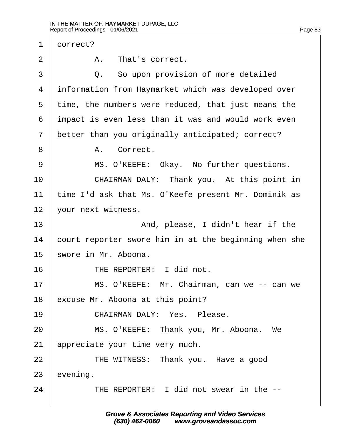| $\mathbf 1$    | dorrect?                                              |
|----------------|-------------------------------------------------------|
| $\overline{2}$ | A. That's correct.                                    |
| 3              | Q. So upon provision of more detailed                 |
| 4              | information from Haymarket which was developed over   |
| 5              | time, the numbers were reduced, that just means the   |
| 6              | impact is even less than it was and would work even   |
| 7              | better than you originally anticipated; correct?      |
| 8              | A. Correct.                                           |
| 9              | MS. O'KEEFE: Okay. No further questions.              |
| 10             | CHAIRMAN DALY: Thank you. At this point in            |
| 11             | time I'd ask that Ms. O'Keefe present Mr. Dominik as  |
| 12             | vour next witness.                                    |
| 13             | And, please, I didn't hear if the                     |
| 14             | court reporter swore him in at the beginning when she |
| 15             | swore in Mr. Aboona.                                  |
| 16             | THE REPORTER: I did not.                              |
| 17             | MS. O'KEEFE: Mr. Chairman, can we -- can we           |
| 18             | excuse Mr. Aboona at this point?                      |
| 19             | <b>CHAIRMAN DALY: Yes. Please.</b>                    |
| 20             | MS. O'KEEFE: Thank you, Mr. Aboona. We                |
| 21             | appreciate your time very much.                       |
| 22             | THE WITNESS: Thank you. Have a good                   |
| 23             | evening.                                              |
| 24             | THE REPORTER: I did not swear in the --               |
|                |                                                       |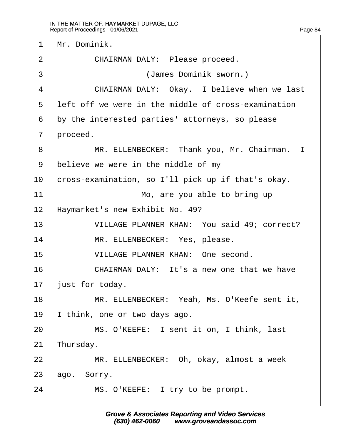1 Mr. Dominik. 2 | CHAIRMAN DALY: Please proceed. 3 | **Communder** (James Dominik sworn.) 4 | CHAIRMAN DALY: Okay. I believe when we last 5 left off we were in the middle of cross-examination 6 by the interested parties' attorneys, so please 7 proceed. 8 | MR. ELLENBECKER: Thank you, Mr. Chairman. I 9 believe we were in the middle of my 10 cross-examination, so I'll pick up if that's okay. 11 **I Mo, are you able to bring up** 12 Haymarket's new Exhibit No. 49? 13 | VILLAGE PLANNER KHAN: You said 49; correct? 14 | MR. ELLENBECKER: Yes, please. 15 · VILLAGE PLANNER KHAN: One second. 16  $\parallel$  CHAIRMAN DALY: It's a new one that we have 17 **just for today.** 18 | MR. ELLENBECKER: Yeah, Ms. O'Keefe sent it, 19  $\parallel$  think, one or two days ago. 20 | MS. O'KEEFE: I sent it on, I think, last 21 Thursday. 22 | MR. ELLENBECKER: Oh, okay, almost a week  $23$  ago. Sorry.  $24$  | MS. O'KEEFE: I try to be prompt.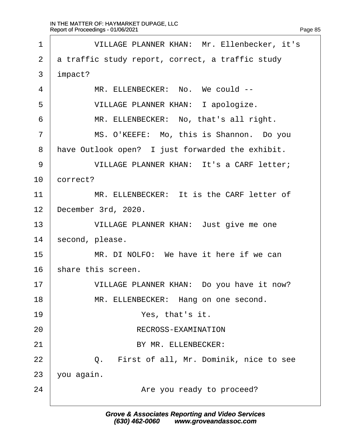| 1              | VILLAGE PLANNER KHAN: Mr. Ellenbecker, it's      |
|----------------|--------------------------------------------------|
| $\overline{2}$ | a traffic study report, correct, a traffic study |
| 3              | impact?                                          |
| 4              | MR. ELLENBECKER: No. We could --                 |
| 5              | <b>VILLAGE PLANNER KHAN: I apologize.</b>        |
| 6              | MR. ELLENBECKER: No, that's all right.           |
| 7              | MS. O'KEEFE: Mo, this is Shannon. Do you         |
| 8              | Have Outlook open? I just forwarded the exhibit. |
| 9              | VILLAGE PLANNER KHAN: It's a CARF letter;        |
| 10             | correct?                                         |
| 11             | MR. ELLENBECKER: It is the CARF letter of        |
| 12             | December 3rd, 2020.                              |
| 13             | VILLAGE PLANNER KHAN: Just give me one           |
| 14             | second, please.                                  |
| 15             | MR. DI NOLFO: We have it here if we can          |
| 16             | share this screen.                               |
| 17             | VILLAGE PLANNER KHAN: Do you have it now?        |
| 18             | MR. ELLENBECKER: Hang on one second.             |
| 19             | Yes, that's it.                                  |
| 20             | RECROSS-EXAMINATION                              |
| 21             | BY MR. ELLENBECKER:                              |
| 22             | Q. First of all, Mr. Dominik, nice to see        |
| 23             | you again.                                       |
| 24             | Are you ready to proceed?                        |
|                |                                                  |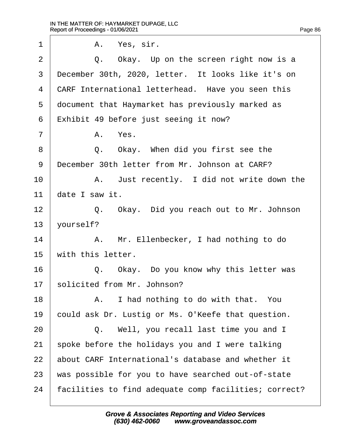| 1              | A. Yes, sir.                                          |
|----------------|-------------------------------------------------------|
| 2              | Q. Okay. Up on the screen right now is a              |
| 3              | December 30th, 2020, letter. It looks like it's on    |
| 4              | CARF International letterhead. Have you seen this     |
| 5              | document that Haymarket has previously marked as      |
| 6              | Exhibit 49 before just seeing it now?                 |
| $\overline{7}$ | A. Yes.                                               |
| 8              | Q. Okay. When did you first see the                   |
| 9              | December 30th letter from Mr. Johnson at CARF?        |
| 10             | A. Just recently. I did not write down the            |
| 11             | date I saw it.                                        |
| 12             | Q. Okay. Did you reach out to Mr. Johnson             |
| 13             | vourself?                                             |
| 14             | A. Mr. Ellenbecker, I had nothing to do               |
| 15             | with this letter.                                     |
| 16             | Q. Okay. Do you know why this letter was              |
| 17             | solicited from Mr. Johnson?                           |
| 18             | A. I had nothing to do with that. You                 |
| 19             | could ask Dr. Lustig or Ms. O'Keefe that question.    |
| 20             | Q. Well, you recall last time you and I               |
| 21             | spoke before the holidays you and I were talking      |
| 22             | about CARF International's database and whether it    |
| 23             | was possible for you to have searched out-of-state    |
| 24             | facilities to find adequate comp facilities; correct? |
|                |                                                       |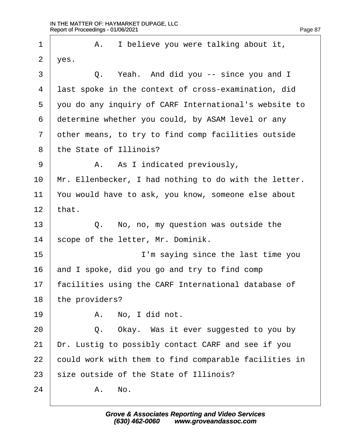| 1              | A. I believe you were talking about it,               |
|----------------|-------------------------------------------------------|
| $\overline{2}$ | yes.                                                  |
| 3              | Q. Yeah. And did you -- since you and I               |
| 4              | last spoke in the context of cross-examination, did   |
| 5              | you do any inquiry of CARF International's website to |
| 6              | determine whether you could, by ASAM level or any     |
| $\overline{7}$ | other means, to try to find comp facilities outside   |
| 8              | the State of Illinois?                                |
| 9              | A. As I indicated previously,                         |
| 10             | Mr. Ellenbecker, I had nothing to do with the letter. |
| 11             | You would have to ask, you know, someone else about   |
| 12             | that.                                                 |
| 13             | Q. No, no, my question was outside the                |
| 14             | scope of the letter, Mr. Dominik.                     |
| 15             | I'm saying since the last time you                    |
| 16             | and I spoke, did you go and try to find comp          |
| 17             | facilities using the CARF International database of   |
| 18             | the providers?                                        |
| 19             | A. No, I did not.                                     |
| 20             | Q. Okay. Was it ever suggested to you by              |
| 21             | Dr. Lustig to possibly contact CARF and see if you    |
| 22             | could work with them to find comparable facilities in |
| 23             | size outside of the State of Illinois?                |
| 24             | A. No.                                                |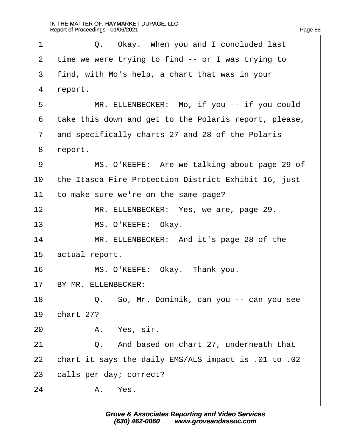| 1              | Q. Okay. When you and I concluded last                |
|----------------|-------------------------------------------------------|
| $\overline{2}$ | time we were trying to find -- or I was trying to     |
| 3              | find, with Mo's help, a chart that was in your        |
| 4              | report.                                               |
| 5              | MR. ELLENBECKER: Mo, if you -- if you could           |
| 6              | take this down and get to the Polaris report, please, |
| $\overline{7}$ | and specifically charts 27 and 28 of the Polaris      |
| 8              | report.                                               |
| 9              | MS. O'KEEFE: Are we talking about page 29 of          |
| 10             | the Itasca Fire Protection District Exhibit 16, just  |
| 11             | to make sure we're on the same page?                  |
| 12             | MR. ELLENBECKER: Yes, we are, page 29.                |
| 13             | MS. O'KEEFE: Okay.                                    |
| 14             | MR. ELLENBECKER: And it's page 28 of the              |
| 15             | actual report.                                        |
| 16             | MS. O'KEEFE: Okay. Thank you.                         |
| 17             | BY MR. ELLENBECKER:                                   |
| 18             | Q. So, Mr. Dominik, can you -- can you see            |
| 19             | chart 27?                                             |
| 20             | A. Yes, sir.                                          |
| 21             | Q. And based on chart 27, underneath that             |
| 22             | chart it says the daily EMS/ALS impact is .01 to .02  |
| 23             | calls per day; correct?                               |
| 24             | A. Yes.                                               |
|                |                                                       |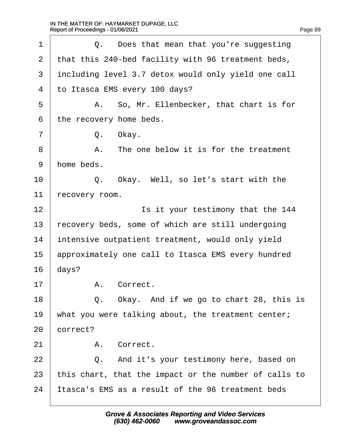| 1  | Q. Does that mean that you're suggesting              |
|----|-------------------------------------------------------|
| 2  | that this 240-bed facility with 96 treatment beds,    |
| 3  | including level 3.7 detox would only yield one call   |
| 4  | to Itasca EMS every 100 days?                         |
| 5  | A. So, Mr. Ellenbecker, that chart is for             |
| 6  | the recovery home beds.                               |
| 7  | Q. Okay.                                              |
| 8  | A. The one below it is for the treatment              |
| 9  | home beds.                                            |
| 10 | Q. Okay. Well, so let's start with the                |
| 11 | recovery room.                                        |
| 12 | Is it your testimony that the 144                     |
| 13 | recovery beds, some of which are still undergoing     |
| 14 | intensive outpatient treatment, would only yield      |
| 15 | approximately one call to Itasca EMS every hundred    |
| 16 | days?                                                 |
| 17 | A. Correct                                            |
| 18 | Q. Okay. And if we go to chart 28, this is            |
| 19 | what you were talking about, the treatment center;    |
| 20 | correct?                                              |
| 21 | A. Correct.                                           |
| 22 | Q. And it's your testimony here, based on             |
| 23 | this chart, that the impact or the number of calls to |
| 24 | Itasca's EMS as a result of the 96 treatment beds     |
|    |                                                       |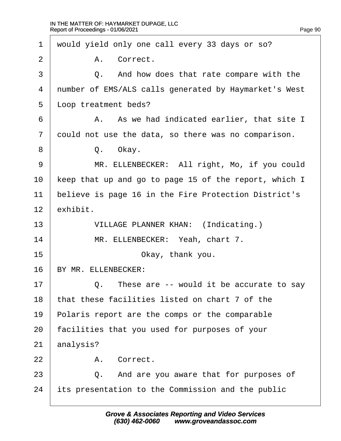| 1              | would yield only one call every 33 days or so?        |
|----------------|-------------------------------------------------------|
| 2              | A. Correct.                                           |
| 3              | Q. And how does that rate compare with the            |
| 4              | number of EMS/ALS calls generated by Haymarket's West |
| 5              | Lloop treatment beds?                                 |
| 6              | A. As we had indicated earlier, that site I           |
| $\overline{7}$ | dould not use the data, so there was no comparison.   |
| 8              | Q. Okay.                                              |
| 9              | MR. ELLENBECKER: All right, Mo, if you could          |
| 10             | keep that up and go to page 15 of the report, which I |
| 11             | believe is page 16 in the Fire Protection District's  |
| 12             | exhibit.                                              |
| 13             | <b>VILLAGE PLANNER KHAN: (Indicating.)</b>            |
| 14             | MR. ELLENBECKER: Yeah, chart 7.                       |
| 15             | Okay, thank you.                                      |
| 16             | BY MR. ELLENBECKER:                                   |
| 17             | Q. These are -- would it be accurate to say           |
| 18             | that these facilities listed on chart 7 of the        |
| 19             | Polaris report are the comps or the comparable        |
| 20             | acilities that you used for purposes of your          |
| 21             | analysis?                                             |
| 22             | A. Correct.                                           |
| 23             | Q. And are you aware that for purposes of             |
| 24             | its presentation to the Commission and the public     |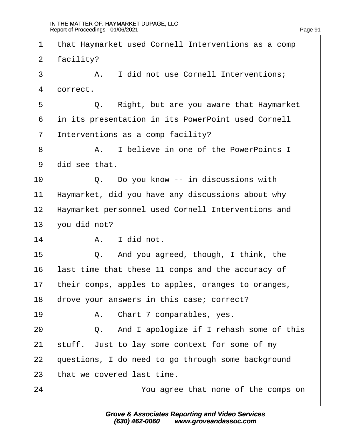| 1              | that Haymarket used Cornell Interventions as a comp |
|----------------|-----------------------------------------------------|
| 2              | facility?                                           |
| 3              | A. I did not use Cornell Interventions;             |
| 4              | dorrect.                                            |
| 5              | Right, but are you aware that Haymarket<br>Q.       |
| 6              | in its presentation in its PowerPoint used Cornell  |
| $\overline{7}$ | Interventions as a comp facility?                   |
| 8              | I believe in one of the PowerPoints I<br>А.         |
| 9              | did see that.                                       |
| 10             | Q. Do you know -- in discussions with               |
| 11             | Haymarket, did you have any discussions about why   |
| 12             | Haymarket personnel used Cornell Interventions and  |
| 13             | you did not?                                        |
| 14             | A. I did not.                                       |
| 15             | Q. And you agreed, though, I think, the             |
| 16             | ast time that these 11 comps and the accuracy of    |
| 17             | their comps, apples to apples, oranges to oranges,  |
| 18             | drove your answers in this case; correct?           |
| 19             | A. Chart 7 comparables, yes.                        |
| 20             | Q. And I apologize if I rehash some of this         |
| 21             | stuff. Just to lay some context for some of my      |
| 22             | questions, I do need to go through some background  |
| 23             | that we covered last time.                          |
| 24             | You agree that none of the comps on                 |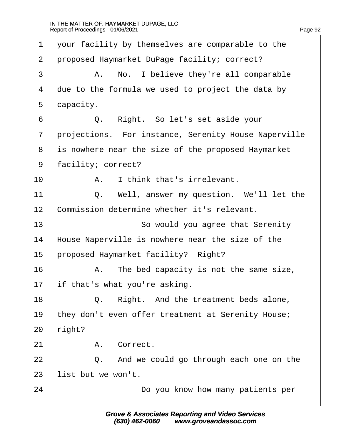| 1              | your facility by themselves are comparable to the    |
|----------------|------------------------------------------------------|
| $\overline{2}$ | proposed Haymarket DuPage facility; correct?         |
| 3              | A. No. I believe they're all comparable              |
| 4              | due to the formula we used to project the data by    |
| 5              | dapacity.                                            |
| 6              | Q. Right. So let's set aside your                    |
| $\overline{7}$ | projections. For instance, Serenity House Naperville |
| 8              | is nowhere near the size of the proposed Haymarket   |
| 9              | facility; correct?                                   |
| 10             | I think that's irrelevant.<br>A.                     |
| 11             | Well, answer my question. We'll let the<br>Q.        |
| 12             | Commission determine whether it's relevant.          |
| 13             | So would you agree that Serenity                     |
| 14             | House Naperville is nowhere near the size of the     |
| 15             | proposed Haymarket facility? Right?                  |
| 16             | A. The bed capacity is not the same size,            |
| 17             | if that's what you're asking.                        |
| 18             | Right. And the treatment beds alone,<br>Q.           |
| 19             | they don't even offer treatment at Serenity House;   |
| 20             | right?                                               |
| 21             | Correct.<br>А.                                       |
| 22             | Q. And we could go through each one on the           |
| 23             | list but we won't.                                   |
| 24             | Do you know how many patients per                    |
|                |                                                      |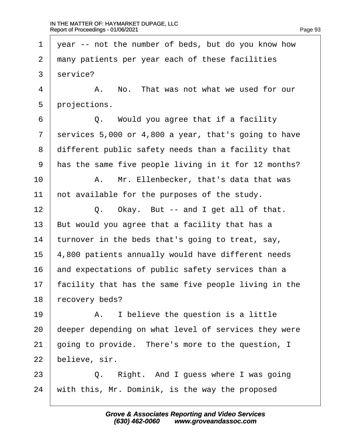1 year -- not the number of beds, but do you know how 2 many patients per year each of these facilities 3 service?  $4 \mid$  A. No. That was not what we used for our 5 projections.  $6 \mid Q$ . Would you agree that if a facility 7 services 5,000 or 4,800 a year, that's going to have 8 different public safety needs than a facility that 9 has the same five people living in it for 12 months? 10 | A. Mr. Ellenbecker, that's data that was 11 hot available for the purposes of the study.  $12 \mid Q$ . Okay. But -- and I get all of that. 13 But would you agree that a facility that has a 14 turnover in the beds that's going to treat, say, 15 4,800 patients annually would have different needs 16 and expectations of public safety services than a 17 facility that has the same five people living in the 18 recovery beds?  $19$  | A. I believe the question is a little 20 deeper depending on what level of services they were 21 going to provide. There's more to the question, I 22 believe, sir.  $23$   $\Box$  Q. Right. And I guess where I was going 24 with this, Mr. Dominik, is the way the proposed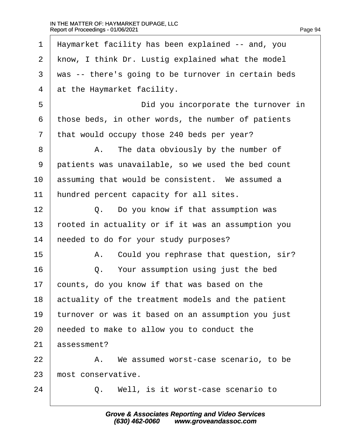| 1              | Haymarket facility has been explained -- and, you   |
|----------------|-----------------------------------------------------|
| $\overline{2}$ | know, I think Dr. Lustig explained what the model   |
| 3              | was -- there's going to be turnover in certain beds |
| $\overline{4}$ | at the Haymarket facility.                          |
| 5              | Did you incorporate the turnover in                 |
| 6              | those beds, in other words, the number of patients  |
| 7              | that would occupy those 240 beds per year?          |
| 8              | A. The data obviously by the number of              |
| 9              | patients was unavailable, so we used the bed count  |
| 10             | assuming that would be consistent. We assumed a     |
| 11             | hundred percent capacity for all sites.             |
| 12             | Q. Do you know if that assumption was               |
| 13             | rooted in actuality or if it was an assumption you  |
| 14             | heeded to do for your study purposes?               |
| 15             | A. Could you rephrase that question, sir?           |
| 16             | Q. Your assumption using just the bed               |
| 17             | counts, do you know if that was based on the        |
| 18             | actuality of the treatment models and the patient   |
| 19             | turnover or was it based on an assumption you just  |
| 20             | heeded to make to allow you to conduct the          |
| 21             | assessment?                                         |
| 22             | A. We assumed worst-case scenario, to be            |
| 23             | most conservative.                                  |
| 24             | Well, is it worst-case scenario to<br>Q.            |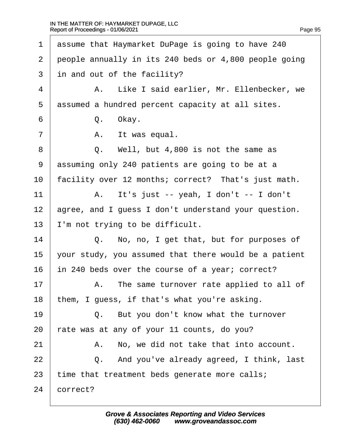| 1              | assume that Haymarket DuPage is going to have 240     |
|----------------|-------------------------------------------------------|
| $\overline{2}$ | people annually in its 240 beds or 4,800 people going |
| 3              | in and out of the facility?                           |
| 4              | A. Like I said earlier, Mr. Ellenbecker, we           |
| 5              | assumed a hundred percent capacity at all sites.      |
| 6              | Q. Okay.                                              |
| $\overline{7}$ | A. It was equal.                                      |
| 8              | Q. Well, but 4,800 is not the same as                 |
| 9              | assuming only 240 patients are going to be at a       |
| 10             | facility over 12 months; correct? That's just math.   |
| 11             | A. It's just -- yeah, I don't -- I don't              |
| 12             | agree, and I guess I don't understand your question.  |
| 13             | I'm not trying to be difficult.                       |
| 14             | Q. No, no, I get that, but for purposes of            |
| 15             | your study, you assumed that there would be a patient |
| 16             | in 240 beds over the course of a year; correct?       |
| 17             | A. The same turnover rate applied to all of           |
| 18             | them, I guess, if that's what you're asking.          |
| 19             | Q. But you don't know what the turnover               |
| 20             | ate was at any of your 11 counts, do you?             |
| 21             | No, we did not take that into account.<br>А.          |
| 22             | Q. And you've already agreed, I think, last           |
| 23             | time that treatment beds generate more calls;         |
| 24             | correct?                                              |
|                |                                                       |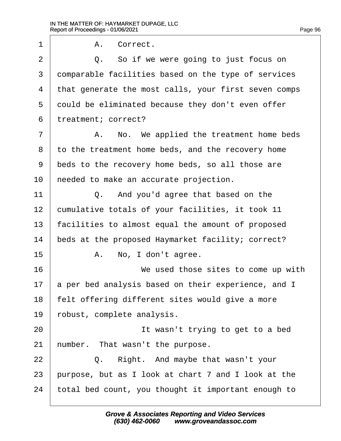1 | A. Correct.  $2 \mid Q$ . So if we were going to just focus on 3 domparable facilities based on the type of services 4 that generate the most calls, your first seven comps 5 dould be eliminated because they don't even offer 6 treatment; correct? 7 | A. No. We applied the treatment home beds 8 to the treatment home beds, and the recovery home ·9· ·beds to the recovery home beds, so all those are 10 heeded to make an accurate projection.  $11$   $\Box$   $\Box$  And you'd agree that based on the 12 cumulative totals of your facilities, it took 11 13 facilities to almost equal the amount of proposed 14 beds at the proposed Haymarket facility; correct?  $15$   $\parallel$  A. No, I don't agree. 16 **We used those sites to come up with** 17 a per bed analysis based on their experience, and I 18 felt offering different sites would give a more 19 robust, complete analysis. 20 **I I l i** wasn't trying to get to a bed 21 humber. That wasn't the purpose.  $22$   $\Box$  Q. Right. And maybe that wasn't your 23 burpose, but as I look at chart 7 and I look at the 24 total bed count, you thought it important enough to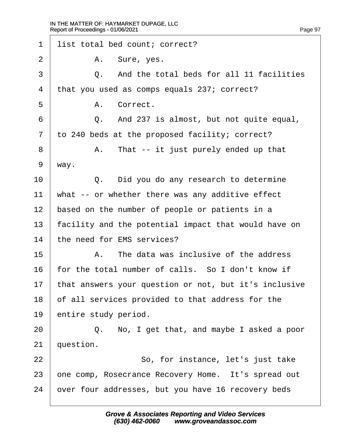| 1              | list total bed count; correct?                        |
|----------------|-------------------------------------------------------|
| 2              | A. Sure, yes.                                         |
| 3              | Q. And the total beds for all 11 facilities           |
| 4              | that you used as comps equals 237; correct?           |
| 5              | A. Correct.                                           |
| 6              | Q. And 237 is almost, but not quite equal,            |
| $\overline{7}$ | to 240 beds at the proposed facility; correct?        |
| 8              | A. That -- it just purely ended up that               |
| 9              | way.                                                  |
| 10             | Q. Did you do any research to determine               |
| 11             | what -- or whether there was any additive effect      |
| 12             | based on the number of people or patients in a        |
| 13             | facility and the potential impact that would have on  |
| 14             | the need for EMS services?                            |
| 15             | A. The data was inclusive of the address              |
| 16             | for the total number of calls. So I don't know if     |
| 17             | that answers your question or not, but it's inclusive |
| 18             | of all services provided to that address for the      |
| 19             | entire study period.                                  |
| 20             | Q. No, I get that, and maybe I asked a poor           |
| 21             | question.                                             |
| 22             | So, for instance, let's just take                     |
| 23             | one comp, Rosecrance Recovery Home. It's spread out   |
| 24             | over four addresses, but you have 16 recovery beds    |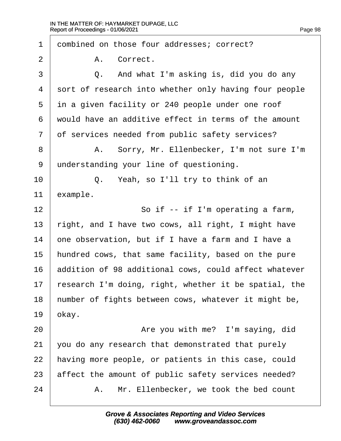1 dombined on those four addresses; correct? 2 | A. Correct.  $\overline{3}$   $\overline{Q}$ . And what I'm asking is, did you do any 4 sort of research into whether only having four people 5 in a given facility or 240 people under one roof ·6· ·would have an additive effect in terms of the amount 7 of services needed from public safety services? 8 | A. Sorry, Mr. Ellenbecker, I'm not sure I'm 9 understanding your line of questioning.  $10$   $\vert$  Q. Yeah, so I'll try to think of an 11 example. 12  $\parallel$  So if -- if I'm operating a farm, 13 right, and I have two cows, all right, I might have 14 one observation, but if I have a farm and I have a 15 hundred cows, that same facility, based on the pure 16 addition of 98 additional cows, could affect whatever 17 research I'm doing, right, whether it be spatial, the 18 humber of fights between cows, whatever it might be, 19  $b$ kay. 20 **Are you with me?** I'm saying, did 21 you do any research that demonstrated that purely 22 having more people, or patients in this case, could 23 affect the amount of public safety services needed? 24 A. Mr. Ellenbecker, we took the bed count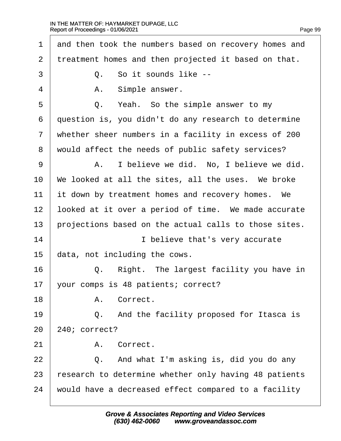| 1              | and then took the numbers based on recovery homes and |
|----------------|-------------------------------------------------------|
| $\overline{2}$ | treatment homes and then projected it based on that.  |
| 3              | Q. So it sounds like --                               |
| 4              | Simple answer.<br>А.                                  |
| 5              | Q. Yeah. So the simple answer to my                   |
| 6              | question is, you didn't do any research to determine  |
| $\overline{7}$ | whether sheer numbers in a facility in excess of 200  |
| 8              | would affect the needs of public safety services?     |
| 9              | A. I believe we did. No, I believe we did.            |
| 10             | We looked at all the sites, all the uses. We broke    |
| 11             | it down by treatment homes and recovery homes. We     |
| 12             | looked at it over a period of time. We made accurate  |
| 13             | projections based on the actual calls to those sites. |
| 14             | I believe that's very accurate                        |
| 15             | data, not including the cows.                         |
| 16             | Right. The largest facility you have in<br>Q.         |
| 17             | your comps is 48 patients; correct?                   |
| 18             | A. Correct.                                           |
| 19             | Q. And the facility proposed for Itasca is            |
| 20             | 240; correct?                                         |
| 21             | A. Correct.                                           |
| 22             | Q. And what I'm asking is, did you do any             |
| 23             | esearch to determine whether only having 48 patients  |
| 24             | would have a decreased effect compared to a facility  |
|                |                                                       |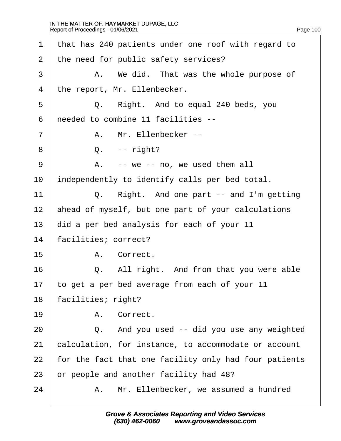| 1  | that has 240 patients under one roof with regard to   |
|----|-------------------------------------------------------|
| 2  | the need for public safety services?                  |
| 3  | A. We did. That was the whole purpose of              |
| 4  | the report, Mr. Ellenbecker.                          |
| 5  | Q. Right. And to equal 240 beds, you                  |
| 6  | needed to combine 11 facilities --                    |
| 7  | A. Mr. Ellenbecker --                                 |
| 8  | $Q. - right?$                                         |
| 9  | A. -- we -- no, we used them all                      |
| 10 | independently to identify calls per bed total.        |
| 11 | Q. Right. And one part -- and I'm getting             |
| 12 | ahead of myself, but one part of your calculations    |
| 13 | did a per bed analysis for each of your 11            |
| 14 | facilities; correct?                                  |
| 15 | A. Correct.                                           |
| 16 | All right. And from that you were able<br>Q.          |
| 17 | to get a per bed average from each of your 11         |
| 18 | facilities; right?                                    |
| 19 | A. Correct.                                           |
| 20 | Q. And you used -- did you use any weighted           |
| 21 | calculation, for instance, to accommodate or account  |
| 22 | for the fact that one facility only had four patients |
| 23 | or people and another facility had 48?                |
| 24 | Mr. Ellenbecker, we assumed a hundred<br>А.           |
|    |                                                       |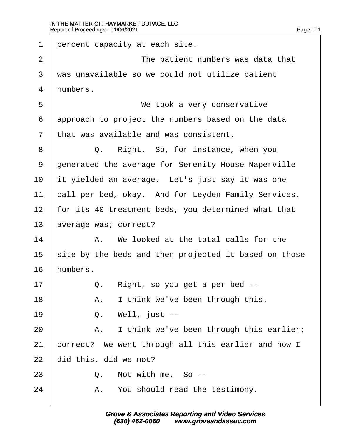| 1                 | percent capacity at each site.                        |                                                     |  |
|-------------------|-------------------------------------------------------|-----------------------------------------------------|--|
| $\overline{2}$    | The patient numbers was data that                     |                                                     |  |
| 3                 | was unavailable so we could not utilize patient       |                                                     |  |
| 4                 | numbers.                                              |                                                     |  |
| 5                 | We took a very conservative                           |                                                     |  |
| 6                 | approach to project the numbers based on the data     |                                                     |  |
| $\overline{7}$    |                                                       | that was available and was consistent.              |  |
| 8                 | Q.                                                    | Right. So, for instance, when you                   |  |
| 9                 | generated the average for Serenity House Naperville   |                                                     |  |
| 10                |                                                       | it yielded an average. Let's just say it was one    |  |
| 11                | call per bed, okay. And for Leyden Family Services,   |                                                     |  |
| $12 \overline{ }$ | for its 40 treatment beds, you determined what that   |                                                     |  |
| 13                | average was; correct?                                 |                                                     |  |
| 14                |                                                       | A. We looked at the total calls for the             |  |
| 15                | site by the beds and then projected it based on those |                                                     |  |
| 16                | humbers.                                              |                                                     |  |
| 17                |                                                       | Q. Right, so you get a per bed --                   |  |
| 18                | А.                                                    | I think we've been through this.                    |  |
| 19                |                                                       | Q. Well, just --                                    |  |
| 20                |                                                       | A. I think we've been through this earlier;         |  |
| 21                |                                                       | correct? We went through all this earlier and how I |  |
| 22                |                                                       | did this, did we not?                               |  |
| 23                |                                                       | Q. Not with me. So --                               |  |
| 24                |                                                       | A. You should read the testimony.                   |  |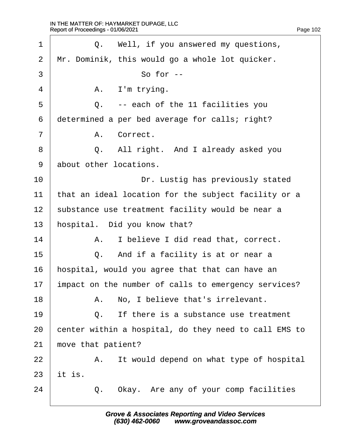| 1  | Q. Well, if you answered my questions,                |
|----|-------------------------------------------------------|
| 2  | Mr. Dominik, this would go a whole lot quicker.       |
| 3  | So for --                                             |
| 4  | A. I'm trying.                                        |
| 5  | Q. -- each of the 11 facilities you                   |
| 6  | determined a per bed average for calls; right?        |
| 7  | A. Correct.                                           |
| 8  | Q. All right. And I already asked you                 |
| 9  | about other locations.                                |
| 10 | Dr. Lustig has previously stated                      |
| 11 | that an ideal location for the subject facility or a  |
| 12 | substance use treatment facility would be near a      |
| 13 | hospital. Did you know that?                          |
| 14 | I believe I did read that, correct.<br>А.             |
| 15 | Q. And if a facility is at or near a                  |
| 16 | hospital, would you agree that that can have an       |
| 17 | impact on the number of calls to emergency services?  |
| 18 | A. No, I believe that's irrelevant.                   |
| 19 | If there is a substance use treatment<br>Q.           |
| 20 | center within a hospital, do they need to call EMS to |
| 21 | move that patient?                                    |
| 22 | A. It would depend on what type of hospital           |
| 23 | it is.                                                |
| 24 | Q. Okay. Are any of your comp facilities              |
|    |                                                       |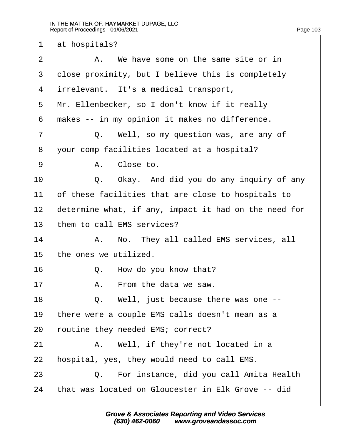1 at hospitals?

| $\overline{2}$ | A. We have some on the same site or in                |
|----------------|-------------------------------------------------------|
| 3              | close proximity, but I believe this is completely     |
| 4              | intrelevant. It's a medical transport,                |
| 5              | Mr. Ellenbecker, so I don't know if it really         |
| 6              | makes -- in my opinion it makes no difference.        |
| $\overline{7}$ | Q. Well, so my question was, are any of               |
| 8              | your comp facilities located at a hospital?           |
| 9              | A. Close to.                                          |
| 10             | Q. Okay. And did you do any inquiry of any            |
| 11             | of these facilities that are close to hospitals to    |
| 12             | determine what, if any, impact it had on the need for |
| 13             | them to call EMS services?                            |
| 14             | A. No. They all called EMS services, all              |
| 15             | the ones we utilized.                                 |
| 16             | Q. How do you know that?                              |
| 17             | From the data we saw.<br>А.                           |
| 18             | $\Omega$ .<br>Well, just because there was one --     |
| 19             | there were a couple EMS calls doesn't mean as a       |
| 20             | outine they needed EMS; correct?                      |
| 21             | A. Well, if they're not located in a                  |
| 22             | hospital, yes, they would need to call EMS.           |
| 23             | Q. For instance, did you call Amita Health            |
| 24             | that was located on Gloucester in Elk Grove -- did    |
|                |                                                       |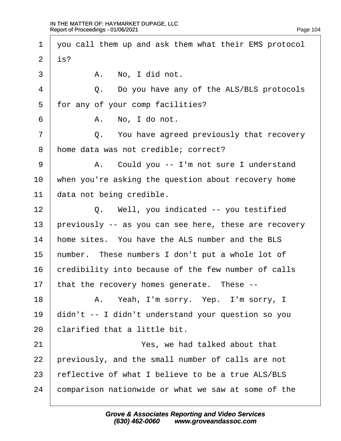| $\mathbf 1$    | you call them up and ask them what their EMS protocol |  |  |
|----------------|-------------------------------------------------------|--|--|
| $\overline{2}$ | $i$ \$?                                               |  |  |
| 3              | A. No, I did not.                                     |  |  |
| $\overline{4}$ | Q. Do you have any of the ALS/BLS protocols           |  |  |
| 5              | for any of your comp facilities?                      |  |  |
| 6              | A. No, I do not.                                      |  |  |
| $\overline{7}$ | Q. You have agreed previously that recovery           |  |  |
| 8              | home data was not credible; correct?                  |  |  |
| 9              | A. Could you -- I'm not sure I understand             |  |  |
| 10             | when you're asking the question about recovery home   |  |  |
| 11             | data not being credible.                              |  |  |
| 12             | Q. Well, you indicated -- you testified               |  |  |
| 13             | previously -- as you can see here, these are recovery |  |  |
| 14             | home sites. You have the ALS number and the BLS       |  |  |
| 15             | humber. These numbers I don't put a whole lot of      |  |  |
| 16             | credibility into because of the few number of calls   |  |  |
| 17             | that the recovery homes generate. These --            |  |  |
| 18             | A. Yeah, I'm sorry. Yep. I'm sorry, I                 |  |  |
| 19             | didn't -- I didn't understand your question so you    |  |  |
| 20             | clarified that a little bit.                          |  |  |
| 21             | Yes, we had talked about that                         |  |  |
| 22             | previously, and the small number of calls are not     |  |  |
| 23             | reflective of what I believe to be a true ALS/BLS     |  |  |
| 24             | comparison nationwide or what we saw at some of the   |  |  |
|                |                                                       |  |  |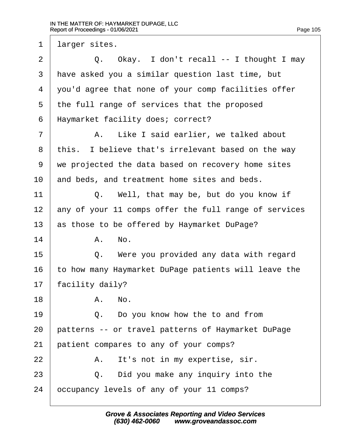1 larger sites.

| $\overline{2}$ | Q. Okay. I don't recall -- I thought I may            |
|----------------|-------------------------------------------------------|
| 3              | have asked you a similar question last time, but      |
| 4              | you'd agree that none of your comp facilities offer   |
| 5              | the full range of services that the proposed          |
| 6              | Haymarket facility does; correct?                     |
| 7              | A. Like I said earlier, we talked about               |
| 8              | this. I believe that's irrelevant based on the way    |
| 9              | we projected the data based on recovery home sites    |
| 10             | and beds, and treatment home sites and beds.          |
| 11             | Q. Well, that may be, but do you know if              |
| 12             | any of your 11 comps offer the full range of services |
| 13             | as those to be offered by Haymarket DuPage?           |
| 14             | A. No.                                                |
| 15             | Q. Were you provided any data with regard             |
| 16             | to how many Haymarket DuPage patients will leave the  |
| 17             | facility daily?                                       |
| 18             | A. No                                                 |
| 19             | Q. Do you know how the to and from                    |
| 20             | patterns -- or travel patterns of Haymarket DuPage    |
| 21             | patient compares to any of your comps?                |
| 22             | It's not in my expertise, sir.<br>А.                  |
| 23             | Q. Did you make any inquiry into the                  |
| 24             | occupancy levels of any of your 11 comps?             |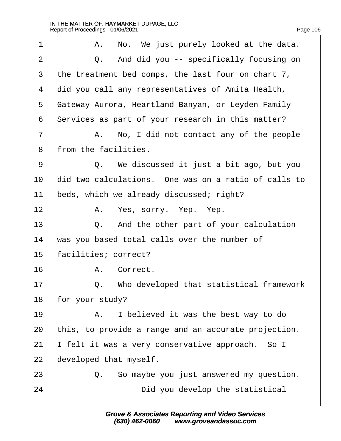| 1              | A. No. We just purely looked at the data.            |
|----------------|------------------------------------------------------|
| 2              | Q. And did you -- specifically focusing on           |
| 3              | the treatment bed comps, the last four on chart 7,   |
| $\overline{4}$ | did you call any representatives of Amita Health,    |
| 5              | Gateway Aurora, Heartland Banyan, or Leyden Family   |
| 6              | Services as part of your research in this matter?    |
| 7              | A. No, I did not contact any of the people           |
| 8              | from the facilities.                                 |
| 9              | Q. We discussed it just a bit ago, but you           |
| 10             | did two calculations. One was on a ratio of calls to |
| 11             | beds, which we already discussed; right?             |
| 12             | A. Yes, sorry. Yep. Yep.                             |
| 13             | Q. And the other part of your calculation            |
| 14             | was you based total calls over the number of         |
| 15             | facilities; correct?                                 |
| 16             | A. Correct.                                          |
| 17             | Q. Who developed that statistical framework          |
| 18             | for your study?                                      |
| 19             | A. I believed it was the best way to do              |
| 20             | this, to provide a range and an accurate projection. |
| 21             | felt it was a very conservative approach. So I       |
| 22             | developed that myself.                               |
| 23             | Q. So maybe you just answered my question.           |
| 24             | Did you develop the statistical                      |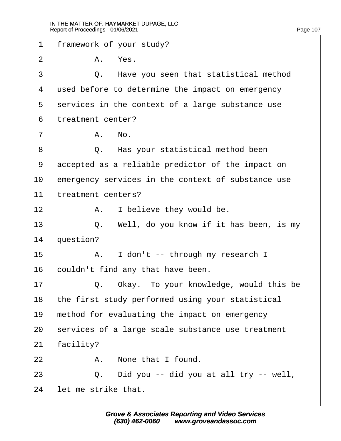| 1              | framework of your study?                           |                                                  |  |
|----------------|----------------------------------------------------|--------------------------------------------------|--|
| $\overline{2}$ |                                                    | A. Yes.                                          |  |
| 3              | Q.                                                 | Have you seen that statistical method            |  |
| 4              |                                                    | used before to determine the impact on emergency |  |
| 5              | services in the context of a large substance use   |                                                  |  |
| 6              | treatment center?                                  |                                                  |  |
| 7              |                                                    | A. No.                                           |  |
| 8              |                                                    | Q. Has your statistical method been              |  |
| 9              | accepted as a reliable predictor of the impact on  |                                                  |  |
| 10             | emergency services in the context of substance use |                                                  |  |
| 11             | treatment centers?                                 |                                                  |  |
| 12             |                                                    | A. I believe they would be.                      |  |
| 13             |                                                    | Q. Well, do you know if it has been, is my       |  |
| 14             | question?                                          |                                                  |  |
| 15             |                                                    | A. I don't -- through my research I              |  |
| 16             |                                                    | couldn't find any that have been.                |  |
| 17             |                                                    | Q. Okay. To your knowledge, would this be        |  |
| 18             |                                                    | the first study performed using your statistical |  |
| 19             |                                                    | method for evaluating the impact on emergency    |  |
| 20             | services of a large scale substance use treatment  |                                                  |  |
| 21             | facility?                                          |                                                  |  |
| 22             |                                                    | A. None that I found.                            |  |
| 23             |                                                    | Q. Did you -- did you at all try -- well,        |  |
| 24             | let me strike that.                                |                                                  |  |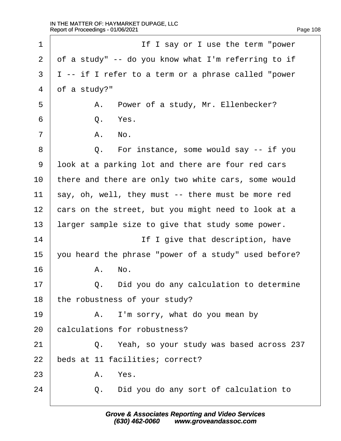| 1              | If I say or I use the term "power"                    |
|----------------|-------------------------------------------------------|
| $\overline{2}$ | of a study" -- do you know what I'm referring to if   |
| 3              | $I$ -- if I refer to a term or a phrase called "power |
| 4              | of a study?"                                          |
| 5              | A. Power of a study, Mr. Ellenbecker?                 |
| 6              | Q.<br>Yes.                                            |
| $\overline{7}$ | A. No.                                                |
| 8              | Q. For instance, some would say -- if you             |
| 9              | look at a parking lot and there are four red cars     |
| 10             | there and there are only two white cars, some would   |
| 11             | say, oh, well, they must -- there must be more red    |
| 12             | cars on the street, but you might need to look at a   |
| 13             | larger sample size to give that study some power.     |
| 14             | If I give that description, have                      |
| 15             | you heard the phrase "power of a study" used before?  |
| 16             | A. No.                                                |
| 17             | Did you do any calculation to determine<br>Q.         |
| 18             | the robustness of your study?                         |
| 19             | A. I'm sorry, what do you mean by                     |
| 20             | calculations for robustness?                          |
| 21             | Q. Yeah, so your study was based across 237           |
| 22             | beds at 11 facilities; correct?                       |
| 23             | A. Yes.                                               |
| 24             | Q. Did you do any sort of calculation to              |
|                |                                                       |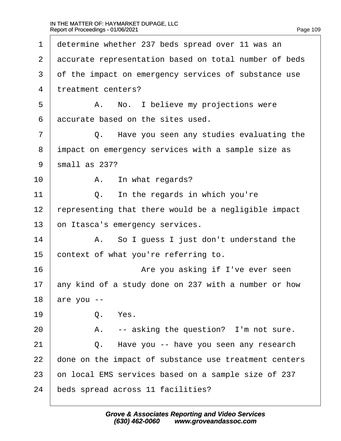| 1              | determine whether 237 beds spread over 11 was an      |
|----------------|-------------------------------------------------------|
| $\mathbf{2}$   | accurate representation based on total number of beds |
| 3              | of the impact on emergency services of substance use  |
| 4              | treatment centers?                                    |
| 5              | A. No. I believe my projections were                  |
| 6              | accurate based on the sites used.                     |
| $\overline{7}$ | Q. Have you seen any studies evaluating the           |
| 8              | impact on emergency services with a sample size as    |
| 9              | small as 237?                                         |
| 10             | A. In what regards?                                   |
| 11             | Q. In the regards in which you're                     |
| 12             | representing that there would be a negligible impact  |
| 13             | on Itasca's emergency services.                       |
| 14             | A. So I guess I just don't understand the             |
| 15             | context of what you're referring to.                  |
| 16             | Are you asking if I've ever seen                      |
| 17             | any kind of a study done on 237 with a number or how  |
| 18             | are you --                                            |
| 19             | Q. Yes.                                               |
| 20             | A. -- asking the question? I'm not sure.              |
| 21             | Q. Have you -- have you seen any research             |
| 22             | done on the impact of substance use treatment centers |
| 23             | on local EMS services based on a sample size of 237   |
| 24             | beds spread across 11 facilities?                     |
|                |                                                       |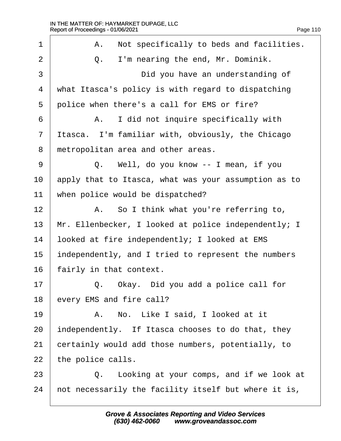| 1              | A. Not specifically to beds and facilities.          |
|----------------|------------------------------------------------------|
| $\overline{2}$ | I'm nearing the end, Mr. Dominik.<br>Q.              |
| 3              | Did you have an understanding of                     |
| 4              | what Itasca's policy is with regard to dispatching   |
| 5              | police when there's a call for EMS or fire?          |
| 6              | A. I did not inquire specifically with               |
| 7              | Itasca. I'm familiar with, obviously, the Chicago    |
| 8              | metropolitan area and other areas.                   |
| 9              | Q. Well, do you know -- I mean, if you               |
| 10             | apply that to Itasca, what was your assumption as to |
| 11             | when police would be dispatched?                     |
| 12             | A. So I think what you're referring to,              |
| 13             | Mr. Ellenbecker, I looked at police independently; I |
| 14             | looked at fire independently; I looked at EMS        |
| 15             | independently, and I tried to represent the numbers  |
| 16             | fairly in that context.                              |
| 17             | Okay. Did you add a police call for<br>Q.            |
| 18             | every EMS and fire call?                             |
| 19             | A. No. Like I said, I looked at it                   |
| 20             | independently. If Itasca chooses to do that, they    |
| 21             | certainly would add those numbers, potentially, to   |
| 22             | the police calls.                                    |
| 23             | Q. Looking at your comps, and if we look at          |
| 24             | not necessarily the facility itself but where it is, |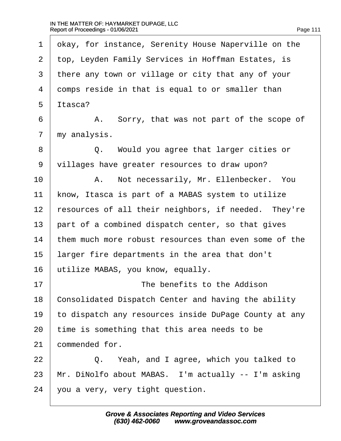$\sqrt{ }$ 

| 1              | okay, for instance, Serenity House Naperville on the  |
|----------------|-------------------------------------------------------|
| $\overline{2}$ | top, Leyden Family Services in Hoffman Estates, is    |
| 3              | there any town or village or city that any of your    |
| 4              | domps reside in that is equal to or smaller than      |
| 5              | Itasca?                                               |
| 6              | A. Sorry, that was not part of the scope of           |
| $\overline{7}$ | my analysis.                                          |
| 8              | Q. Would you agree that larger cities or              |
| 9              | villages have greater resources to draw upon?         |
| 10             | A. Not necessarily, Mr. Ellenbecker. You              |
| 11             | know, Itasca is part of a MABAS system to utilize     |
| 12             | resources of all their neighbors, if needed. They're  |
| 13             | part of a combined dispatch center, so that gives     |
| 14             | them much more robust resources than even some of the |
| 15             | larger fire departments in the area that don't        |
| 16             | utilize MABAS, you know, equally.                     |
| 17             | The benefits to the Addison                           |
| 18             | Consolidated Dispatch Center and having the ability   |
| 19             | to dispatch any resources inside DuPage County at any |
| 20             | time is something that this area needs to be          |
| 21             | commended for.                                        |
| 22             | Q. Yeah, and I agree, which you talked to             |
| 23             | Mr. DiNolfo about MABAS. I'm actually -- I'm asking   |
| 24             | you a very, very tight question.                      |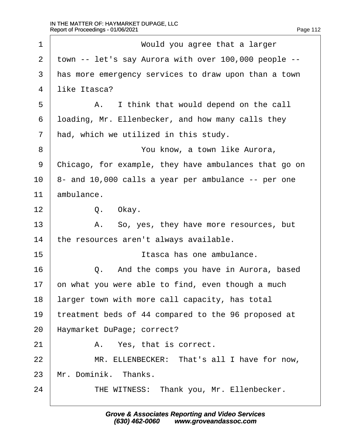| 1              | Would you agree that a larger                         |
|----------------|-------------------------------------------------------|
| 2              | town -- let's say Aurora with over 100,000 people --  |
| 3              | has more emergency services to draw upon than a town  |
| 4              | like Itasca?                                          |
| 5              | A. I think that would depend on the call              |
| 6              | Ibading, Mr. Ellenbecker, and how many calls they     |
| $\overline{7}$ | had, which we utilized in this study.                 |
| 8              | You know, a town like Aurora,                         |
| 9              | Chicago, for example, they have ambulances that go on |
| 10             | 8- and 10,000 calls a year per ambulance -- per one   |
| 11             | ambulance.                                            |
| 12             | Q. Okay.                                              |
| 13             | A. So, yes, they have more resources, but             |
| 14             | the resources aren't always available.                |
| 15             | Itasca has one ambulance.                             |
| 16             | Q. And the comps you have in Aurora, based            |
| 17             | on what you were able to find, even though a much     |
| 18             | larger town with more call capacity, has total        |
| 19             | treatment beds of 44 compared to the 96 proposed at   |
| 20             | Haymarket DuPage; correct?                            |
| 21             | A. Yes, that is correct.                              |
| 22             | MR. ELLENBECKER: That's all I have for now,           |
| 23             | Mr. Dominik. Thanks.                                  |
| 24             | THE WITNESS: Thank you, Mr. Ellenbecker.              |
|                |                                                       |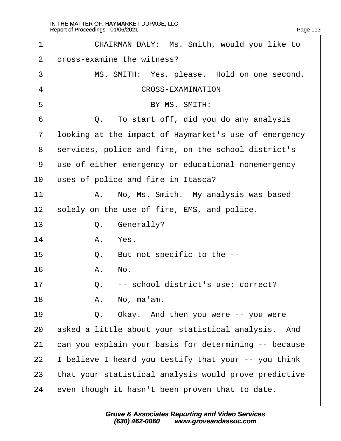| 1              | CHAIRMAN DALY: Ms. Smith, would you like to           |
|----------------|-------------------------------------------------------|
| 2              | dross-examine the witness?                            |
| 3              | MS. SMITH: Yes, please. Hold on one second.           |
| 4              | <b>CROSS-EXAMINATION</b>                              |
| 5              | BY MS. SMITH:                                         |
| 6              | Q. To start off, did you do any analysis              |
| $\overline{7}$ | Iboking at the impact of Haymarket's use of emergency |
| 8              | services, police and fire, on the school district's   |
| 9              | use of either emergency or educational nonemergency   |
| 10             | uses of police and fire in Itasca?                    |
| 11             | A. No, Ms. Smith. My analysis was based               |
| 12             | solely on the use of fire, EMS, and police.           |
| 13             | Q. Generally?                                         |
| 14             | A. Yes.                                               |
| 15             | But not specific to the --<br>Q.                      |
| 16             | A. No.                                                |
| 17             | -- school district's use; correct?<br>Q.              |
| 18             | A. No, ma'am.                                         |
| 19             | Q. Okay. And then you were -- you were                |
| 20             | asked a little about your statistical analysis. And   |
| 21             | can you explain your basis for determining -- because |
| 22             | believe I heard you testify that your -- you think    |
| 23             | that your statistical analysis would prove predictive |
| 24             | even though it hasn't been proven that to date.       |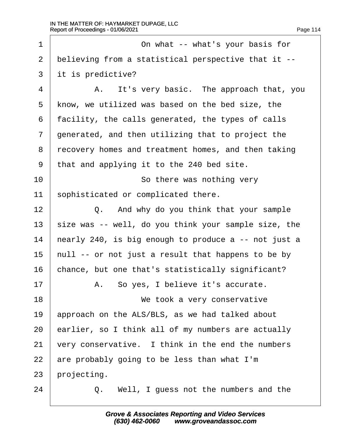| 1              | On what -- what's your basis for                     |
|----------------|------------------------------------------------------|
| $\overline{2}$ | believing from a statistical perspective that it --  |
| 3              | it is predictive?                                    |
| 4              | A. It's very basic. The approach that, you           |
| 5              | know, we utilized was based on the bed size, the     |
| 6              | facility, the calls generated, the types of calls    |
| 7              | generated, and then utilizing that to project the    |
| 8              | recovery homes and treatment homes, and then taking  |
| 9              | that and applying it to the 240 bed site.            |
| 10             | So there was nothing very                            |
| 11             | sophisticated or complicated there.                  |
| 12             | Q. And why do you think that your sample             |
| 13             | size was -- well, do you think your sample size, the |
| 14             | hearly 240, is big enough to produce a -- not just a |
| 15             | hull -- or not just a result that happens to be by   |
| 16             | chance, but one that's statistically significant?    |
| 17             | A. So yes, I believe it's accurate.                  |
| 18             | We took a very conservative                          |
| 19             | approach on the ALS/BLS, as we had talked about      |
| 20             | earlier, so I think all of my numbers are actually   |
| 21             | very conservative. I think in the end the numbers    |
| 22             | are probably going to be less than what I'm          |
| 23             | projecting.                                          |
| 24             | Q. Well, I guess not the numbers and the             |
|                |                                                      |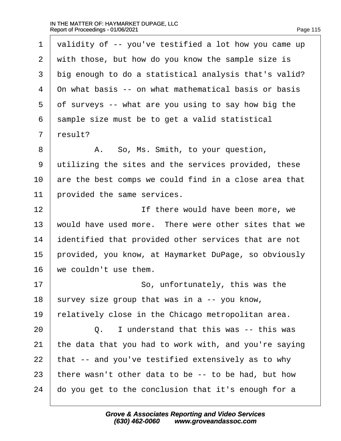| Page 115 |  |  |
|----------|--|--|
|          |  |  |

| 1              | validity of -- you've testified a lot how you came up |
|----------------|-------------------------------------------------------|
| $\overline{2}$ | with those, but how do you know the sample size is    |
| 3              | big enough to do a statistical analysis that's valid? |
| 4              | On what basis -- on what mathematical basis or basis  |
| 5              | of surveys -- what are you using to say how big the   |
| 6              | sample size must be to get a valid statistical        |
| $\overline{7}$ | result?                                               |
| 8              | A. So, Ms. Smith, to your question,                   |
| 9              | utilizing the sites and the services provided, these  |
| 10             | are the best comps we could find in a close area that |
| 11             | provided the same services.                           |
| 12             | If there would have been more, we                     |
| 13             | would have used more. There were other sites that we  |
| 14             | dentified that provided other services that are not   |
| 15             | provided, you know, at Haymarket DuPage, so obviously |
| 16             | we couldn't use them.                                 |
| 17             | So, unfortunately, this was the                       |
| 18             | survey size group that was in a -- you know,          |
| 19             | elatively close in the Chicago metropolitan area.     |
| 20             | I understand that this was -- this was<br>Q.          |
| 21             | the data that you had to work with, and you're saying |
| 22             | that -- and you've testified extensively as to why    |
| 23             | there wasn't other data to be -- to be had, but how   |
| 24             | do you get to the conclusion that it's enough for a   |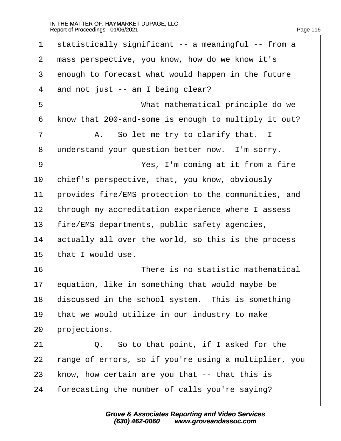| 1  | statistically significant -- a meaningful -- from a  |
|----|------------------------------------------------------|
| 2  | mass perspective, you know, how do we know it's      |
| 3  | enough to forecast what would happen in the future   |
| 4  | and not just -- am I being clear?                    |
| 5  | What mathematical principle do we                    |
| 6  | know that 200-and-some is enough to multiply it out? |
| 7  | A. So let me try to clarify that. I                  |
| 8  | understand your question better now. I'm sorry.      |
| 9  | Yes, I'm coming at it from a fire                    |
| 10 | chief's perspective, that, you know, obviously       |
| 11 | provides fire/EMS protection to the communities, and |
| 12 | through my accreditation experience where I assess   |
| 13 | fire/EMS departments, public safety agencies,        |
| 14 | actually all over the world, so this is the process  |
| 15 | that I would use.                                    |
| 16 | There is no statistic mathematical                   |
| 17 | equation, like in something that would maybe be      |
| 18 | discussed in the school system. This is something    |
| 19 | that we would utilize in our industry to make        |
| 20 | projections.                                         |
| 21 | Q. So to that point, if I asked for the              |
| 22 | ange of errors, so if you're using a multiplier, you |
| 23 | know, how certain are you that -- that this is       |
| 24 | forecasting the number of calls you're saying?       |
|    |                                                      |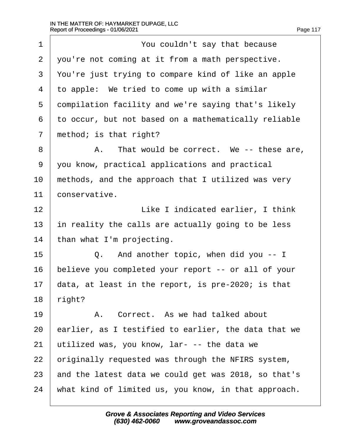| 1              | You couldn't say that because                        |
|----------------|------------------------------------------------------|
| $\overline{2}$ | you're not coming at it from a math perspective.     |
| 3              | You're just trying to compare kind of like an apple  |
| 4              | to apple: We tried to come up with a similar         |
| 5              | dompilation facility and we're saying that's likely  |
| 6              | to occur, but not based on a mathematically reliable |
| $\overline{7}$ | method; is that right?                               |
| 8              | A. That would be correct. We -- these are,           |
| 9              | you know, practical applications and practical       |
| 10             | methods, and the approach that I utilized was very   |
| 11             | conservative.                                        |
| 12             | Like I indicated earlier, I think                    |
| 13             | in reality the calls are actually going to be less   |
| 14             | than what I'm projecting.                            |
| 15             | Q. And another topic, when did you -- I              |
| 16             | believe you completed your report -- or all of your  |
| 17             | data, at least in the report, is pre-2020; is that   |
| 18             | right?                                               |
| 19             | A. Correct. As we had talked about                   |
| 20             | earlier, as I testified to earlier, the data that we |
| 21             | utilized was, you know, lar- -- the data we          |
| 22             | priginally requested was through the NFIRS system,   |
| 23             | and the latest data we could get was 2018, so that's |
| 24             | what kind of limited us, you know, in that approach. |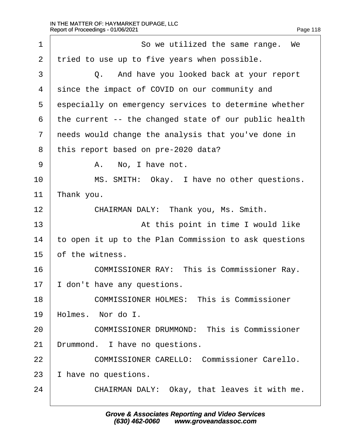| 1              | So we utilized the same range. We                     |
|----------------|-------------------------------------------------------|
| 2              | tried to use up to five years when possible.          |
| 3              | Q. And have you looked back at your report            |
| 4              | since the impact of COVID on our community and        |
| 5              | especially on emergency services to determine whether |
| 6              | the current -- the changed state of our public health |
| $\overline{7}$ | needs would change the analysis that you've done in   |
| 8              | this report based on pre-2020 data?                   |
| 9              | A. No, I have not.                                    |
| 10             | MS. SMITH: Okay. I have no other questions.           |
| 11             | ∏hank you.                                            |
| 12             | CHAIRMAN DALY: Thank you, Ms. Smith.                  |
| 13             | At this point in time I would like                    |
| 14             | to open it up to the Plan Commission to ask questions |
| 15             | of the witness.                                       |
| 16             | <b>COMMISSIONER RAY: This is Commissioner Ray.</b>    |
| 17             | don't have any questions.                             |
| 18             | <b>COMMISSIONER HOLMES: This is Commissioner</b>      |
| 19             | Holmes. Nor do I.                                     |
| 20             | <b>COMMISSIONER DRUMMOND: This is Commissioner</b>    |
| 21             | Drummond. I have no questions.                        |
| 22             | <b>COMMISSIONER CARELLO: Commissioner Carello.</b>    |
| 23             | have no questions.                                    |
| 24             | CHAIRMAN DALY: Okay, that leaves it with me.          |
|                |                                                       |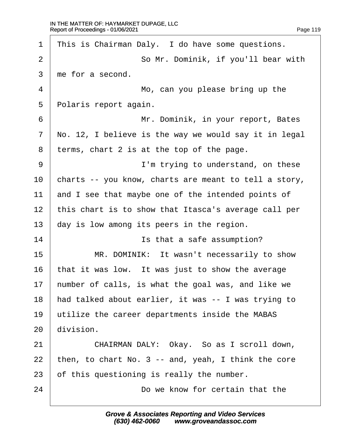| 1               | This is Chairman Daly. I do have some questions.      |
|-----------------|-------------------------------------------------------|
| $\overline{2}$  | So Mr. Dominik, if you'll bear with                   |
| 3               | the for a second.                                     |
| $\overline{4}$  | Mo, can you please bring up the                       |
| 5               | Polaris report again.                                 |
| 6               | Mr. Dominik, in your report, Bates                    |
| $\overline{7}$  | No. 12, I believe is the way we would say it in legal |
| 8               | terms, chart 2 is at the top of the page.             |
| 9               | I'm trying to understand, on these                    |
| 10              | charts -- you know, charts are meant to tell a story, |
| 11              | and I see that maybe one of the intended points of    |
| 12 <sub>2</sub> | this chart is to show that Itasca's average call per  |
| 13              | day is low among its peers in the region.             |
| 14              | Is that a safe assumption?                            |
| 15              | MR. DOMINIK: It wasn't necessarily to show            |
| 16              | that it was low. It was just to show the average      |
| 17              | humber of calls, is what the goal was, and like we    |
| 18              | had talked about earlier, it was -- I was trying to   |
| 19              | utilize the career departments inside the MABAS       |
| 20              | division.                                             |
| 21              | CHAIRMAN DALY: Okay. So as I scroll down,             |
| 22              | then, to chart No. 3 -- and, yeah, I think the core   |
| 23              | of this questioning is really the number.             |
| 24              | Do we know for certain that the                       |
|                 |                                                       |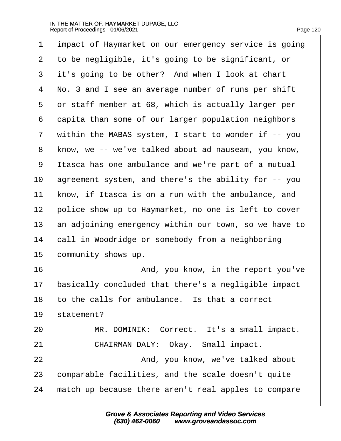| 1              | impact of Haymarket on our emergency service is going |
|----------------|-------------------------------------------------------|
| 2              | to be negligible, it's going to be significant, or    |
| 3              | it's going to be other? And when I look at chart      |
| 4              | No. 3 and I see an average number of runs per shift   |
| 5              | or staff member at 68, which is actually larger per   |
| 6              | dapita than some of our larger population neighbors   |
| $\overline{7}$ | within the MABAS system, I start to wonder if -- you  |
| 8              | know, we -- we've talked about ad nauseam, you know,  |
| 9              | Itasca has one ambulance and we're part of a mutual   |
| 10             | agreement system, and there's the ability for -- you  |
| 11             | know, if Itasca is on a run with the ambulance, and   |
| 12             | police show up to Haymarket, no one is left to cover  |
| 13             | an adjoining emergency within our town, so we have to |
| 14             | call in Woodridge or somebody from a neighboring      |
| 15             | community shows up.                                   |
| 16             | And, you know, in the report you've                   |
| 17             | basically concluded that there's a negligible impact  |
| 18             | to the calls for ambulance. Is that a correct         |
| 19             | statement?                                            |
| 20             | MR. DOMINIK: Correct. It's a small impact.            |
| 21             | CHAIRMAN DALY: Okay. Small impact.                    |
| 22             | And, you know, we've talked about                     |
| 23             | comparable facilities, and the scale doesn't quite    |
| 24             | match up because there aren't real apples to compare  |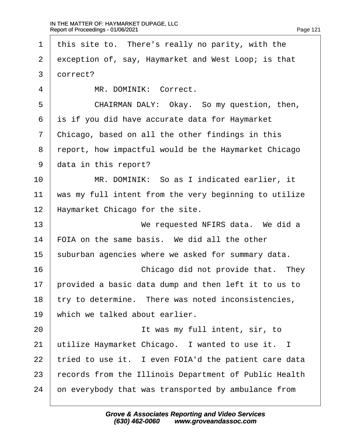| 1              | this site to. There's really no parity, with the      |
|----------------|-------------------------------------------------------|
| 2              | exception of, say, Haymarket and West Loop; is that   |
| 3              | dorrect?                                              |
| 4              | MR. DOMINIK: Correct.                                 |
| 5              | CHAIRMAN DALY: Okay. So my question, then,            |
| 6              | is if you did have accurate data for Haymarket        |
| $\overline{7}$ | Chicago, based on all the other findings in this      |
| 8              | report, how impactful would be the Haymarket Chicago  |
| 9              | data in this report?                                  |
| 10             | MR. DOMINIK: So as I indicated earlier, it            |
| 11             | was my full intent from the very beginning to utilize |
| 12             | Haymarket Chicago for the site.                       |
| 13             | We requested NFIRS data. We did a                     |
| 14             | FOIA on the same basis. We did all the other          |
| 15             | suburban agencies where we asked for summary data.    |
| 16             | Chicago did not provide that. They                    |
| 17             | provided a basic data dump and then left it to us to  |
| 18             | try to determine. There was noted inconsistencies,    |
| 19             | which we talked about earlier.                        |
| 20             | It was my full intent, sir, to                        |
| 21             | utilize Haymarket Chicago. I wanted to use it. I      |
| 22             | tried to use it. I even FOIA'd the patient care data  |
| 23             | records from the Illinois Department of Public Health |
| 24             | on everybody that was transported by ambulance from   |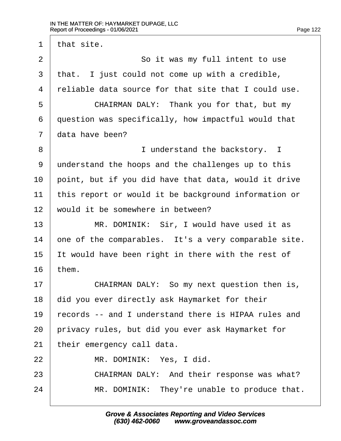1 that site. 2 **So it was my full intent to use** 3 that. I just could not come up with a credible, 4 reliable data source for that site that I could use. 5 **CHAIRMAN DALY: Thank you for that, but my** 6 duestion was specifically, how impactful would that 7 data have been? 8 **I** understand the backstory. I 9 understand the hoops and the challenges up to this 10 point, but if you did have that data, would it drive 11 this report or would it be background information or 12 would it be somewhere in between? 13 | MR. DOMINIK: Sir, I would have used it as 14 one of the comparables. It's a very comparable site. 15 It would have been right in there with the rest of 16  $then.$ 17 **CHAIRMAN DALY:** So my next question then is, 18 did you ever directly ask Haymarket for their 19 records -- and I understand there is HIPAA rules and 20 privacy rules, but did you ever ask Haymarket for 21 their emergency call data. 22 | MR. DOMINIK: Yes, I did. 23 **CHAIRMAN DALY:** And their response was what? 24 • MR. DOMINIK: They're unable to produce that.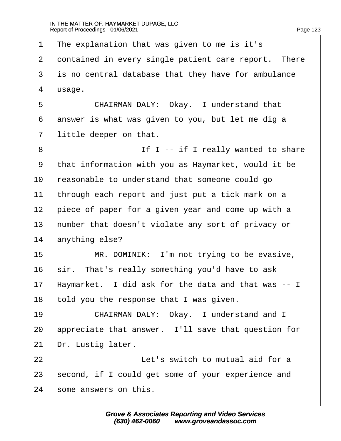| 1              | The explanation that was given to me is it's         |
|----------------|------------------------------------------------------|
| $\overline{2}$ | dontained in every single patient care report. There |
| 3              | is no central database that they have for ambulance  |
| 4              | usage.                                               |
| 5              | CHAIRMAN DALY: Okay. I understand that               |
| 6              | answer is what was given to you, but let me dig a    |
| $\overline{7}$ | little deeper on that.                               |
| 8              | If I -- if I really wanted to share                  |
| 9              | that information with you as Haymarket, would it be  |
| 10             | reasonable to understand that someone could go       |
| 11             | through each report and just put a tick mark on a    |
| 12             | piece of paper for a given year and come up with a   |
| 13             | humber that doesn't violate any sort of privacy or   |
| 14             | anything else?                                       |
| 15             | MR. DOMINIK: I'm not trying to be evasive,           |
| 16             | sir. That's really something you'd have to ask       |
| 17             | Haymarket. I did ask for the data and that was -- I  |
| 18             | told you the response that I was given.              |
| 19             | CHAIRMAN DALY: Okay. I understand and I              |
| 20             | appreciate that answer. I'll save that question for  |
| 21             | Dr. Lustig later.                                    |
| 22             | Let's switch to mutual aid for a                     |
| 23             | second, if I could get some of your experience and   |
| 24             | some answers on this.                                |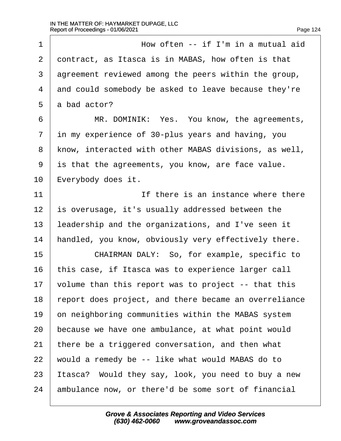| 1              | How often -- if I'm in a mutual aid                   |
|----------------|-------------------------------------------------------|
| 2              | dontract, as Itasca is in MABAS, how often is that    |
| 3              | agreement reviewed among the peers within the group,  |
| 4              | and could somebody be asked to leave because they're  |
| 5              | a bad actor?                                          |
| 6              | MR. DOMINIK: Yes. You know, the agreements,           |
| $\overline{7}$ | in my experience of 30-plus years and having, you     |
| 8              | know, interacted with other MABAS divisions, as well, |
| 9              | is that the agreements, you know, are face value.     |
| 10             | Everybody does it.                                    |
| 11             | If there is an instance where there                   |
| 12             | s overusage, it's usually addressed between the       |
| 13             | leadership and the organizations, and I've seen it    |
| 14             | handled, you know, obviously very effectively there.  |
| 15             | CHAIRMAN DALY: So, for example, specific to           |
| 16             | this case, if Itasca was to experience larger call    |
| 17             | volume than this report was to project -- that this   |
| 18             | report does project, and there became an overreliance |
| 19             | on neighboring communities within the MABAS system    |
| 20             | because we have one ambulance, at what point would    |
| 21             | there be a triggered conversation, and then what      |
| 22             | would a remedy be -- like what would MABAS do to      |
| 23             | tasca? Would they say, look, you need to buy a new    |
| 24             | ambulance now, or there'd be some sort of financial   |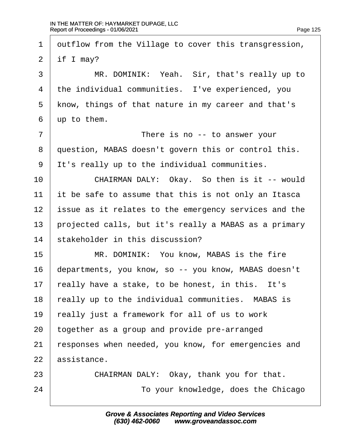1 dutflow from the Village to cover this transgression, 2 if  $Imay?$ 3 | MR. DOMINIK: Yeah. Sir, that's really up to 4 the individual communities. I've experienced, you 5 know, things of that nature in my career and that's 6 **up to them.** 7 **I** There is no -- to answer your 8 duestion, MABAS doesn't govern this or control this. ·9· ·It's really up to the individual communities. 10 | CHAIRMAN DALY: Okay. So then is it -- would 11 it be safe to assume that this is not only an Itasca 12 issue as it relates to the emergency services and the 13 projected calls, but it's really a MABAS as a primary 14 stakeholder in this discussion? 15 **MR. DOMINIK: You know, MABAS is the fire** 16 departments, you know, so -- you know, MABAS doesn't 17 really have a stake, to be honest, in this. It's 18 really up to the individual communities. MABAS is 19 really just a framework for all of us to work 20 together as a group and provide pre-arranged 21 responses when needed, you know, for emergencies and 22 assistance. 23 **CHAIRMAN DALY: Okay, thank you for that.** 24 **To your knowledge, does the Chicago**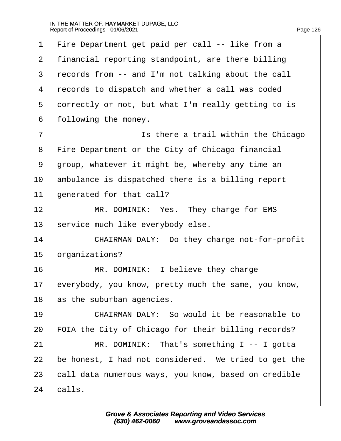| 1  | Fire Department get paid per call -- like from a     |
|----|------------------------------------------------------|
| 2  | financial reporting standpoint, are there billing    |
| 3  | records from -- and I'm not talking about the call   |
| 4  | records to dispatch and whether a call was coded     |
| 5  | dorrectly or not, but what I'm really getting to is  |
| 6  | following the money.                                 |
| 7  | Is there a trail within the Chicago                  |
| 8  | Fire Department or the City of Chicago financial     |
| 9  | group, whatever it might be, whereby any time an     |
| 10 | ambulance is dispatched there is a billing report    |
| 11 | generated for that call?                             |
| 12 | MR. DOMINIK: Yes. They charge for EMS                |
| 13 | service much like everybody else.                    |
| 14 | CHAIRMAN DALY: Do they charge not-for-profit         |
| 15 | organizations?                                       |
| 16 | MR. DOMINIK: I believe they charge                   |
| 17 | everybody, you know, pretty much the same, you know, |
| 18 | as the suburban agencies.                            |
| 19 | CHAIRMAN DALY: So would it be reasonable to          |
| 20 | FOIA the City of Chicago for their billing records?  |
| 21 | MR. DOMINIK: That's something I -- I gotta           |
| 22 | be honest, I had not considered. We tried to get the |
| 23 | call data numerous ways, you know, based on credible |
| 24 | calls.                                               |
|    |                                                      |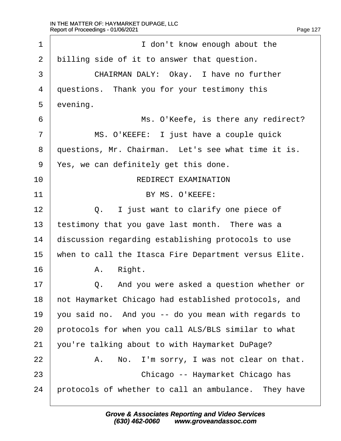| 1              | I don't know enough about the                         |
|----------------|-------------------------------------------------------|
| $\overline{2}$ | billing side of it to answer that question.           |
| 3              | CHAIRMAN DALY: Okay. I have no further                |
| 4              | questions. Thank you for your testimony this          |
| 5              | evening.                                              |
| 6              | Ms. O'Keefe, is there any redirect?                   |
| $\overline{7}$ | MS. O'KEEFE: I just have a couple quick               |
| 8              | questions, Mr. Chairman. Let's see what time it is.   |
| 9              | Yes, we can definitely get this done.                 |
| 10             | <b>REDIRECT EXAMINATION</b>                           |
| 11             | BY MS. O'KEEFE:                                       |
| 12             | Q. I just want to clarify one piece of                |
| 13             | testimony that you gave last month. There was a       |
| 14             | discussion regarding establishing protocols to use    |
| 15             | when to call the Itasca Fire Department versus Elite. |
| 16             | Right.<br>А.                                          |
| 17             | And you were asked a question whether or<br>Q.        |
| 18             | hot Haymarket Chicago had established protocols, and  |
| 19             | you said no. And you -- do you mean with regards to   |
| 20             | protocols for when you call ALS/BLS similar to what   |
| 21             | you're talking about to with Haymarket DuPage?        |
| 22             | A. No. I'm sorry, I was not clear on that.            |
| 23             | Chicago -- Haymarket Chicago has                      |
| 24             | protocols of whether to call an ambulance. They have  |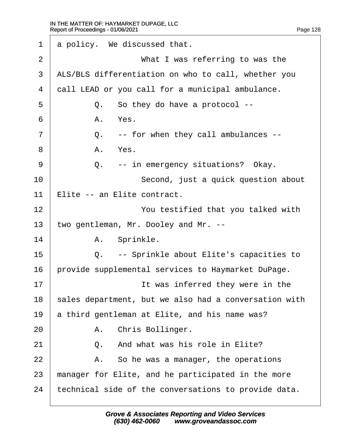| 1              |    | a policy. We discussed that.                          |
|----------------|----|-------------------------------------------------------|
| 2              |    | What I was referring to was the                       |
| 3              |    | ALS/BLS differentiation on who to call, whether you   |
| $\overline{4}$ |    | dall LEAD or you call for a municipal ambulance.      |
| 5              |    | Q. So they do have a protocol --                      |
| 6              |    | A. Yes.                                               |
| 7              |    | Q. -- for when they call ambulances --                |
| 8              |    | A. Yes.                                               |
| 9              |    | Q. -- in emergency situations? Okay.                  |
| 10             |    | Second, just a quick question about                   |
| 11             |    | Elite -- an Elite contract.                           |
| 12             |    | You testified that you talked with                    |
| 13             |    | two gentleman, Mr. Dooley and Mr. --                  |
| 14             |    | A. Sprinkle.                                          |
| 15             |    | Q. -- Sprinkle about Elite's capacities to            |
| 16             |    | provide supplemental services to Haymarket DuPage.    |
| 17             |    | It was inferred they were in the                      |
| 18             |    | sales department, but we also had a conversation with |
| 19             |    | a third gentleman at Elite, and his name was?         |
| 20             |    | A. Chris Bollinger.                                   |
| 21             | Q. | And what was his role in Elite?                       |
| 22             |    | A. So he was a manager, the operations                |
| 23             |    | manager for Elite, and he participated in the more    |
| 24             |    | technical side of the conversations to provide data.  |
|                |    |                                                       |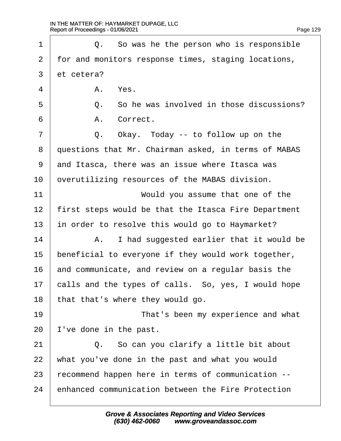| 1  |            | Q. So was he the person who is responsible           |
|----|------------|------------------------------------------------------|
| 2  |            | for and monitors response times, staging locations,  |
| 3  | et cetera? |                                                      |
| 4  |            | A. Yes.                                              |
| 5  |            | Q. So he was involved in those discussions?          |
| 6  |            | A. Correct.                                          |
| 7  |            | Q. Okay. Today -- to follow up on the                |
| 8  |            | questions that Mr. Chairman asked, in terms of MABAS |
| 9  |            | and Itasca, there was an issue where Itasca was      |
| 10 |            | overutilizing resources of the MABAS division.       |
| 11 |            | Would you assume that one of the                     |
| 12 |            | first steps would be that the Itasca Fire Department |
| 13 |            | in order to resolve this would go to Haymarket?      |
| 14 |            | A. I had suggested earlier that it would be          |
| 15 |            | beneficial to everyone if they would work together,  |
| 16 |            | and communicate, and review on a regular basis the   |
| 17 |            | calls and the types of calls. So, yes, I would hope  |
| 18 |            | that that's where they would go.                     |
| 19 |            | That's been my experience and what                   |
| 20 |            | 've done in the past.                                |
| 21 |            | Q. So can you clarify a little bit about             |
| 22 |            | what you've done in the past and what you would      |
| 23 |            | recommend happen here in terms of communication --   |
| 24 |            | enhanced communication between the Fire Protection   |
|    |            |                                                      |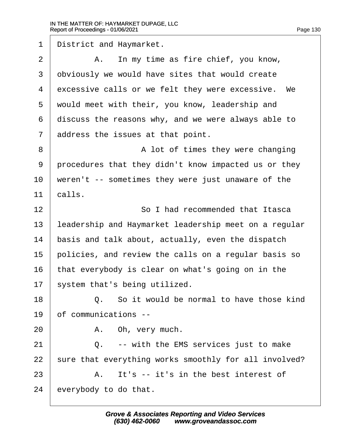1 District and Haymarket.  $2 \mid$  A. In my time as fire chief, you know, 3 dbviously we would have sites that would create 4 excessive calls or we felt they were excessive. We 5 would meet with their, you know, leadership and 6 discuss the reasons why, and we were always able to 7 address the issues at that point. 8 **8** A lot of times they were changing 9 procedures that they didn't know impacted us or they 10 weren't -- sometimes they were just unaware of the 11 calls. 12 **So I had recommended that Itasca** 13 leadership and Haymarket leadership meet on a regular 14 basis and talk about, actually, even the dispatch 15 policies, and review the calls on a regular basis so 16 that everybody is clear on what's going on in the 17 system that's being utilized. 18 **9 0.** So it would be normal to have those kind 19 bf communications -- $20$  | A. Oh, very much. 21· · · · · ·Q.· ·-- with the EMS services just to make 22 sure that everything works smoothly for all involved?  $23 \,$  A. It's -- it's in the best interest of 24 everybody to do that.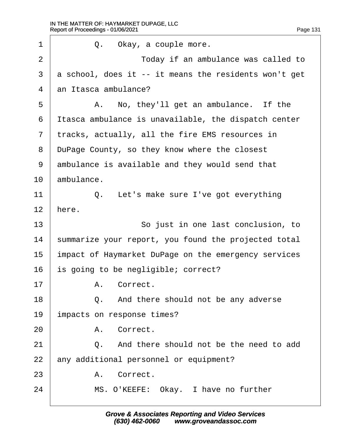| 1              | Q.<br>Okay, a couple more.                            |
|----------------|-------------------------------------------------------|
| $\overline{2}$ | Today if an ambulance was called to                   |
| 3              | a school, does it -- it means the residents won't get |
| 4              | an Itasca ambulance?                                  |
| 5              | A. No, they'll get an ambulance. If the               |
| 6              | Itasca ambulance is unavailable, the dispatch center  |
| 7              | tracks, actually, all the fire EMS resources in       |
| 8              | DuPage County, so they know where the closest         |
| 9              | ambulance is available and they would send that       |
| 10             | ambulance.                                            |
| 11             | Q. Let's make sure I've got everything                |
| 12             | here.                                                 |
| 13             | So just in one last conclusion, to                    |
| 14             | summarize your report, you found the projected total  |
| 15             | impact of Haymarket DuPage on the emergency services  |
| 16             | s going to be negligible; correct?                    |
| 17             | A. Correct.                                           |
| 18             | Q. And there should not be any adverse                |
| 19             | impacts on response times?                            |
| 20             | A. Correct.                                           |
| 21             | Q. And there should not be the need to add            |
| 22             | any additional personnel or equipment?                |
| 23             | A. Correct.                                           |
| 24             | MS. O'KEEFE: Okay. I have no further                  |
|                |                                                       |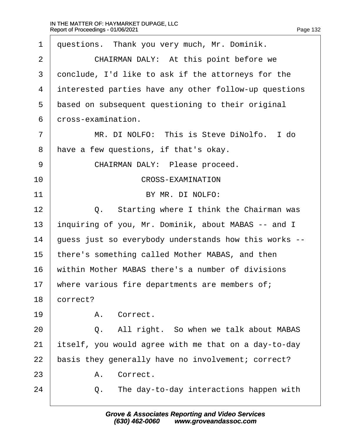| 1              | questions. Thank you very much, Mr. Dominik.          |
|----------------|-------------------------------------------------------|
| $\overline{2}$ | CHAIRMAN DALY: At this point before we                |
| 3              | donclude, I'd like to ask if the attorneys for the    |
| 4              | interested parties have any other follow-up questions |
| 5              | based on subsequent questioning to their original     |
| 6              | dross-examination.                                    |
| $\overline{7}$ | MR. DI NOLFO: This is Steve DiNolfo. I do             |
| 8              | have a few questions, if that's okay.                 |
| 9              | CHAIRMAN DALY: Please proceed.                        |
| 10             | <b>CROSS-EXAMINATION</b>                              |
| 11             | BY MR. DI NOLFO:                                      |
| 12             | Q. Starting where I think the Chairman was            |
| 13             | inquiring of you, Mr. Dominik, about MABAS -- and I   |
| 14             | guess just so everybody understands how this works -- |
| 15             | there's something called Mother MABAS, and then       |
| 16             | within Mother MABAS there's a number of divisions     |
| 17             | where various fire departments are members of;        |
| 18             | correct?                                              |
| 19             | A. Correct.                                           |
| 20             | All right. So when we talk about MABAS<br>Q.          |
| 21             | itself, you would agree with me that on a day-to-day  |
| 22             | basis they generally have no involvement; correct?    |
| 23             | A. Correct.                                           |
| 24             | The day-to-day interactions happen with<br>Q.         |
|                |                                                       |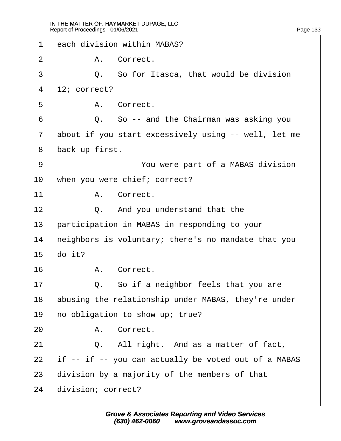| 1              | each division within MABAS?                          |
|----------------|------------------------------------------------------|
| $\overline{2}$ | A. Correct.                                          |
| 3              | Q. So for Itasca, that would be division             |
| 4              | $12$ ; correct?                                      |
| 5              | A. Correct.                                          |
| 6              | Q. So -- and the Chairman was asking you             |
| $\overline{7}$ | about if you start excessively using -- well, let me |
| 8              | back up first.                                       |
| 9              | You were part of a MABAS division                    |
| 10             | when you were chief; correct?                        |
| 11             | A. Correct.                                          |
| 12             | Q. And you understand that the                       |
| 13             | participation in MABAS in responding to your         |
| 14             | heighbors is voluntary; there's no mandate that you  |
| 15             | do it?                                               |
| 16             | A. Correct.                                          |
| 17             | Q. So if a neighbor feels that you are               |
| 18             | abusing the relationship under MABAS, they're under  |
| 19             | ho obligation to show up; true?                      |
| 20             | A. Correct.                                          |
| 21             | Q. All right. And as a matter of fact,               |
| 22             | if -- if -- you can actually be voted out of a MABAS |
| 23             | division by a majority of the members of that        |
| 24             | division; correct?                                   |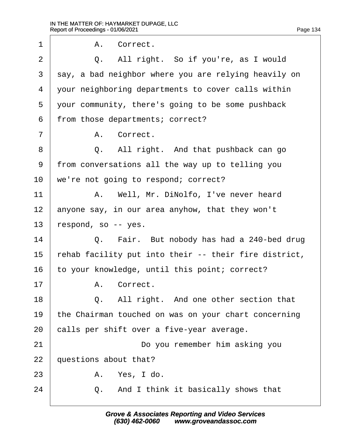| 1              | A. Correct.                                           |
|----------------|-------------------------------------------------------|
| 2              | Q. All right. So if you're, as I would                |
| 3              | say, a bad neighbor where you are relying heavily on  |
| 4              | your neighboring departments to cover calls within    |
| 5              | your community, there's going to be some pushback     |
| 6              | from those departments; correct?                      |
| $\overline{7}$ | A. Correct.                                           |
| 8              | Q. All right. And that pushback can go                |
| 9              | from conversations all the way up to telling you      |
| 10             | we're not going to respond; correct?                  |
| 11             | A. Well, Mr. DiNolfo, I've never heard                |
| 12             | anyone say, in our area anyhow, that they won't       |
| 13             | respond, so -- yes.                                   |
| 14             | Q. Fair. But nobody has had a 240-bed drug            |
| 15             | rehab facility put into their -- their fire district, |
| 16             | to your knowledge, until this point; correct?         |
| 17             | A. Correct.                                           |
| 18             | Q. All right. And one other section that              |
| 19             | the Chairman touched on was on your chart concerning  |
| 20             | calls per shift over a five-year average.             |
| 21             | Do you remember him asking you                        |
| 22             | questions about that?                                 |
| 23             | A. Yes, I do.                                         |
| 24             | Q. And I think it basically shows that                |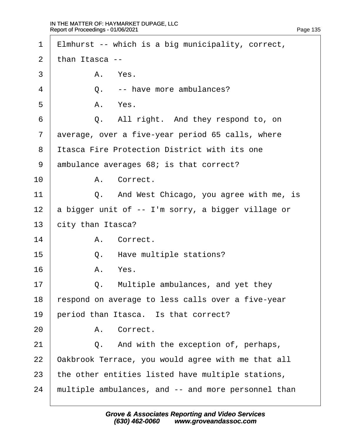| $\mathbf 1$    |                | Elmhurst -- which is a big municipality, correct,   |
|----------------|----------------|-----------------------------------------------------|
| 2              | than Itasca -- |                                                     |
| 3              |                | A. Yes.                                             |
| 4              | Q.             | -- have more ambulances?                            |
| 5              |                | A. Yes.                                             |
| 6              |                | Q. All right. And they respond to, on               |
| $\overline{7}$ |                | average, over a five-year period 65 calls, where    |
| 8              |                | <b>Itasca Fire Protection District with its one</b> |
| 9              |                | ambulance averages 68; is that correct?             |
| 10             |                | A. Correct.                                         |
| 11             |                | Q. And West Chicago, you agree with me, is          |
| 12             |                | a bigger unit of -- I'm sorry, a bigger village or  |
| 13             |                | city than Itasca?                                   |
| 14             |                | A. Correct.                                         |
| 15             |                | Q. Have multiple stations?                          |
| 16             |                | A. Yes.                                             |
| 17             | Q.             | Multiple ambulances, and yet they                   |
| 18             |                | respond on average to less calls over a five-year   |
| 19             |                | period than Itasca. Is that correct?                |
| 20             |                | A. Correct.                                         |
| 21             |                | Q. And with the exception of, perhaps,              |
| 22             |                | Oakbrook Terrace, you would agree with me that all  |
| 23             |                | the other entities listed have multiple stations,   |
| 24             |                | multiple ambulances, and -- and more personnel than |
|                |                |                                                     |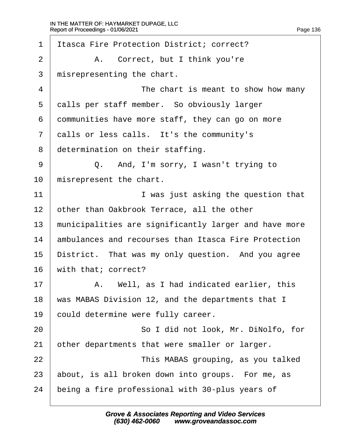| $\mathbf 1$    | Itasca Fire Protection District; correct?             |
|----------------|-------------------------------------------------------|
| 2              | A. Correct, but I think you're                        |
| 3              | misrepresenting the chart.                            |
| $\overline{4}$ | The chart is meant to show how many                   |
| 5              | dalls per staff member. So obviously larger           |
| 6              | dommunities have more staff, they can go on more      |
| $\overline{7}$ | dalls or less calls. It's the community's             |
| 8              | determination on their staffing.                      |
| 9              | Q. And, I'm sorry, I wasn't trying to                 |
| 10             | misrepresent the chart.                               |
| 11             | I was just asking the question that                   |
| 12             | other than Oakbrook Terrace, all the other            |
| 13             | municipalities are significantly larger and have more |
| 14             | ambulances and recourses than Itasca Fire Protection  |
| 15             | District. That was my only question. And you agree    |
| 16             | with that; correct?                                   |
| 17             | A. Well, as I had indicated earlier, this             |
| 18             | was MABAS Division 12, and the departments that I     |
| 19             | could determine were fully career.                    |
| 20             | So I did not look, Mr. DiNolfo, for                   |
| 21             | other departments that were smaller or larger.        |
| 22             | This MABAS grouping, as you talked                    |
| 23             | about, is all broken down into groups. For me, as     |
| 24             | being a fire professional with 30-plus years of       |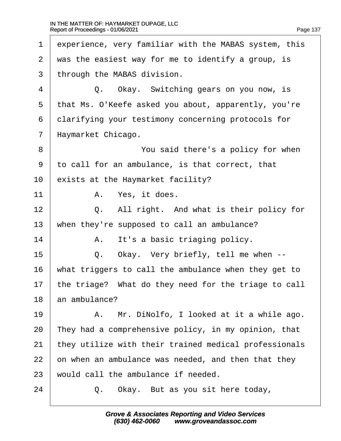| 1              | experience, very familiar with the MABAS system, this |
|----------------|-------------------------------------------------------|
| 2              | was the easiest way for me to identify a group, is    |
| 3              | through the MABAS division.                           |
| $\overline{4}$ | Q. Okay. Switching gears on you now, is               |
| 5              | that Ms. O'Keefe asked you about, apparently, you're  |
| 6              | dlarifying your testimony concerning protocols for    |
| $\overline{7}$ | Haymarket Chicago.                                    |
| 8              | You said there's a policy for when                    |
| 9              | to call for an ambulance, is that correct, that       |
| 10             | exists at the Haymarket facility?                     |
| 11             | A. Yes, it does.                                      |
| 12             | Q. All right. And what is their policy for            |
| 13             | when they're supposed to call an ambulance?           |
| 14             | It's a basic triaging policy.<br>А.                   |
| 15             | Q. Okay. Very briefly, tell me when --                |
| 16             | what triggers to call the ambulance when they get to  |
| 17             | the triage? What do they need for the triage to call  |
| 18             | an ambulance?                                         |
| 19             | A. Mr. DiNolfo, I looked at it a while ago.           |
| 20             | They had a comprehensive policy, in my opinion, that  |
| 21             | they utilize with their trained medical professionals |
| 22             | on when an ambulance was needed, and then that they   |
| 23             | would call the ambulance if needed.                   |
| 24             | Okay. But as you sit here today,<br>Q.                |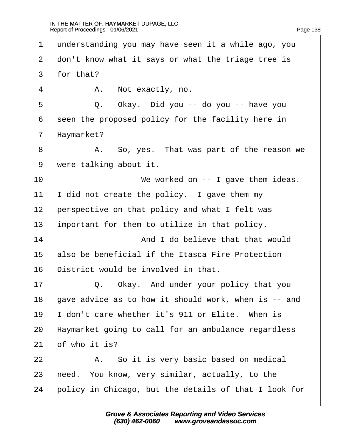1 understanding you may have seen it a while ago, you 2 don't know what it says or what the triage tree is 3 for that? 4 | A. Not exactly, no.  $5 \mid Q$ . Okay. Did you -- do you -- have you 6 seen the proposed policy for the facility here in 7 Haymarket? 8 | A. So, yes. That was part of the reason we 9 were talking about it. 10 **I** We worked on -- I gave them ideas. 11  $\parallel$  did not create the policy. I gave them my 12 perspective on that policy and what I felt was 13 important for them to utilize in that policy. 14 **And I do believe that that would** 15 also be beneficial if the Itasca Fire Protection 16 District would be involved in that.  $17$   $\Box$  Q. Okay. And under your policy that you 18 dave advice as to how it should work, when is -- and 19 I don't care whether it's 911 or Elite. When is 20 Haymarket going to call for an ambulance regardless 21  $\theta$  f who it is?  $22$   $\parallel$  A. So it is very basic based on medical 23 heed. You know, very similar, actually, to the 24 bolicy in Chicago, but the details of that I look for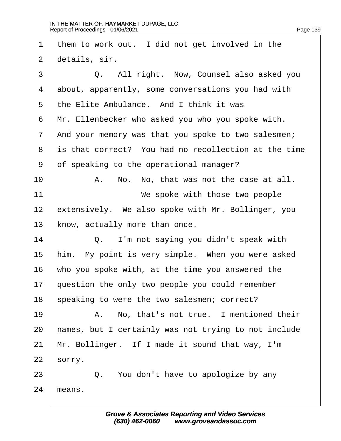| $\mathbf 1$    | them to work out. I did not get involved in the      |
|----------------|------------------------------------------------------|
| $\overline{2}$ | details, sir.                                        |
| 3              | Q. All right. Now, Counsel also asked you            |
| 4              | about, apparently, some conversations you had with   |
| 5              | the Elite Ambulance. And I think it was              |
| 6              | Mr. Ellenbecker who asked you who you spoke with.    |
| $\overline{7}$ | And your memory was that you spoke to two salesmen;  |
| 8              | is that correct? You had no recollection at the time |
| 9              | of speaking to the operational manager?              |
| 10             | A. No. No, that was not the case at all.             |
| 11             | We spoke with those two people                       |
| 12             | extensively. We also spoke with Mr. Bollinger, you   |
| 13             | know, actually more than once.                       |
| 14             | Q. I'm not saying you didn't speak with              |
| 15             | him. My point is very simple. When you were asked    |
| 16             | who you spoke with, at the time you answered the     |
| 17             | question the only two people you could remember      |
| 18             | speaking to were the two salesmen; correct?          |
| 19             | A. No, that's not true. I mentioned their            |
| 20             | hames, but I certainly was not trying to not include |
| 21             | Mr. Bollinger. If I made it sound that way, I'm      |
| 22             | sorry.                                               |
| 23             | Q. You don't have to apologize by any                |
| 24             | means.                                               |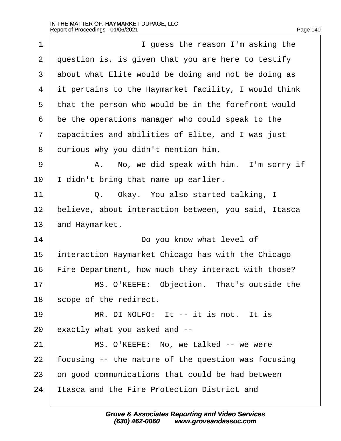| 1              | I guess the reason I'm asking the                    |
|----------------|------------------------------------------------------|
| $\overline{2}$ | question is, is given that you are here to testify   |
| 3              | about what Elite would be doing and not be doing as  |
| 4              | it pertains to the Haymarket facility, I would think |
| 5              | that the person who would be in the forefront would  |
| 6              | be the operations manager who could speak to the     |
| $\overline{7}$ | dapacities and abilities of Elite, and I was just    |
| 8              | durious why you didn't mention him.                  |
| 9              | A. No, we did speak with him. I'm sorry if           |
| 10             | didn't bring that name up earlier.                   |
| 11             | Q. Okay. You also started talking, I                 |
| 12             | believe, about interaction between, you said, Itasca |
| 13             | and Haymarket.                                       |
| 14             | Do you know what level of                            |
| 15             | Interaction Haymarket Chicago has with the Chicago   |
| 16             | Fire Department, how much they interact with those?  |
| 17             | MS. O'KEEFE: Objection. That's outside the           |
| 18             | scope of the redirect.                               |
| 19             | MR. DI NOLFO: It -- it is not. It is                 |
| 20             | exactly what you asked and --                        |
| 21             | MS. O'KEEFE: No, we talked -- we were                |
| 22             | focusing -- the nature of the question was focusing  |
| 23             | on good communications that could be had between     |
| 24             | Itasca and the Fire Protection District and          |
|                |                                                      |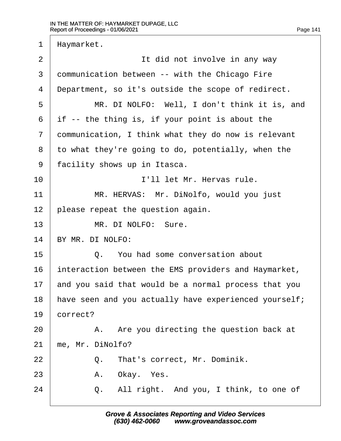| 1              | Haymarket.                                            |
|----------------|-------------------------------------------------------|
| $\overline{2}$ | It did not involve in any way                         |
| 3              | dommunication between -- with the Chicago Fire        |
| 4              | Department, so it's outside the scope of redirect.    |
| 5              | MR. DI NOLFO: Well, I don't think it is, and          |
| 6              | if -- the thing is, if your point is about the        |
| $\overline{7}$ | dommunication, I think what they do now is relevant   |
| 8              | to what they're going to do, potentially, when the    |
| 9              | facility shows up in Itasca.                          |
| 10             | I'll let Mr. Hervas rule.                             |
| 11             | MR. HERVAS: Mr. DiNolfo, would you just               |
| 12             | please repeat the question again.                     |
| 13             | MR. DI NOLFO: Sure.                                   |
| 14             | BY MR. DI NOLFO:                                      |
| 15             | Q. You had some conversation about                    |
| 16             | interaction between the EMS providers and Haymarket,  |
| 17             | and you said that would be a normal process that you  |
| 18             | have seen and you actually have experienced yourself; |
| 19             | correct?                                              |
| 20             | A. Are you directing the question back at             |
| 21             | me, Mr. DiNolfo?                                      |
| 22             | Q. That's correct, Mr. Dominik.                       |
| 23             | A. Okay. Yes.                                         |
| 24             | Q. All right. And you, I think, to one of             |
|                |                                                       |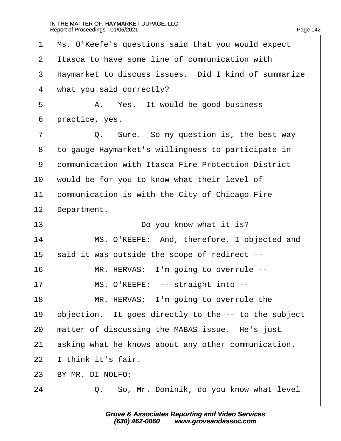| Page 142 |  |
|----------|--|
|          |  |

| 1              | Ms. O'Keefe's questions said that you would expect   |
|----------------|------------------------------------------------------|
| 2              | Itasca to have some line of communication with       |
| 3              | Haymarket to discuss issues. Did I kind of summarize |
| 4              | what you said correctly?                             |
| 5              | A. Yes. It would be good business                    |
| 6              | practice, yes.                                       |
| $\overline{7}$ | Q. Sure. So my question is, the best way             |
| 8              | to gauge Haymarket's willingness to participate in   |
| 9              | dommunication with Itasca Fire Protection District   |
| 10             | would be for you to know what their level of         |
| 11             | communication is with the City of Chicago Fire       |
| 12             | Department.                                          |
| 13             | Do you know what it is?                              |
| 14             | MS. O'KEEFE: And, therefore, I objected and          |
| 15             | said it was outside the scope of redirect --         |
| 16             | MR. HERVAS: I'm going to overrule --                 |
| 17             | MS. O'KEEFE: -- straight into --                     |
| 18             | MR. HERVAS: I'm going to overrule the                |
| 19             | objection. It goes directly to the -- to the subject |
| 20             | matter of discussing the MABAS issue. He's just      |
| 21             | asking what he knows about any other communication.  |
| 22             | think it's fair.                                     |
| 23             | BY MR. DI NOLFO:                                     |
| 24             | Q. So, Mr. Dominik, do you know what level           |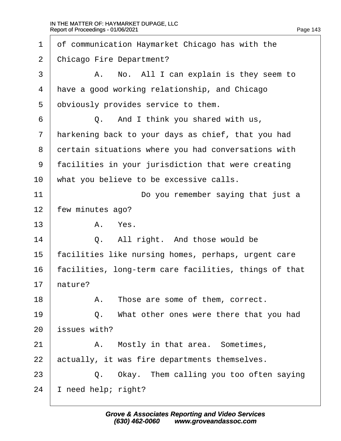| 1              | of communication Haymarket Chicago has with the       |
|----------------|-------------------------------------------------------|
| 2              | <b>Chicago Fire Department?</b>                       |
| 3              | A. No. All I can explain is they seem to              |
| 4              | have a good working relationship, and Chicago         |
| 5              | obviously provides service to them.                   |
| 6              | Q. And I think you shared with us,                    |
| $\overline{7}$ | Harkening back to your days as chief, that you had    |
| 8              | dertain situations where you had conversations with   |
| 9              | facilities in your jurisdiction that were creating    |
| 10             | what you believe to be excessive calls.               |
| 11             | Do you remember saying that just a                    |
| 12             | few minutes ago?                                      |
| 13             | A. Yes.                                               |
| 14             | All right. And those would be<br>Q.                   |
| 15             | facilities like nursing homes, perhaps, urgent care   |
| 16             | facilities, long-term care facilities, things of that |
| 17             | hature?                                               |
| 18             | A. Those are some of them, correct.                   |
| 19             | Q. What other ones were there that you had            |
| 20             | issues with?                                          |
| 21             | Mostly in that area. Sometimes,<br>A.                 |
| 22             | actually, it was fire departments themselves.         |
| 23             | Q. Okay. Them calling you too often saying            |
| 24             | need help; right?                                     |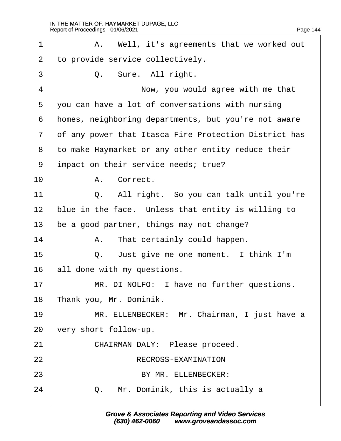<span id="page-144-0"></span>

| 1              | A. Well, it's agreements that we worked out           |  |  |  |  |
|----------------|-------------------------------------------------------|--|--|--|--|
| $\overline{2}$ | to provide service collectively.                      |  |  |  |  |
| 3              | Q. Sure. All right.                                   |  |  |  |  |
| 4              | Now, you would agree with me that                     |  |  |  |  |
| 5              | you can have a lot of conversations with nursing      |  |  |  |  |
| 6              | homes, neighboring departments, but you're not aware  |  |  |  |  |
| $\overline{7}$ | of any power that Itasca Fire Protection District has |  |  |  |  |
| 8              | to make Haymarket or any other entity reduce their    |  |  |  |  |
| 9              | impact on their service needs; true?                  |  |  |  |  |
| 10             | A. Correct.                                           |  |  |  |  |
| 11             | Q. All right. So you can talk until you're            |  |  |  |  |
| 12             | blue in the face. Unless that entity is willing to    |  |  |  |  |
| 13             | be a good partner, things may not change?             |  |  |  |  |
| 14             | A. That certainly could happen.                       |  |  |  |  |
| 15             | Q. Just give me one moment. I think I'm               |  |  |  |  |
| 16             | all done with my questions.                           |  |  |  |  |
| 17             | MR. DI NOLFO: I have no further questions.            |  |  |  |  |
| 18             | Thank you, Mr. Dominik.                               |  |  |  |  |
| 19             | MR. ELLENBECKER: Mr. Chairman, I just have a          |  |  |  |  |
| 20             | very short follow-up.                                 |  |  |  |  |
| 21             | CHAIRMAN DALY: Please proceed.                        |  |  |  |  |
| 22             | RECROSS-EXAMINATION                                   |  |  |  |  |
| 23             | BY MR. ELLENBECKER:                                   |  |  |  |  |
| 24             | Q. Mr. Dominik, this is actually a                    |  |  |  |  |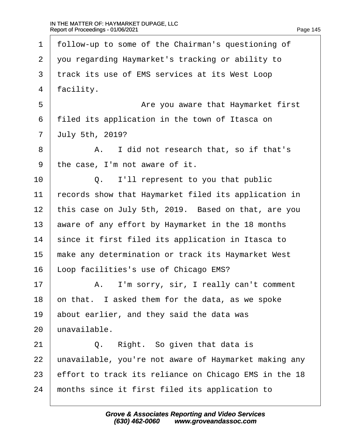$\Gamma$ 

<span id="page-145-0"></span>

| 1              | follow-up to some of the Chairman's questioning of    |
|----------------|-------------------------------------------------------|
| $\overline{2}$ | you regarding Haymarket's tracking or ability to      |
| 3              | track its use of EMS services at its West Loop        |
| 4              | facility.                                             |
| 5              | Are you aware that Haymarket first                    |
| 6              | filed its application in the town of Itasca on        |
| $\overline{7}$ | <b>July 5th, 2019?</b>                                |
| 8              | A. I did not research that, so if that's              |
| 9              | the case, I'm not aware of it.                        |
| 10             | I'll represent to you that public<br>Q.               |
| 11             | records show that Haymarket filed its application in  |
| 12             | this case on July 5th, 2019. Based on that, are you   |
| 13             | aware of any effort by Haymarket in the 18 months     |
| 14             | since it first filed its application in Itasca to     |
| 15             | make any determination or track its Haymarket West    |
| 16             | Loop facilities's use of Chicago EMS?                 |
| 17             | A. I'm sorry, sir, I really can't comment             |
| 18             | on that. I asked them for the data, as we spoke       |
| 19             | about earlier, and they said the data was             |
| 20             | unavailable.                                          |
| 21             | Right. So given that data is<br>Q.                    |
| 22             | unavailable, you're not aware of Haymarket making any |
| 23             | effort to track its reliance on Chicago EMS in the 18 |
| 24             | months since it first filed its application to        |
|                |                                                       |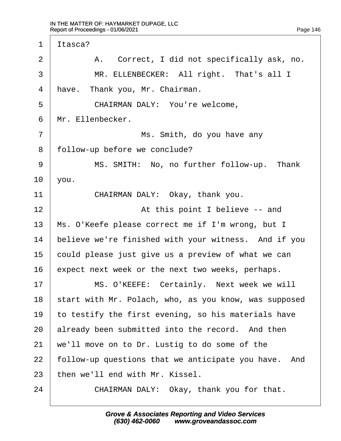$\Gamma$ 

<span id="page-146-0"></span>

| 1              | Itasca?                                               |
|----------------|-------------------------------------------------------|
| $\overline{2}$ | A. Correct, I did not specifically ask, no.           |
| 3              | MR. ELLENBECKER: All right. That's all I              |
| 4              | have. Thank you, Mr. Chairman.                        |
| 5              | CHAIRMAN DALY: You're welcome,                        |
| 6              | Mr. Ellenbecker.                                      |
| 7              | Ms. Smith, do you have any                            |
| 8              | follow-up before we conclude?                         |
| 9              | MS. SMITH: No, no further follow-up. Thank            |
| 10             | you.                                                  |
| 11             | CHAIRMAN DALY: Okay, thank you.                       |
| 12             | At this point I believe -- and                        |
| 13             | Ms. O'Keefe please correct me if I'm wrong, but I     |
| 14             | believe we're finished with your witness. And if you  |
| 15             | could please just give us a preview of what we can    |
| 16             | expect next week or the next two weeks, perhaps.      |
| 17             | MS. O'KEEFE: Certainly. Next week we will             |
| 18             | start with Mr. Polach, who, as you know, was supposed |
| 19             | to testify the first evening, so his materials have   |
| 20             | already been submitted into the record. And then      |
| 21             | we'll move on to Dr. Lustig to do some of the         |
| 22             | follow-up questions that we anticipate you have. And  |
| 23             | then we'll end with Mr. Kissel.                       |
| 24             | CHAIRMAN DALY: Okay, thank you for that.              |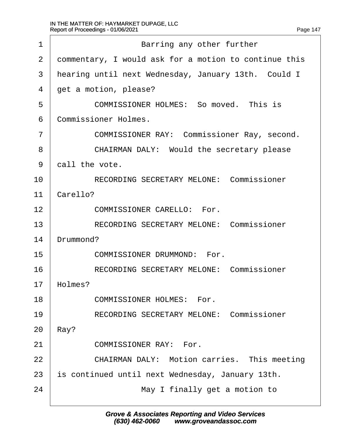$\Gamma$ 

<span id="page-147-0"></span>

| 1              | Barring any other further                             |
|----------------|-------------------------------------------------------|
| 2              | dommentary, I would ask for a motion to continue this |
| 3              | hearing until next Wednesday, January 13th. Could I   |
| 4              | get a motion, please?                                 |
| 5              | COMMISSIONER HOLMES: So moved. This is                |
| 6              | <b>Commissioner Holmes.</b>                           |
| $\overline{7}$ | <b>COMMISSIONER RAY: Commissioner Ray, second.</b>    |
| 8              | <b>CHAIRMAN DALY: Would the secretary please</b>      |
| 9              | dall the vote.                                        |
| 10             | <b>RECORDING SECRETARY MELONE: Commissioner</b>       |
| 11             | Carello?                                              |
| 12             | <b>COMMISSIONER CARELLO: For.</b>                     |
| 13             | <b>RECORDING SECRETARY MELONE: Commissioner</b>       |
| 14             | Drummond?                                             |
| 15             | <b>COMMISSIONER DRUMMOND: For.</b>                    |
| 16             | <b>RECORDING SECRETARY MELONE: Commissioner</b>       |
| 17             | Holmes?                                               |
| 18             | <b>COMMISSIONER HOLMES: For.</b>                      |
| 19             | <b>RECORDING SECRETARY MELONE: Commissioner</b>       |
| 20             | Ray?                                                  |
| 21             | <b>COMMISSIONER RAY: For.</b>                         |
| 22             | <b>CHAIRMAN DALY: Motion carries. This meeting</b>    |
| 23             | s continued until next Wednesday, January 13th.       |
| 24             | May I finally get a motion to                         |
|                |                                                       |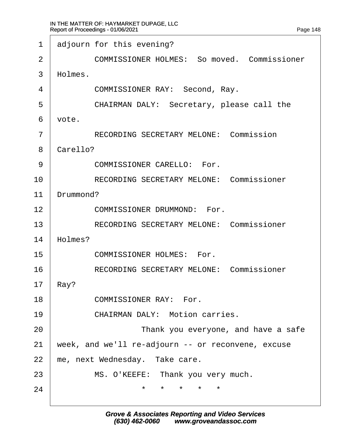<span id="page-148-0"></span>1 adjourn for this evening?

2 **COMMISSIONER HOLMES: So moved. Commissioner** 

3 Holmes.

4 | COMMISSIONER RAY: Second, Ray.

5 | CHAIRMAN DALY: Secretary, please call the

6 vote.

7 | RECORDING SECRETARY MELONE: Commission

8 Carello?

9 COMMISSIONER CARELLO: For.

10 | RECORDING SECRETARY MELONE: Commissioner

11 Drummond?

12 **COMMISSIONER DRUMMOND: For.** 

13 | RECORDING SECRETARY MELONE: Commissioner

14 Holmes?

15 **COMMISSIONER HOLMES:** For.

16 | RECORDING SECRETARY MELONE: Commissioner

17 Ray?

18 **COMMISSIONER RAY: For.** 

19 **CHAIRMAN DALY: Motion carries.** 

20 **I CO Thank you everyone, and have a safe** 

21 week, and we'll re-adjourn -- or reconvene, excuse

22 me, next Wednesday. Take care.

23 | MS. O'KEEFE: Thank you very much.

24· · · · · · · · · · ·\*· ·\*· ·\*· ·\*· ·\*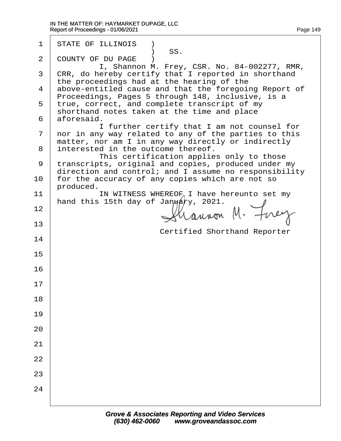| 1  | <b>STATE OF ILLINOIS</b> )<br>) SS.                                                                          |
|----|--------------------------------------------------------------------------------------------------------------|
| 2  | <b>COUNTY OF DU PAGE</b>                                                                                     |
|    | I, Shannon M. Frey, CSR. No. 84-002277, RMR,<br>3 CRR, do hereby certify that I reported in shorthand        |
|    | the proceedings had at the hearing of the                                                                    |
|    | 4 above-entitled cause and that the foregoing Report of<br>Proceedings, Pages 5 through 148, inclusive, is a |
|    | 5 true, correct, and complete transcript of my                                                               |
|    | shorthand notes taken at the time and place<br>6 aforesaid.                                                  |
|    | I further certify that I am not counsel for                                                                  |
|    | 7 nor in any way related to any of the parties to this<br>matter, nor am I in any way directly or indirectly |
| 8  | interested in the outcome thereof.                                                                           |
| 9  | This certification applies only to those<br>transcripts, original and copies, produced under my              |
|    | direction and control; and I assume no responsibility                                                        |
| 10 | for the accuracy of any copies which are not so<br>produced.                                                 |
| 11 | IN WITNESS WHEREOF I have hereunto set my                                                                    |
| 12 | hand this 15th day of January, 2021.                                                                         |
|    |                                                                                                              |
| 13 | <b>Certified Shorthand Reporter</b>                                                                          |
| 14 |                                                                                                              |
| 15 |                                                                                                              |
|    |                                                                                                              |
| 16 |                                                                                                              |
| 17 |                                                                                                              |
| 18 |                                                                                                              |
|    |                                                                                                              |
| 19 |                                                                                                              |
| 20 |                                                                                                              |
| 21 |                                                                                                              |
|    |                                                                                                              |
| 22 |                                                                                                              |
| 23 |                                                                                                              |
| 24 |                                                                                                              |
|    |                                                                                                              |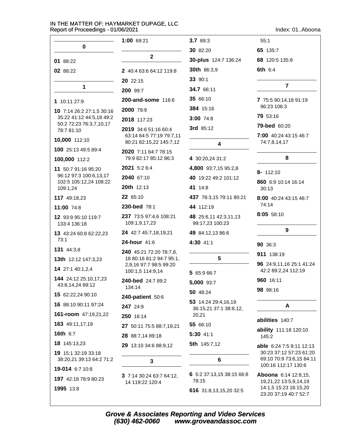| Index: 01Aboona |  |  |  |
|-----------------|--|--|--|
|-----------------|--|--|--|

|                                                     | 1:00 69:21                                          | 3.7 89:3                                 | 55:1                                            |
|-----------------------------------------------------|-----------------------------------------------------|------------------------------------------|-------------------------------------------------|
| 0                                                   |                                                     | 30 82:20                                 | 65 135:7                                        |
| 01 88:22                                            | $\overline{2}$                                      | 30-plus 124:7 136:24                     | 68 120:5 135:9                                  |
| 02 88:22                                            | 2 40:4 63:6 64:12 119:8                             | 30th 86:3,9                              | 6th 6:4                                         |
|                                                     | 20 22:15                                            | 33 90:1                                  |                                                 |
| 1                                                   | 200 99:7                                            | 34.7 66:11                               | $\overline{7}$                                  |
| 1 10:11 27:9                                        | 200-and-some 116:6                                  | 35 66:10                                 | 7 75:5 90:14,18 91:19                           |
| 10 7:14 26:2 27:1,5 30:16                           | 2000 79:9                                           | 384 15:16                                | 96:23 106:3                                     |
| 35:22 41:12 44:5,18 49:2<br>50:2 72:23 76:3,7,10,17 | 2018 117:23                                         | 3:00 74:8                                | 79 53:16                                        |
| 78:7 81:10                                          | 2019 34:6 51:16 60:4                                | 3rd 85:12                                | <b>79-bed</b> 60:20                             |
| 10,000 112:10                                       | 63:14 64:5 77:19 79:7,11<br>80:21 82:15,22 145:7,12 | $\overline{\mathbf{4}}$                  | 7:00 40:24 43:15 46:7<br>74:7,8,14,17           |
| 100 25:13 49:5 89:4                                 | 2020 7:11 64:7 78:15                                |                                          |                                                 |
| 100,000 112:2                                       | 79:9 82:17 85:12 86:3                               | 4 30:20,24 31:2                          | 8                                               |
| 11 50:7 91:16 95:20                                 | 2021 5:2 6:4                                        | 4,800 93:7,15 95:2,8                     | 8- 112:10                                       |
| 96:12 97:3 100:6,13,17<br>102:5 105:12,24 108:22    | 2040 67:10                                          | 40 19:22 49:2 101:12                     | 860 6:9 10:14 16:14                             |
| 109:1,24                                            | 20th 12:13                                          | 41 14:8                                  | 30:13                                           |
| 117 49:18,23                                        | 22 65:10                                            | 437 78:3,15 79:11 80:21                  | 8:00 40:24 43:15 46:7                           |
| 11:00 74:8                                          | 230-bed 78:1                                        | 44 112:19                                | 74:14                                           |
| 12 93:9 95:10 119:7<br>133:4 136:18                 | 237 73:5 97:4,6 108:21<br>109:1,9,17,23             | 48 25:6,11 42:3,11,13<br>99:17,23 100:23 | 8:05 58:10                                      |
| 13 43:24 60:8 62:22,23                              | 24 42:7 45:7,18,19,21                               | 49 84:12,13 86:6                         | 9                                               |
| 73:1                                                | 24-hour 41:6                                        | 4:30 41:1                                | 90 36:3                                         |
| <b>131</b> 44:3,8                                   | <b>240</b> 45:21 72:20 78:7,8,                      |                                          | 911 138:19                                      |
| 13th 12:12 147:3,23                                 | 18 80:16 81:2 94:7 95:1,<br>2,9,16 97:7 98:5 99:20  | 5                                        | 96 24:9,11,16 25:1 41:24                        |
| 14 27:1 40:1,2,4                                    | 100:1,5 114:9,14                                    | 5 65:9 66:7                              | 42:2 89:2,24 112:19                             |
| 144 24:12 25:10,17,23<br>43:8,14,24 89:12           | 240-bed 24:7 89:2<br>134:14                         | 5,000 93:7                               | 960 16:11                                       |
| 15 62:22,24 90:10                                   | 240-patient 50:6                                    | 50 48:24                                 | 98 98:16                                        |
| 16 88:10 90:11 97:24                                | 247 24:9                                            | 53 14:24 29:4,16,19                      | A                                               |
| 161-room 47:19,21,22                                | 250 16:14                                           | 36:15,21 37:1 38:8,12,<br>20,21          |                                                 |
| 163 49:11,17,19                                     | 27 50:11 75:5 88:7,19,21                            | 55 66:10                                 | abilities 140:7                                 |
| 16th 6:7                                            | 28 88:7,14 89:18                                    | 5:30 41:1                                | ability 111:18 120:10<br>145:2                  |
| 18 145:13,23                                        | 29 13:10 34:6 88:9,12                               | 5th 145:7,12                             | able 6:24 7:5 9:11 12:13                        |
| 19 15:1 32:19 33:18                                 |                                                     |                                          | 30:23 37:12 57:23 61:20                         |
| 38:20,21 39:13 64:2 71:2                            | 3                                                   | 6                                        | 69:10 70:9 73:6,15 84:11<br>100:16 112:17 130:6 |
| 19-014 6:7 10:8                                     | 3 7:14 30:24 63:7 64:12,                            | 6 5:2 37:13,15 38:15 66:8                | Aboona 6:14 12:8,15,                            |
| 197 42:18 78:9 80:23                                | 14 119:22 120:4                                     | 78:15                                    | 19,21,22 13:5,9,14,19                           |
| 1995 13:8                                           |                                                     | 616 31:8,13,15,20 32:5                   | 14:1,5 15:23 16:15,20<br>23:20 37:19 40:7 52:7  |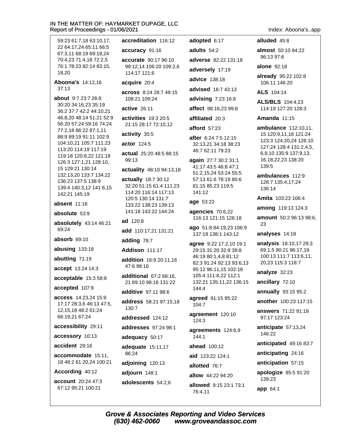| Report of Proceedings - 01/06/2021<br>Index: Aboona'sapp |                                            |                                                |                                                  |
|----------------------------------------------------------|--------------------------------------------|------------------------------------------------|--------------------------------------------------|
| 59:23 61:7,18 63:10,17,                                  | accreditation 116:12                       | adopted 6:17                                   | alluded 45:8                                     |
| 22 64:17,24 65:11 66:5<br>67:3,11 68:19 69:18,24         | accuracy 91:16                             | adults 54:2                                    | almost 50:10 84:22                               |
| 70:4,23 71:4,18 72:2,5                                   | accurate 90:17 96:10                       | adverse 82:22 131:18                           | 96:13 97:6                                       |
| 76:1 78:23 82:14 83:15,<br>18,20                         | 99:12,14 106:20 109:2,6<br>114:17 121:6    | adversely 17:19                                | alone $92:18$                                    |
| Aboona's 14:12,16                                        | acquire 20:4                               | advice 138:18                                  | already 95:22 102:8<br>106:11 146:20             |
| 37:13                                                    | across 8:24 28:7 49:15                     | advised 16:7 43:13                             | ALS 104:14                                       |
| about 9:7 23:7 26:8<br>30:20 34:16,23 35:19              | 108:21 109:24                              | advising 7:23 16:8                             | <b>ALS/BLS</b> 104:4,23                          |
| 36:2 37:7 42:2 44:10,21                                  | active 26:11                               | affect 98:16,23 99:8                           | 114:19 127:20 128:3                              |
| 46:8,20 48:14 51:21 52:9<br>56:20 57:24 59:16 74:24      | <b>activities</b> 19:3 20:5                | affiliated 20:3                                | <b>Amanda 11:15</b>                              |
| 77:2,18 86:22 87:1,11                                    | 21:15 28:17 72:10,12                       | afford 57:23                                   | ambulance 112:10,11,                             |
| 88:9 89:19 91:11 102:9<br>104:10,21 105:7 111:23         | activity 35:5                              | after 6:24 7:5 12:15                           | 15 120:9,11,18 121:24<br>123:3 124:20,24 126:10  |
| 113:20 114:19 117:19                                     | actor 124:5                                | 32:13,21 34:18 38:23<br>46:7 62:11 79:23       | 127:24 128:4 131:2,4,5,                          |
| 119:18 120:8,22 121:19<br>126:3 127:1,21 128:10,         | actual 25:20 48:5 88:15<br>99:13           | again 27:7 30:2 31:1                           | 6,9,10 135:9 137:9,13,<br>16, 18, 22, 23 138: 20 |
| 15 129:21 130:14                                         | actuality 48:10 94:13,18                   | 41:17 43:5 46:8 47:1                           | 139:5                                            |
| 132:13,20 133:7 134:22<br>136:23 137:5 138:9             | actually 18:7 30:12                        | 51:2,15,24 53:24 55:5<br>57:13 61:6 78:19 80:6 | ambulances 112:9                                 |
| 139:4 140:3,12 141:6,15                                  | 32:20 51:15 61:4 111:23                    | 81:15 85:23 119:5                              | 128:7 135:4,17,24<br>136:14                      |
| 142:21 145:19                                            | 114:20 116:14 117:13<br>120:5 130:14 131:7 | 141:12                                         | Amita 103:23 106:4                               |
| <b>absent</b> 11:16                                      | 133:22 138:23 139:13                       | age 53:22                                      | among 119:13 124:3                               |
| absolute 53:9                                            | 141:18 143:22 144:24                       | agencies 70:6,22<br>116:13 121:15 126:18       | amount 50:2 96:13 98:6,                          |
| absolutely 43:14 46:21<br>69:24                          | ad 120:8                                   | ago 51:8 84:19,23 106:9                        | 23                                               |
|                                                          | add 110:17,21 131:21                       | 137:19 138:1 143:12                            | analyses 14:18                                   |
| absorb 69:10                                             | adding 78:7                                | agree 9:22 17:2,10 19:1                        | analysis 18:10,17 29:3                           |
| abusing 133:18                                           | Addison 111:17                             | 29:15 31:20 32:9 39:8<br>46:19 80:1,4,8 81:12  | 69:1,5 90:21 96:17,19<br>100:13 111:7 113:6,11,  |
| abutting 71:19                                           | addition 16:9 20:11,16<br>47:6 98:16       | 82:3 91:24 92:13 93:6,13                       | 20,23 115:3 118:7                                |
| accept 13:24 14:3                                        | additional 67:2 68:16,                     | 95:12 96:11,15 102:16<br>105:4 111:8,22 112:1  | analyze 32:23                                    |
| acceptable 15:3 58:8                                     | 21 69:10 98:16 131:22                      | 132:21 135:11,22 136:15                        | ancillary 72:10                                  |
| accepted 107:9                                           | additive 97:11 98:6                        | 144:4                                          | annually 93:15 95:2                              |
| <b>access</b> 14:23,24 15:9<br>17:17 28:3,6 46:13 47:5,  | address 58:21 97:15,18<br>130:7            | agreed 91:15 95:22<br>104:7                    | another 100:23 117:15                            |
| 12, 15, 18 48: 2 61: 24<br>66:19,21 67:24                | addressed 124:12                           | agreement 120:10<br>124:3                      | answers 71:22 91:18<br>97:17 123:24              |
| accessibility 29:11                                      | addresses 97:24 98:1                       | agreements 124:6,9                             | anticipate 57:13,24                              |
| accessory 10:13                                          | adequacy 50:17                             | 144:1                                          | 146:22                                           |
| accident 29:16                                           | adequate 15:11,17                          | ahead 100:12                                   | anticipated 49:16 83:7                           |
| accommodate 15:11,                                       | 86:24                                      | aid 123:22 124:1                               | anticipating 24:16                               |
| 18 48:2 61:20,24 100:21                                  | adjoining 120:13                           | allotted 76:7                                  | anticipation 57:15                               |
| According 40:12                                          | adjourn 148:1                              | allow 44:22 94:20                              | apologize 85:5 91:20<br>139:23                   |
| account 20:24 47:3<br>67:12 95:21 100:21                 | adolescents 54:2,6                         | allowed 9:15 23:1 73:1<br>76:4,11              | app 64:1                                         |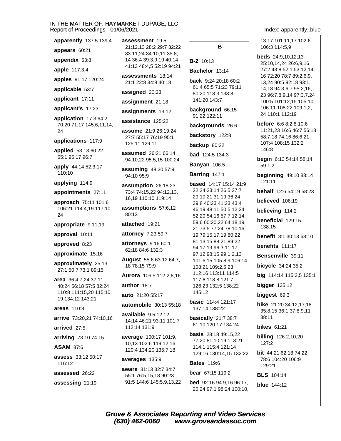#### IN<sub>T</sub> **AYMARKET DUPAGE, LLC** Rep 01/06/2021

Index: apparently..blue

13.17 101:11.17 102:6

25:10,14,24 26:6,9,16

27:2 43:8 52:1 53:12,14,

16 72:20 78:7 89:2,6,9,

13,24 90:5 92:18 93:1,

14,18 94:3,6,7 95:2,16,

23 96:7,8,9,14 97:3,7,24

100:5 101:12,15 105:10 106:11 108:22 109:1,2,

11:21,23 16:6 46:7 56:13

24 110:1 112:19

**before** 6:6 8:2.8 10:6

58:7,18 74:16 86:6,21

begin 6:13 54:14 58:14

**beginning 49:10 83:14** 

**behalf** 12:6 54:19 58:23

believed 106:19

believing 114:2

benefits 111:17

Bensenville 39:11

bicycle 34:24 35:2

**bigger** 135:12

biggest 69:3

 $38:11$ 

 $127:2$ 

129:21

**bikes** 61:21

big 114:14 115:3,5 135:1

**bike** 21:20 34:12,17,18

35:8,15 36:1 37:8,9,11

**billing** 126:2,10,20

bit 44:21 62:18 74:22

78:6 104:20 106:9

beneficial 129:15

**benefit** 8:1 30:13 68:10

107:4 108:15 132:2

 $146:8$ 

 $59:1,2$ 

121:11

138:15

106:3 114:5.9

**beds** 24:9,10,12,13

| <b>N THE MATTER OF: HA'</b><br>eport of Proceedings - 0 |
|---------------------------------------------------------|
| apparently 137:5 139:4                                  |
| appears 60:21                                           |
| appendix 63:8                                           |
| apple 117:3,4                                           |
| apples 91:17 120:24                                     |
| applicable 53:7                                         |
| applicant 17:11                                         |
| applicant's 17:23                                       |
| application 17:3 64:2<br>70:20 71:17 145:6,11,14,<br>24 |
| applications 117:9                                      |
| <b>applied</b> 53:13 60:22<br>65:1 95:17 96:7           |
| apply 44:14 52:3,17<br>110:10                           |
| applying 114:9                                          |
| appointments 27:11                                      |
| approach 75:11 101:6<br>106:21 114:4,19 117:10,         |

ap 0. 1 24

appropriate 9:11,19

approval 10:11

approved 8:23

approximate 15:16

approximately 25:13 27:1 50:7 73:1 89:15

area 36:4.7.24 37:11 40:24 56:18 57:5 82:24 110:8 111:15,20 115:10, 19 134:12 143:21

areas 110:8

arrive 73:20,21 74:10,16

arrived 27:5

arriving 73:10 74:15

**ASAM 87:6** 

assess 33:12 50:17 116:12

assessed 26:22

assessing 21:19

assessment 19:5 21:12.13 28:2 29:7 32:22 33:11,24 34:10,11 35:8, 14 36:4 39:3,9,19 40:14 41:13 48:4.5 52:19 94:21 assessments 18:14

21:1 22:8 34:8 40:18

assigned 20:23

assignment 21:18

assignments 13:12

assistance 125:22

assume 21:9 26:19.24 27:7 55:17 76:19 95:1 125:11 129:11

assumed 26:21 66:14 94:10,22 95:5,15 100:24

assuming 48:20 57:9 94:10 95:9

assumption 26:18,23 73:4 74:15,22 94:12,13, 16,19 110:10 119:14

assumptions 57:6,12 80:13

attached 19:21

attorney 7:23 59:7

**attorneys** 9:16 60:1 62:18 84:6 132:3

August 55:6 63:12 64:7, 18 78:15 79:9

Aurora 106:5 112:2,8,16

author 18:7

auto 21:20 55:17

automobile  $30:13.55:18$ 

available 9:5 12:12 14:14 46:21 93:11 101:7 112:14 131:9

average 100:17 101:9, 10,13 102:6 119:12,16 120:4 134:20 135:7,18

#### averages 135:9

aware 31:13 32:7 34:7 55:1 76:5,15,18 90:23 91:5 144:6 145:5,9,13,22

# В

#### **B-2** 10:13

Bachelor 13:14

back 9:24 20:18 60:2 61:4 65:5 71:23 79:11 80:20 118:3 133:8 141:20 143:7

background 66:15 91:22 122:11

backgrounds 26:6

backstory 122:8

backup 80:22

**bad** 124:5 134:3

**Banyan 106:5** 

**Barring 147:1** 

**based** 14:17 15:14 21:9 22:24 23:14 26:5 27:7 29:10,21 31:19 36:24 39:8 40:23 41:23 43:4 46:19 48:11 50:5,12,24 52:20 54:16 57:7,12,14 59:6 60:20,22 64:18,19, 21 73:5 77:24 78:10,16, 19 79:15,17,19 80:22 81:13,15 88:21 89:22 94:17,19 96:3,11,17 97:12 98:15 99:1,2,13 101:6,15 105:8,9 106:14 108:21 109:2,6,23 112:16 113:11 114:5 117:6 118:8 121:7 126:23 132:5 138:22 145:12

**basic** 114:4 121:17 137:14 138:22

basically 21:7 38:7 61:10 120:17 134:24

**basis** 28:18 49:15,22 77:20 81:10,19 113:21 114:1 115:4 121:14 129:16 130:14,15 132:22

#### **Bates 119:6**

bear 67:15 119:2 bed 92:16 94:9,16 96:17, 20,24 97:1 98:24 100:10,

**BLS** 104:14

**blue** 144:12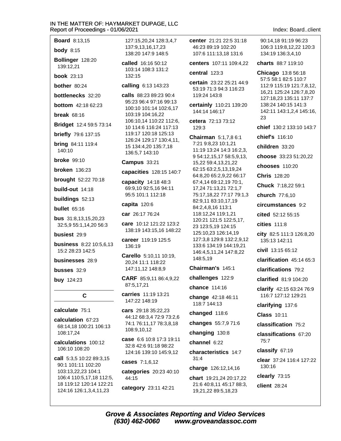**Board 8:13.15** 

body  $8:15$ 

Bollinger 128:20 139:12,21

**book** 23:13

bother 80.24

bottlenecks 32:20

**bottom** 42:18 62:23

break  $68:16$ 

Bridget 12:4 59:5 73:14

**briefly** 79:6 137:15

**bring 84:11 119:4** 140:10

**broke** 99:10

**broken** 136:23

brought 52:22 70:18

build-out 14:18

buildings 52:13

**bullet** 65:16

**bus** 31:8.13.15.20.23 32:5,9 55:1,14,20 56:3

busiest 29.9

**business** 8:22 10:5,6,13 15:2 28:23 142:5

businesses 28:9

busses 32:9

**buy** 124:23

 $\mathbf C$ 

#### calculate 75:1

calculation 67:23 68:14.18 100:21 106:13 108:17.24

calculations 100:12 106:10 108:20

call 5:3,5 10:22 89:3,15 90:1 101:11 102:20 103:13,22,23 104:1 106:4 110:5.17.18 112:5. 18 119:12 120:14 122:21 124:16 126:1,3,4,11,23

127:15.20.24 128:3.4.7 137:9.13.16.17.23 138:20 147:9 148:5

called 16:16 50:12 103:14 108:3 131:2 132:15

#### calling 6:13 143:23

calls 88:23 89:23 90:4 95:23 96:4 97:16 99:13 100:10 101:14 102:6,17 103:19 104:16,22 106:10,14 110:22 112:6, 10 114:6 116:24 117:13 119:17 120:18 125:13 126:24 129:17 130:4,11, 15 134:4,20 135:7,18 136:5,7 143:10

#### Campus 33:21

capacities 128:15 140:7

capacity 14:18 48:3 69:9.10 92:5.16 94:11 95:5 101:1 112:18

#### capita 120:6

car 26:17 76:24

care 10:12 121:22 123:2 138:19 143:15,16 148:22

career 119:19 125:5 136:19

Carello 5:10.11 10:19. 20,24 11:1 118:22 147:11,12 148:8,9

CARF 85:9,11 86:4,9,22 87:5,17,21

carries 11:19 13:21 147:22 148:19

cars 29:18 35:22.23 44:12 68:3,4 72:9 73:2,6 74:1 76:11,17 78:3,8,18 108:9,10,12

case 6:6 10:8 17:3 19:11 32:8 42:6 91:18 98:22 124:16 139:10 145:9,12

cases 7:1,6,12 categories 20:23 40:10 44:15

category 23:11 42:21

center 21:21 22:5 31:18 46:23 89:19 102:20 107:6 111:13.18 131:6

centers 107:11 109:4,22

central 123:3

certain 23:22 25:21 44:9 53:19 71:3 94:3 116:23 119:24 143:8

certainly 110:21 139:20 144:14 146:17

cetera 72:13 73:12 129:3

Chairman 5:1,7,8 6:1 7:21 9:8.23 10:1.21 11:19 13:24 14:3 16:2,3, 9 54:12,15,17 58:5,9,13, 15,22 59:4,13,21,22 62:15 63:2,5,13,19,24 64:8,20 65:2,9,22 66:17 67:4,14 69:12,19 70:1, 17,24 71:13,21 72:1,7 75:17,18,22 77:17 79:1,3 82:9,11 83:10,17,19 84:2,4,8,16 113:1 118:12,24 119:1,21 120:21 121:5 122:5,17, 23 123:5,19 124:15 125:10,23 126:14,19 127:3,8 129:8 132:2,9,12 133:6 134:19 144:19,21 146:4,5,11,24 147:8,22 148:5.19

Chairman's 145:1

challenges 122:9

chance 114:16

change 42:18 46:11 118:7 144:13

changed 118:6

changes 55:7,9 71:6

changing 130:8

channel 6:22

characteristics 14:7  $31:4$ 

charge 126:12,14,16

chart 19:21,24 20:17,22 21:6 40:8,11 45:17 88:3, 19,21,22 89:5,18,23

Index: Board client

90:14.18 91:19 96:23 106:3 119:8.12.22 120:3 134:19 136:3.4.10

charts 88:7 119:10

Chicago 13:8 56:18 57:5 58:1 82:5 110:7 112:9 115:19 121:7,8,12, 16,21 125:24 126:7,8,20 127:18,23 135:11 137:7 138:24 140:15 141:3 142:11 143:1,2,4 145:16, 23

chief 130:2 133:10 143:7

chief's 116:10

children 33:20

choose 33:23 51:20,22

chooses 110:20

Chris 128:20

Chuck 7:18,22 59:1

church 77:6.10

circumstances 9:2

cited 52:12 55:15

**cities** 111:8

city 82:5 111:3 126:8,20 135:13 142:11

civil 13:15 65:12

clarification  $45:1465:3$ 

clarifications 79:2

clarified 81:9 104:20

clarify 42:15 63:24 76:9 116:7 127:12 129:21

clarifying 137:6

**Class 10:11** 

classification 75:2

classifications 67:20 75:7

classify 67:19

clear 37:24 116:4 127:22  $130:16$ 

clearly 73:15

client 28:24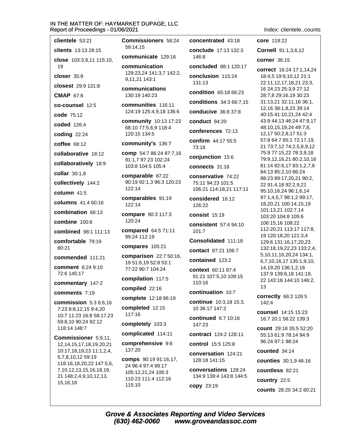#### IN THE MATTER OF: HAYMARKET DUPAGE, LLC  $R$ 1/06

Index: clientele..counts

| 6/2021                                                 |                                                                  |
|--------------------------------------------------------|------------------------------------------------------------------|
| <b>Commissioners</b> 58:24<br>59:14,15                 | concentrated 43:18                                               |
| communicate 129:16                                     | conclude 17:13 132:3<br>146:8                                    |
| communication<br>129:23,24 141:3,7 142:2,              | <b>concluded</b> 88:1 120:1                                      |
| 9,11,21 143:1                                          | conclusion 115:24<br>131:13                                      |
| communications<br>130:19 140:23                        | condition 65:18 66:23                                            |
| communities 116:11<br>124:19 125:4,9,18 136:6          | conditions 34:3 66:7,<br><b>conducive</b> 36:8 37:8              |
| community 10:13 17:23                                  | conduct 94:20                                                    |
| 68:10 77:5,6,9 118:4<br>120:15 134:5                   | conferences 72:13                                                |
| community's 136:7                                      | confirm 44:17 55:5<br>73:18                                      |
| comp 54:7 86:24 87:7,16<br>91:1,7 97:23 102:24         | conjunction 15:6                                                 |
| 103:8 104:5 105:4                                      | connects 31:18                                                   |
| comparable 87:22<br>90:19 92:1,3 96:3 120:23<br>122:14 | conservative 74:22<br>75:11 94:23 101:5<br>106:21 114:18,21 117: |
| comparables 91:19<br>122:14                            | considered 16:12<br>126:22                                       |
| compare 90:3 117:3<br>120:24                           | consist 15:19                                                    |
| compared 64:5 71:11                                    | <b>consistent</b> 57:4 94:10<br>101:7                            |
| 99:24 112:19                                           | Consolidated 111:18                                              |
| compares 105:21                                        | contact 87:21 106:7                                              |
| comparison 22:7 50:16,<br>19 51:6,19 52:8 53:1         | contained 123:2                                                  |
| 77:22 90:7 104:24<br>compilation 117:5                 | context 60:11 87:4<br>91:21 107:5,10 109:15<br>110:16            |
| compiled 22:16                                         | continuation 10:7                                                |
| complete 12:18 96:19                                   | continue 10:3,18 15:3                                            |
| completed 12:15<br>117:16                              | 10 36:17 147:2                                                   |
| completely 103:3                                       | <b>continued</b> 6:7 10:16<br>147:23                             |
| complicated 114:11                                     | contract 124:2 128:11                                            |
| comprehensive 9:6<br>137:20                            | <b>control</b> 15:5 125:8                                        |
| <b>comps</b> 90:19 91:16,17,                           | conversation 124:21<br>128:18 141:15                             |

24 96:4 97:4 99:17 105:12,21,24 106:3 110:23 111:4 112:16 115:10

uded 88:1 120:17 usion 115:24 3 tion 65:18 66:23 tions 34:3 66:7,15 **ucive** 36:8 37:8  $uct 94:20$ rences 72:13 m 44:17 55:5 nction 15:6 ects 31:18 **rvative 74:22** 94:23 101:5 21 114:18,21 117:11 dered 16:12 りつ  $st$  15:19 stent 57:4 94:10 olidated 111:18 ct 87:21 106:7 ined 123:2 xt 60:11 87:4 107:5,10 109:15 6 nuation 10:7 nue 10:3,18 15:3, 3:17 147:2 nued 6:7 10:16 23 act 124:2 128:11 ol 15:5 125:8 **ersation** 124:21 128:18 141:15 conversations 128:24 134:9 139:4 143:8 144:5 copy 23:19

core 119:22 Cornell 91:1,3,6,12 corner 36:15 correct 16:24 17:1,14,24 18:4,5 19:9,10,12 21:1 22:11,12,17,18,21 23:3, 16 24:23 25:3,9 27:12 28:7,8 29:16,19 30:23 31:13,21 32:11,16 36:1, 12,16 38:1,8,23 39:14 40:15 41:10,21,24 42:4 43:9 44:13 46:24 47:9,17 48:10,15,19,24 49:7,8, 12,17 50:2,8,17 51:3 57:8 64:7 65:1 72:17,19, 21 73:7,12 74:2,5,8,9,12 75:9 77:15,22 78:3,9,18 79:9,12,16,21 80:2,10,16 81:14 82:6,17 83:1,2,7,8 84:13 85:2,10 86:24 88:23 89:17,20,21 90:2, 22 91:4,18 92:2,9,21 95:10,16,24 96:1,6,14 97:1,4,5,7 98:1,2 99:17, 18,20,21 100:14,15,19 101:13,21 102:7,14 103:20 104:8 105:6 106:15,16 108:22 112:20,21 113:17 117:8, 19 120:18,20 121:3,4 129:6 131:16,17,20,23 132:18,19,22,23 133:2,4, 5,10,11,16,20,24 134:1, 6,7,10,16,17 135:1,9,10, 14.19.20 136:1.2.16 137:9 139:8,18 141:19, 22 143:18 144:10 146:2, 13 correctly 66:2 126:5 142:4

**counsel** 14:15 15:23 16:7 20:1 58:22 139:3

count 29:18 35:5 52:20 55:13 61:9 78:14 94:9 96:24 97:1 98:24

counted 34:14

counties 30:1,9 46:16

countless 82:21

country 22:5

counts 28:20 34:2 60:21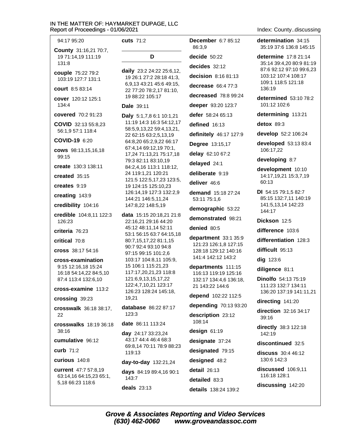| 94:17 95:20                                        | <b>cuts</b> 71:2                                      | <b>December</b> 6:7 85:12                  |
|----------------------------------------------------|-------------------------------------------------------|--------------------------------------------|
| <b>County</b> 31:16,21 70:7,<br>19 71:14,19 111:19 | D                                                     | 86:3,9<br>decide 50:22                     |
| 131:8                                              |                                                       | decides 32:12                              |
| couple 75:22 79:2<br>103:19 127:7 131:1            | daily 23:2 24:22 25:6,12,<br>19 26:1 27:2 28:18 41:3, | decision 8:16 81:13                        |
| <b>court</b> 8:5 83:14                             | 6,9,13 43:21 45:6 49:15,<br>22 77:20 78:2,17 81:10,   | decrease $66:477:3$                        |
| cover 120:12 125:1                                 | 19 88:22 105:17                                       | decreased 78:8 99:24                       |
| 134:4                                              | Dale 39:11                                            | deeper 93:20 123:7                         |
| covered 70:2 91:23                                 | Daly 5:1,7,8 6:1 10:1,21                              | defer 58:24 65:13                          |
| COVID 32:13 55:8,23<br>56:1,9 57:1 118:4           | 11:19 14:3 16:3 54:12,17<br>58:5,9,13,22 59:4,13,21,  | defined 16:13                              |
| COVID-19 6:20                                      | 22 62:15 63:2,5,13,19<br>64:8,20 65:2,9,22 66:17      | definitely 46:17 127:9                     |
| cows 98:13,15,16,18                                | 67:4,14 69:12,19 70:1,                                | Degree 13:15,17                            |
| 99:15                                              | 17,24 71:13,21 75:17,18<br>79:3 82:11 83:10,19        | delay 62:10 67:2                           |
| create 130:3 138:11                                | 84:2,4,16 113:1 118:12,                               | delayed 24:1                               |
| created 35:15                                      | 24 119:1,21 120:21<br>121:5 122:5,17,23 123:5,        | deliberate 9:19                            |
| creates 9:19                                       | 19 124:15 125:10,23                                   | deliver 46:6                               |
| creating 143:9                                     | 126:14,19 127:3 132:2,9<br>144:21 146:5,11,24         | <b>demand</b> 15:18 27:24<br>53:11 75:1,6  |
| credibility 104:16                                 | 147:8,22 148:5,19                                     | demographic 53:22                          |
| credible 104:8,11 122:3                            | <b>data</b> 15:15 20:18,21 21:8                       | demonstrated 98:21                         |
| 126:23                                             | 22:16,21 29:16 44:20<br>45:12 48:11,14 52:11          | denied 80:5                                |
| criteria 76:23                                     | 53:1 56:15 63:7 64:15,18                              | department 33:1 35:9                       |
| critical 70:8                                      | 80:7,15,17,22 81:1,15<br>90:7 92:4 93:10 94:8         | 121:23 126:1,8 127:15                      |
| cross 38:17 54:16                                  | 97:15 99:15 101:2,6                                   | 128:18 129:12 140:16<br>141:4 142:12 143:2 |
| cross-examination<br>9:15 12:16,18 15:24           | 103:17 104:8,11 105:9,<br>15 106:1 115:21,23          | departments 111:15                         |
| 16:18 54:14,22 84:5,10                             | 117:17,20,21,23 118:8                                 | 116:13 119:19 125:16                       |
| 87:4 113:4 132:6,10                                | 121:6,9,13,15,17,22                                   | 132:17 134:4,6 136:18,                     |
| cross-examine 113:2                                | 122:4,7,10,21 123:17<br>126:23 128:24 145:18,         | 21 143:22 144:6                            |
| crossing 39:23                                     | 19,21                                                 | depend 102:22 112:5                        |
| crosswalk 36:18 38:17,                             | <b>database</b> 86:22 87:17                           | depending 70:13 93:20                      |
| 22                                                 | 123:3                                                 | description 23:12                          |
| crosswalks 18:19 36:18<br>38:16                    | <b>date</b> 86:11 113:24                              | 108:14<br>design 61:19                     |
| cumulative 96:12                                   | <b>day</b> 24:17 33:23,24<br>43:17 44:4 46:4 68:3     |                                            |
| <b>curb</b> 71:2                                   | 69:8,14 70:11 78:9 88:23                              | designate 37:24<br>designated 79:15        |
|                                                    | 119:13                                                |                                            |
| curious 140:8                                      | day-to-day 132:21,24                                  | designed 48:2                              |
| current 47:7 57:8,19<br>63:14,16 64:15,23 65:1,    | days 84:19 89:4,16 90:1<br>143:7                      | detail 26:13                               |
| 5,18 66:23 118:6                                   |                                                       | detailed 83:3                              |
|                                                    | deals $23:13$                                         | details 138:24 139:2                       |

Index: County..discussing

determination 34:15 35:19 37:6 136:8 145:15

determine 17:8 21:14 35:14 39:4,20 80:9 81:19 87:6 92:12 97:10 99:6,23 103:12 107:4 108:17 109:1 118:5 121:18 136:19

determined 53:10 78:2 101:12 102:6

determining 113:21

detox 89:3

develop 52:2 106:24

developed 53:13 83:4 106:17,22

developing 8:7

development 10:10 14:17,19,21 15:3,7,19 60:13

DI 54:15 79:1,5 82:7 85:15 132:7,11 140:19 141:5,13,14 142:23 144:17

Dickson 12:5

difference 103:6

differentiation 128:3

difficult 95:13

dig 123:6

diligence 81:1

**Dinolfo** 54:13 75:19 111:23 132:7 134:11 136:20 137:19 141:11,21

directing 141:20

direction 32:16 34:17 39:16

directly 38:3 122:18 142:19

discontinued 32:5

discuss 30:4 46:12 130:6 142:3

discussed 106:9,11 116:18 128:1

discussing 142:20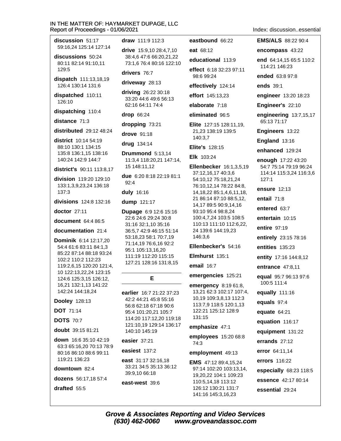discussion 51:17 59:16.24 125:14 127:14

discussions 50:24 80:11 82:14 91:10,11  $129:5$ 

dispatch 111:13,18,19 126:4 130:14 131:6

dispatched 110:11 126:10

dispatching 110:4

distance 71:3

distributed 29:12 48:24

district 10:14 54:19 88:10 130:1 134:15 135:8 136:1,15 138:16 140:24 142:9 144:7

district's 90:11 113:8.17

division 119:20 129:10 133:1,3,9,23,24 136:18  $137:3$ 

divisions 124:8 132:16

doctor 27:11

document 64:4 86:5

documentation 21:4

**Dominik 6:14 12:17.20** 54:4 61:6 83:11 84:1,3 85:22 87:14 88:18 93:24 102:2 110:2 112:23 119:2.6.15 120:20 121:4. 10 122:13,22,24 123:15 124:6 125:3,15 126:12, 16,21 132:1,13 141:22 142:24 144:18,24

#### **Dooley 128:13**

**DOT** 71:14

**DOTS** 70:7

doubt 39:15 81:21

down 16:6 35:10 42:19 63:3 65:16,20 70:13 78:9 80:16 86:10 88:6 99:11 119:21 136:23

#### downtown 82:4

dozens 56:17.18 57:4

drafted 55:5

draw 111:9 112:3

drive 15:9.10 28:4.7.10 38:4,6 47:6 66:20,21,22 73:1.6 76:4 80:16 122:10

## drivers 76:7

#### driveway 28:13

driving 26:22 30:18 33:20 44:6 49:6 56:13 62:16 64:11 74:4

drop 66:24

#### dropping 73:21

drove 91:18

drug 134:14

Drummond 5:13,14 11:3,4 118:20,21 147:14, 15 148:11,12

due 6:20 8:18 22:19 81:1  $92.4$ 

#### duly 16:16

dump 121:17

Dupage 6:9 12:6 15:16 22:6 24:6 29:24 30:8 31:16 32:1,10 35:16 36:5.7 42:9 46:15 51:14 53:18,23 58:1 70:7,19 71:14,19 76:6,16 92:2 95:1 105:13.16.20 111:19 112:20 115:15 127:21 128:16 131:8,15

### E

earlier 16:7 21:22 37:23 42:2 44:21 45:8 55:16 56:8 62:18 67:18 90:6 95:4 101:20,21 105:7 114:20 117:12,20 119:18 121:10.19 129:14 136:17 140:10 145:19

#### easier 37:21

easiest 137:2

east 31:17 32:16.18 33:21 34:5 35:13 36:12 39:9,10 66:18

east-west 39:6

### eastbound 66:22

eat 68:12

educational 113:9

effect 6:18 32:23 97:11 98:6 99:24

effectively 124:14

effort 145:13,23

elaborate 7:18

eliminated 96:5

Elite 127:15 128:11,19, 21,23 138:19 139:5 140:3,7

**Elite's 128:15** 

Elk 103:24

Ellenbecker 16:1,3,5,19 37:12,16,17 40:3,6 54:10,12 75:18,21,24 76:10,12,14 78:22 84:8, 14, 18, 22 85: 1, 4, 6, 11, 18, 21 86:14 87:10 88:5,12, 14,17 89:5 90:9,14,16 93:10 95:4 98:8,24 100:4,7,24 103:5 108:5 110:13 111:10 112:6,22, 24 139:6 144:19,23 146:3,6

Ellenbecker's 54:16

Elmhurst 135:1

email  $16:7$ 

emergencies 125:21

emergency 8:19 61:8, 13,21 62:3 102:17 107:4, 10,19 109:3,8,13 112:3 113:7,9 118:5 120:1,13 122:21 125:12 128:9 131:15

#### emphasize 47:1

employees 15:20 68:8 74:3

#### employment 49:13

**EMS** 47:12 89:4,15,24 97:14 102:20 103:13,14, 19,20,22 104:1 109:23 110:5,14,18 113:12 126:12 130:21 131:7 141:16 145:3,16,23

Index discussion essential

**EMS/ALS** 88:22 90:4

encompass 43:22

end 64:14.15 65:5 110:2 114:21 146:23

ended 63:8 97:8

ends 39:1

engineer 13:20 18:23

Engineer's 22:10

engineering 13:7,15,17 65:13 71:17

Engineers 13:22

England 13:16

enhanced 129:24

enough 17:22 43:20 54:7 75:14 79:19 96:24 114:14 115:3,24 116:3,6  $127:1$ 

ensure 12:13

entail 71:8

entered 63:7

entertain 10:15

entire 97:19

entirely 23:15 78:16

entities 135:23

entity 17:16 144:8,12

entrance 47:8,11

equal 95:7 96:13 97:6 100:5 111:4

equally 111:16

equals 97:4

equate 64:21

equation 116:17

equipment 131:22

errands  $27:12$ 

error 64:11,14

errors 116:22

especially 68:23 118:5

essence 42:17 80:14

essential 29:24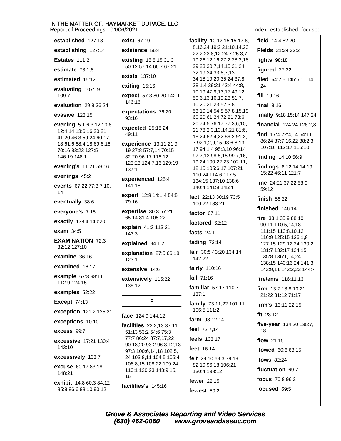**exist 67:19** 

established 127:18

109:7

146:19 148:1

14

exam 34:5

field 14:4 82:20 facility 10:12 15:15 17:6, 8.16.24 19:2 21:10.14.23 Fields 21:24 22:2 fights 98:18 figured 27:22 filed 64:2,5 145:6,11,14,

24

fill 19:16

final  $8:16$ 

finally 9:18 15:14 147:24

financial 124:24 126:2,8

find 17:4 22:4,14 64:11 86:24 87:7,16,22 88:2,3 107:16 112:17 115:10

finding 14:10 56:9

findings 8:12 14:14,19 15:22 46:11 121:7

fine  $24:21.37:22.58:9$ 59:12

finish  $56:22$ 

finished 146:14

fire 33:1 35:9 88:10 90:11 110:5,14,18 111:15 113:8,10,12 116:9 125:15 126:1,8 127:15 129:12,24 130:2 131:7 132:17 134:15 135:8 136:1,14,24 138:15 140:16,24 141:3 142:9,11 143:2,22 144:7

fire/ems 116:11,13

firm 13:7 18:8.10.21 21:22 31:12 71:17

firm's  $13:11$   $22:15$ 

fit  $23:12$ 

five-year 134:20 135:7, 18

flow  $21.15$ 

flowed 60:6 63:15

**flows** 82:24

fluctuation 69:7

focus 70:8 96:2

focused 69:5

establishing 127:14 existence 56:4 22:2 23:8,12 24:7 25:3,7, Estates 111:2 **existing** 15:8,15 31:3 19 26:12,16 27:2 28:3,18 50:12 57:14 66:7 67:21 29:23 30:7,14,15 31:24 estimate 78:1.8 32:19,24 33:6,7,13 **exists** 137:10 estimated 15:12 34:18,19,20 35:24 37:8 38:1.4 39:21 42:4 44:8. exiting 15:16 evaluating 107:19 10,19 47:9,13,17 49:12 expect 57:3 80:20 142:1 50:6,13,16,19,23 51:7, 146:16 10,20,21,23 52:3,8 evaluation 29:8 36:24 53:10,14 54:8 57:8,15,19 expectations 76:20 evasive  $123:15$ 60:20 61:24 72:21 73:6,  $93.16$ 20 74:5 76:17 77:3.6.10. evening 5:1 6:3,12 10:6 expected 25:18,24 21 78:2,3,13,14,21 81:6, 12:4,14 13:6 16:20,21 49:11 18,24 82:4,22 89:2 91:2, 41:20 46:3 59:24 60:17, 7 92:1, 2, 9, 15 93: 6, 8, 13, 18 61:6 68:4,18 69:6,16 experience 13:11 21:9, 17 94:1,4 95:3,10 96:14 70:16 83:23 127:5 19 27:8 57:7,14 70:15 97:7,13 98:5,15 99:7,16, 82:20 96:17 116:12 19,24 100:22,23 102:11, 123:23 124:7,16 129:19 evening's 11:21 59:16 12,15 105:6,17 107:21  $137:1$ 110:24 114:6 117:5 evenings 45:2 experienced 125:4 134:15 137:10 138:6 events 67:22 77:3,7,10,  $141:18$ 140:4 141:9 145:4 expert 12:8 14:1,4 54:5 fact 22:13 30:19 73:5 eventually 38:6 79:16 100:22 133:21 expertise 30:3 57:21 everyone's 7:15 factor  $67:11$ 65:14 81:4 105:22 exactly 138:4 140:20 factored 62:12 explain 41:3 113:21 facts  $24:1$  $143:3$ **EXAMINATION 72:3** fading  $73:14$ explained 94:1.2 82:12 127:10 fair 30:5 43:20 134:14 explanation 27:5 66:18 examine  $36:16$  $142:22$  $123:1$ fairly 110:16 extensive 14:6 fall 71:16 extensively 115:22 139:12 familiar 57:17 110:7  $137:1$ F family 73:11,22 101:11 106:5 111:2

face 124:9 144:12

facilities 23:2,13 37:11 51:13 53:2 54:6 75:3 77:7 86:24 87:7,17,22 90:18,20 93:2 96:3,12,13 97:3 100:6,14,18 102:5, 24 103:8,11 104:5 105:4 106:8,15 108:22 109:24 110:1 120:23 143:9,15, 16

facilities's 145:16

130:4 138:12 fewer 22:15 fewest  $50:2$ 

farm 98:12.14

feel 72:7.14

feels 133:17

felt 29:10 69:3 79:19

82:19 96:18 106:21

feet 16:14

#### **Grove & Associates Reporting and Video Services** (630) 462-0060 www.groveandassoc.com

examined 16:17 example 67:8 98:11 112:9 124:15 examples 52:22 **Except 74:13** 

exception 121:2 135:21

exceptions 10:10

excess 99:7

excessive 17:21 130:4 143:10

excessively 133:7

excuse 60:17 83:18 148:21

exhibit 14:8 60:3 84:12 85:8 86:6 88:10 90:12

Index: established focused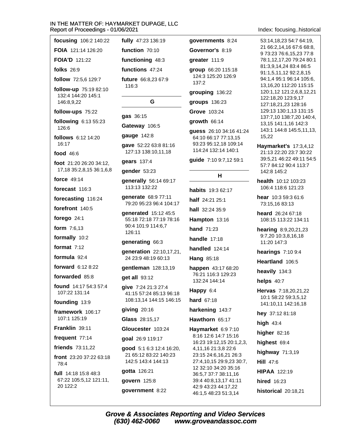| focusing 106:2 140:22                                     | fully 47:23 136:19                                                      |
|-----------------------------------------------------------|-------------------------------------------------------------------------|
| FOIA 121:14 126:20                                        | function 70:10                                                          |
| <b>FOIA'D 121:22</b>                                      | functioning 48:3                                                        |
| folks $26:9$                                              | functions 47:24                                                         |
| <b>follow</b> 72:5,6 129:7                                | <b>future</b> $66:8,2367:9$                                             |
| follow-up 75:19 82:10<br>132:4 144:20 145:1<br>146:8,9,22 | 116:3<br>G                                                              |
| follow-ups 75:22                                          |                                                                         |
| following 6:13 55:23<br>126:6                             | gas 36:15<br>Gateway 106:5                                              |
| follows 6:12 14:20                                        | gauge 142:8                                                             |
| 16:17<br>food 46:6                                        | gave 52:22 63:8 81:16<br>127:13 138:10,11,18                            |
| foot $21:2026:2034:12$                                    | gears 137:4                                                             |
| 17, 18 35: 2, 8, 15 36: 1, 6, 8                           | gender 53:23                                                            |
| force 49:14<br>forecast 116:3                             | generally 56:14 69:17<br>113:13 132:22                                  |
| forecasting 116:24                                        | generate 68:9 77:11                                                     |
| forefront 140:5                                           | 79:20 95:23 96:4 104:17                                                 |
| forego 24:1                                               | generated 15:12 45:5<br>55:18 72:18 77:19 78:16                         |
| form 7:6,13                                               | 90:4 101:9 114:6,7<br>126:11                                            |
| formally 10:2                                             | generating 66:3                                                         |
| format $7:12$                                             | generation 22:10,17,21,                                                 |
| formula $92:4$                                            | 24 23:9 48:19 60:13                                                     |
| <b>forward</b> $6:128:22$                                 | gentleman 128:13,19                                                     |
| forwarded 85:8                                            | get all 93:12                                                           |
| found 14:17 54:3 57:4<br>107:22 131:14                    | give 7:24 21:3 27:4<br>41:15 57:24 85:13 96:18                          |
| founding 13:9                                             | 108:13,14 144:15 146:15                                                 |
| framework 106:17<br>107:1 125:19                          | giving 20:16                                                            |
| Franklin 39:11                                            | <b>Glass</b> 28:15,17                                                   |
| frequent 77:14                                            | Gloucester 103:24                                                       |
| friends 73:11,22                                          | goal 26:9 119:17                                                        |
| front $23:2037:2263:18$<br>78:4                           | good 5:1 6:3 12:4 16:20,<br>21 65:12 83:22 140:23<br>142:5 143:4 144:13 |
| full 14:18 15:8 48:3                                      | gotta 126:21                                                            |
| 67:22 105:5,12 121:11,                                    | govern 125:8                                                            |
| 20 122:2                                                  | government 8:22                                                         |

governments 8:24 Governor's 8:19 greater 111:9 group 66:20 115:18 124:3 125:20 126:9  $137:2$ grouping 136:22 groups 136:23 Grove 103:24  $qrowth$  66:14 guess 26:10 34:16 41:24 64:10 66:17 77:13,15 93:23 95:12,18 109:14 114:24 132:14 140:1 guide 7:10 9:7,12 59:1 H habits 19:3 62:17 half 24:21 25:1 hall 32:24 35:9 Hampton 13:16 **hand** 71:23 **handle** 17:18 **handled** 124:14 Hang 85:18 happen 43:17 68:20 76:21 116:3 129:23 132:24 144:14 Happy 6:4 hard 67:18 harkening 143:7 Hawthorn 65:17 Haymarket 6:9 7:10 8:16 12:6 14:7 15:16 16:23 19:12,15 20:1,2,3, 4,11,16 21:3,8 22:6 23:15 24:6,16,21 26:3 27:4,10,15 29:9,23 30:7, 12 32:10 34:20 35:16 36:5,7 37:7 38:11,16

Index: focusing..historical

53:14,18,23 54:7 64:19, 21 66:2.14.16 67:6 68:8. 9 73:23 76:6,15,23 77:8 78:1,12,17,20 79:24 80:1 81:3,9,14,24 83:4 86:5 91:1,5,11,12 92:2,8,15 94:1,4 95:1 96:14 105:6, 13,16,20 112:20 115:15 120:1,12 121:2,6,8,12,21 122:18,20 123:9,17 127:18,21,23 128:16 129:13 130:1,13 131:15 137:7,10 138:7,20 140:4, 13,15 141:1,16 142:3 143:1 144:8 145:5,11,13, 15,22 Haymarket's 17:3,4,12

21:13 22:20 23:7 30:22 39:5,21 46:22 49:11 54:5 57:7 84:12 90:4 113:7 142:8 145:2

health 10:12 103:23 106:4 118:6 121:23

hear 10:3 59:3 61:6 73:15,16 83:13

heard 26:24 67:18 108:15 113:22 134:11

hearing 8:9,20,21,23 9:7,20 10:3,8,16,18 11:20 147:3

hearings  $7:109:4$ 

Heartland 106:5

heavily 134:3

helps 40:7

Hervas 7:18,20,21,22 10:1 58:22 59:3,5,12 141:10,11 142:16,18

hey 37:12 81:18

high  $43:4$ 

higher 82:16

highest 69:4

highway  $71:3,19$ 

**Hill 47:6** 

**HIPAA 122:19** 

hired 16:23

historical 20:18.21

**Grove & Associates Reporting and Video Services** www.groveandassoc.com (630) 462-0060

39:4 40:8,13,17 41:11

42:9 43:23 44:17,22

46:1,5 48:23 51:3,14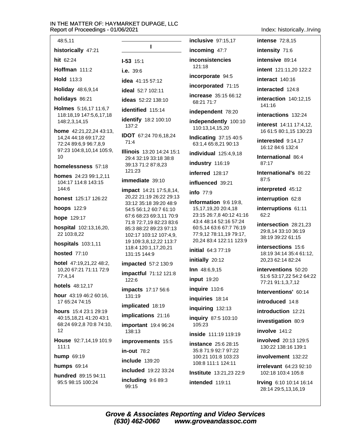48:5.11

historically 47:21 hit 62:24 Hoffman 111:2 Hold 113:3

Holiday 48:6,9,14

holidays 86:21

Holmes 5:16,17 11:6,7 118:18,19 147:5,6,17,18 148:2,3,14,15

home 42:21,22,24 43:13, 14,24 44:18 69:17,22 72:24 89:6,9 96:7,8,9 97:23 104:8,10,14 105:9,  $10$ 

#### homelessness 57:18

homes 24:23 99:1.2.11 104:17 114:8 143:15 144:6

honest 125:17 126:22

hoops 122:9

hope 129:17

hospital 102:13,16,20, 22 103:8.22

**hospitals** 103:1,11

**hosted** 77:10

hotel 47:19,21,22 48:2, 10,20 67:21 71:11 72:9 77:4,14

hotels 48:12,17

hour 43:19 46:2 60:16. 17 65:24 74:15

hours 15:4 23:1 29:19 40:15,18,21 41:20 43:1 68:24 69:2,8 70:8 74:10, 12

House 92:7,14,19 101:9  $111:1$ 

hump 69:19

humps 69:14

hundred 89:15 94:11 95:5 98:15 100:24

 $1 - 53$  15.1 i.e.  $39:6$ idea 41:15 57:12 ideal 52:7 102:11 ideas 52:22 138:10 identified 115:14 identify 18:2 100:10 137:2 IDOT 67:24 70:6,18,24 71:4 **Illinois** 13:20 14:24 15:1 29:4 32:19 33:18 38:8 39:13 71:2 87:8,23 121:23 immediate 39:10 impact 14:21 17:5,8,14, 20,22 21:19 26:22 29:13 33:12 35:18 39:20 48:9 54:5 56:1,2 60:7 61:10 67:6 68:23 69:3,11 70:9 71:8 72:7,19 82:23 83:6 85:3 88:22 89:23 97:13 102:17 103:12 107:4,9, 19 109:3,8,12,22 113:7 118:4 120:1,17,20,21 131:15 144:9 impacted 57:2 130:9

 $\mathbf{I}$ 

impactful 71:12 121:8  $122:6$ 

**impacts** 17:17 56:6  $131:19$ 

implicated 18:19

implications 21:16

important 19:4 96:24 138:13

improvements 15:5

 $in$ -out  $78:2$ 

include  $139:20$ 

included 19:22 33:24 including  $9:689:3$ 

99:15

inclusive 97:15.17

incoming 47:7 **inconsistencies** 121:18

incorporate 94:5

incorporated 71:15

increase 35:15 66:12 68:21 71:7

independent 78:20

independently 100:10 110:13,14,15,20

**Indicating 37:15 40:5** 63:1,4 65:8,21 90:13

individual 125:4,9,18

industry 116:19

inferred 128:17

influenced 39:21

info $77:9$ 

information 9:6 19:8, 15, 17, 19, 20 20: 4, 18 23:15 26:7,8 40:12 41:16 43:4 48:14 52:16 57:24 60:5,14 63:6 67:7 76:19 77:9,12 78:11,19 79:17, 20,24 83:4 122:11 123:9

initial 64:3 77:19

initially 20:12

Inn 48:6,9,15

**input** 19:20

inquire 110:6

inquiries 18:14

inquiring 132:13

inquiry 87:5 103:10 105:23

inside 111:19 119:19

**instance** 25:6 28:15 35:8 71:9 92:7 97:22 100:21 101:8 103:23 108:8 111:1 124:11 Institute 13:21,23 22:9

intended 119:11

Index: historically..Irving

**intense** 72:8.15

intensity 71:6

intensive 89:14

intent 121:11,20 122:2

interact 140:16

interacted 124:8

interaction 140:12.15 141:16

interactions 132:24

interest 14:11 17:4.12. 16 61:5 80:1,15 130:23

interested 9:14,17 16:12 84:6 132:4

International 86:4 87:17

International's 86:22  $87:5$ 

interpreted 45:12

interruption 62:8

interruptions 61:11  $62:2$ 

intersection 28:21.23 29:8.14 33:10 36:19 38:19 39:22 61:15

intersections 15:6 18:19 34:14 35:4 61:12, 20,23 62:14 82:24

interventions 50:20 51:6 53:17,22 54:2 64:22 77:21 91:1,3,7,12

Interventions' 60:14

introduced 14:8

introduction 12:21

investigation 80:9

involve 141:2

involved 20:13 129:5 130:22 138:16 139:1

involvement 132:22

**irrelevant** 64:23 92:10 102:18 103:4 105:8

Irving 6:10 10:14 16:14 28:14 29:5,13,16,19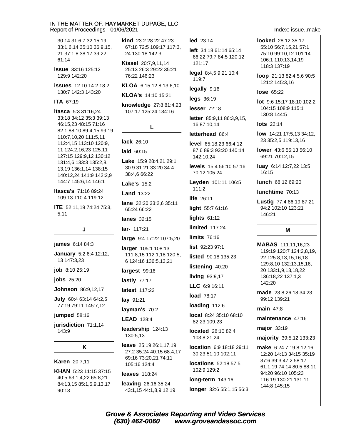30:14 31:6,7 32:15,19 33:1.6.14 35:10 36:9.15. 21 37:1.8 38:17 39:22 61:14

**issue** 33:16 125:12 129:9 142:20

**issues** 12:10 14:2 18:2 130:7 142:3 143:20

#### **ITA 67:19**

**Itasca** 5:3 31:16.24 33:18 34:12 35:3 39:13 46:15,23 48:15 71:16 82:1 88:10 89:4,15 99:19 110:7,10,20 111:5,11 112:4,15 113:10 120:9, 11 124:2,16,23 125:11 127:15 129:9.12 130:12 131:4,6 133:3 135:2,8, 13,19 136:1,14 138:15 140:12,24 141:9 142:2,9 144:7 145:6,14 146:1

**Itasca's 71:16 89:24** 109:13 110:4 119:12

**ITE** 52:11,19 74:24 75:3,  $5,11$ 

J.

james 6:14 84:3

January 5:2 6:4 12:12, 13 147:3,23

job 8:10 25:19

**iobs** 25:20

**Johnson** 86:9,12,17

July 60:4 63:14 64:2,5 77:19 79:11 145:7,12

jumped 58:16

jurisdiction 71:1.14 143:9

#### K

**Karen** 20:7,11

KHAN 5:23 11:15 37:15 40:5 63:1.4.22 65:8.21 84:13,15 85:1,5,9,13,17  $90:13$ 

kind 23:2 28:22 47:23 67:18 72:5 109:17 117:3. 24 130:18 142:3

**Kissel** 20:7,9,11,14 25:13 26:3 29:22 35:21 76:22 146:23

KLOA 6:15 12:8 13:6.10

KLOA's 14:10 15:21

knowledge 27:8 81:4,23 107:17 125:24 134:16

L

lack 26:10

laid 60:15

Lake 15:9 28:4,21 29:1 30:9 31:21 33:20 34:4 38:4.6 66:22

**Lake's 15:2** 

**Land 13:22** 

lane 32:20 33:2.6 35:11 65:24 66:22

**lanes** 32:15

lar- 117:21

large 9:4 17:22 107:5,20

larger 105:1 108:13 111:8,15 112:1,18 120:5, 6 124:16 136:5,13,21

largest 99:16

lastly  $77:17$ 

latest 117:23

lay 91:21

layman's 70:2

**LEAD** 128:4

leadership 124:13 130:5.13

leave 25:19 26:1,17,19 27:2 35:24 40:15 68:4.17 69:16 73:20,21 74:11 105:16 124:4

leaves 118:24

leaving 26:16 35:24 43:1,15 44:1,8,9,12,19 led 23:14

left 34:18 61:14 65:14 66:22 79:7 84:5 120:12  $121.17$ 

legal 8:4,5 9:21 10:4 119:7

legally 9:16

legs 36:19

lesser  $72:18$ 

letter 85:9,11 86:3,9,15, 16 87:10,14

letterhead 86:4

level 65:18,23 66:4,12 87:6 89:3 93:20 140:14 142:10,24

levels 15:4 56:10 57:16 70:12 105:24

Levden 101:11 106:5 111:2

life 26:11

light 55:7 61:16

lights  $61:12$ 

limited  $117:24$ 

**limits 76:16** 

list 92:23 97:1

listed 90:18 135:23

listening 40:20

living  $93:9,17$ 

LLC 6:9 16:11

load 78:17

loading 112:6

local 8:24 35:10 68:10 82:23 109:23

located 28:10 82:4 103:8,21,24

location 6:9 18:18 29:11 30:23 51:10 102:11

**locations** 52:18 57:5 102:9 129:2

long-term 143:16

longer 32:6 55:1,15 56:3

Index issue make

looked 28:12 35:17 55:10 56:7.15.21 57:1 75:10 99:10.12 101:14 106:1 110:13,14,19 118:3 137:19

loop 21:13 82:4,5,6 90:5 121:2 145:3,16

**lose 65:22** 

lot 9:6 15:17 18:10 102:2 104:15 108:9 115:1 130:8 144:5

**lots** 22:14

low 14:21 17:5.13 34:12. 23 35:2,5 119:13,16

lower 43:6 55:13 56:10 69:21 70:12.15

luay 6:14 12:7,22 13:5 16:15

lunch 68:12 69:20

lunchtime 70:13

Lustig 77:4 86:19 87:21 94:2 102:10 123:21 146:21

#### M

MABAS 111:11,16,23 119:19 120:7 124:2,8,19, 22 125:8,13,15,16,18 129:8,10 132:13,15,16, 20 133:1,9,13,18,22 136:18,22 137:1,3 142:20

made 23:8 26:18 34:23 99:12 139:21

main 47:8

maintenance 47:16

major 33:19

majority 39:5,12 133:23

make 6:24 7:19 8:12,16 12:20 14:13 34:15 35:19 37:6 39:3 47:2 58:17 61:1,19 74:14 80:5 88:11 94:20 96:10 105:23 116:19 130:21 131:11 144:8 145:15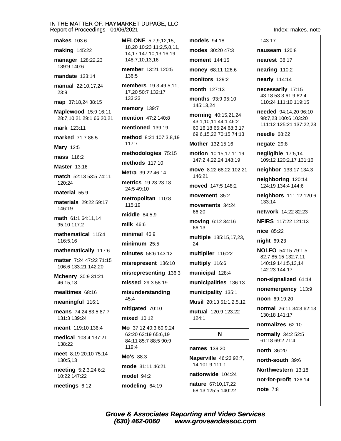**makes** 103:6

**making 145:22** 

manager 128:22,23 139:9 140:6

mandate 133:14

manual 22:10,17,24  $23.9$ 

map 37:18.24 38:15

Maplewood 15:9 16:11 28:7,10,21 29:1 66:20,21

mark 123:11

marked 71:7 86:5

**Mary 12:5** 

**mass** 116:2

**Master 13:16** 

match 52:13 53:5 74:11  $120:24$ 

material 55:9

materials 29:22 59:17 146:19

math 61:1 64:11.14 95:10 117:2

mathematical 115:4 116:5.16

mathematically 117:6

matter 7:24 47:22 71:15 106:6 133:21 142:20

Mchenry 30:9 31:21 46:15.18

mealtimes 68:16

meaningful 116:1

means 74:24 83:5 87:7 131:3 139:24

meant 119:10 136:4 medical 103:4 137:21 138:22

meet 8:19 20:10 75:14 130:5,13

meeting 5:2,3,24 6:2 10:22 147:22

meetings 6:12

**MELONE** 5:7.9.12.15. 18.20 10:23 11:2.5.8.11. 14,17 147:10,13,16,19 148:7,10,13,16

member 13:21 120:5 136:5

members 19:3 49:5,11, 17,20 50:7 132:17 133:23

memory 139:7

mention 47:2 140:8

mentioned 139:19

method 8:21 107:3,8,19 117:7

methodologies 75:15

methods 117:10

Metra 39:22 46:14

metrics 19:23 23:18 24:5 49:10

metropolitan 110:8 115:19

middle 84:5,9

milk 46:6

minimal  $46:9$ 

minimum  $25:5$ 

minutes 58:6 143:12

misrepresent 136:10

misrepresenting 136:3

missed 29:3 58:19

misunderstanding  $45:4$ 

mitigated 70:10

mixed 10:12

Mo 37:12 40:3 60:9,24 62:20 63:19 65:6,19 84:11 85:7 88:5 90:9 119:4

Mo's 88:3

mode 31:11 46:21 model 94:2

modeling 64:19

(630) 462-0060

models 94:18 modes 30:20 47:3

moment 144:15

money 68:11 126:6

monitors 129:2

month 127:13

months 93:9 95:10 145:13.24

morning 40:15,21,24 43:1,10,11 44:1 46:2 60:16,18 65:24 68:3,17 69:6,15,22 70:15 74:13

Mother 132:15,16

motion 10:15,17 11:19 147:2,4,22,24 148:19

move 8:22 68:22 102:21 146:21

moved 147:5 148:2

movement 35:2

movements 34:24 66:20

moving 6:12 34:16 66:13

multiple 135:15,17,23, 24

multiplier 116:22

multiply 116:6

municipal 128:4

municipalities 136:13

municipality 135:1 Musil 20:13 51:1,2,5,12

mutual 120:9 123:22  $124.1$ 

#### N

**names** 139:20

**Naperville** 46:23 92:7, 14 101:9 111:1 nationwide 104:24

nature 67:10.17.22 68:13 125:5 140:22

www.groveandassoc.com

**Grove & Associates Reporting and Video Services** 

Index makes note

143:17

nauseam 120:8

nearest 38:17

nearing 110:2

nearly 114:14

necessarily 17:15 43:18 53:3 61:9 62:4 110:24 111:10 119:15

needed 94:14.20 96:10 98:7.23 100:6 103:20 111:12 125:21 137:22,23

needle 68:22

negate 29:8

negligible 17:5,14 109:12 120:2,17 131:16

neighbor 133:17 134:3

neighboring 120:14 124:19 134:4 144:6

neighbors 111:12 120:6  $133:14$ 

network 14:22 82:23

NFIRS 117:22 121:13

nice 85:22

 $night$  69:23

**NOLFO** 54:15 79:1,5 82:7 85:15 132:7,11 140:19 141:5.13.14 142:23 144:17

non-signalized 61:14

noon 69:19,20

130:18 141:17

normalizes 62:10

normally 34:2 52:5

61:18 69:2 71:4

north-south 39:6

Northwestern 13:18

not-for-profit 126:14

north 36:20

**note 7:8** 

nonemergency 113:9

normal 26:11 34:3 62:13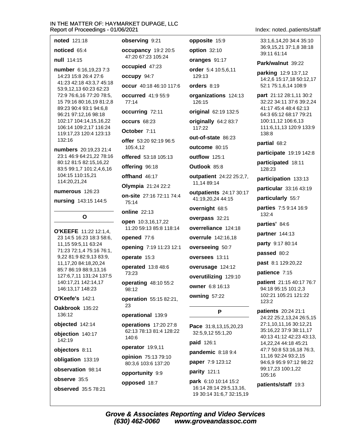noted 121:18 observing 9:21 opposite 15:9 33:1.6.14.20 34:4 35:10 noticed 65:4 occupancy 19:2 20:5 option 32:10 39:11 61:14 47:20 67:23 105:24 null 114:15 oranges 91:17 Park/walnut 39:22 occupied 47:23 number 6:16,19,23 7:3 order 5:4 10:5,6,11 14:23 15:8 26:4 27:6 occupy 94:7 129:13 41:23 42:18 43:3.7 45:18 occur 40:18 46:10 117:6 orders 8:19 53:9,12,13 60:23 62:23 72:9 76:6,16 77:20 78:5, occurred 41:9 55:9 organizations 124:13 15 79:16 80:16,19 81:2,8  $77:14$ 126:15 89:23 90:4 93:1 94:6,8 occurring 72:11 original 62:19 132:5 96:21 97:12,16 98:18 102:17 104:14,15,16,22 occurs 68:23 originally 64:2 83:7 106:14 109:2,17 116:24 117:22 October 7:11 119:17.23 120:4 123:13 138:8 out-of-state 86:23 132:16 offer 53:20 92:19 96:5 partial 68:2 outcome 80:15 105:4.12 numbers 20:19,23 21:4 23:1 46:9 64:21,22 78:16 offered 53:18 105:13 outflow 125:1 80:12 81:5 82:15,16,22 participated 18:11 offering 96:18 Outlook 85:8 83:5 99:1,7 101:2,4,6,16 128:23 104:15 110:15,21 offhand 46:17 outpatient 24:22 25:2,7, 114:20,21,24 11,14 89:14 Olympia 21:24 22:2 numerous 126:23 outpatients 24:17 30:17 on-site 27:16 72:11 74:4 particularly 55:7 41:19,20,24 44:15 nursing 143:15 144:5 75:14 overnight 68:5 **online** 22:13 132:4  $\Omega$ overpass 32:21 open 10:3,16,17,22 parties' 84:6 11:20 59:13 85:8 118:14 overreliance 124:18 O'KEEFE 11:22 12:1.4. partner 144:13 23 14:5 16:23 18:3 58:6, opened 77:6 overrule 142:16,18 11,15 59:5,11 63:24 party 9:17 80:14 overseeing 50:7 opening 7:19 11:23 12:1 71:23 72:1,4 75:16 76:1, passed 80:2 9,22 81:9 82:9,13 83:9, operate 15:3 oversees 13:11 past 8:1 129:20,22 11,17,20 84:18,20,24 operated 13:8 48:6 overusage 124:12 85:7 86:19 88:9,13,16 patience 7:15 73:23 127:6,7,11 131:24 137:5 overutilizing 129:10 140:17,21 142:14,17 operating 48:10 55:2 owner 6:8 16:13 146:13,17 148:23 98:12 owning 57:22 O'Keefe's 142:1 **operation** 55:15 82:21,  $123.2$ 23 P patients 20:24 21:1 operational 139:9 operations 17:20 27:8 Pace 31:8,13,15,20,23 62:13 78:13 81:4 128:22 32:5,9,12 55:1,20 140:6 paid 126:1 operator 19:9,11 pandemic 8:18 9:4 opinion 75:13 79:10 paper 7:9 123:12 80:3,6 103:6 137:20 parity 121:1

opportunity 9:9

opposed 18:7

**Grove & Associates Reporting and Video Services** (630) 462-0060 www.groveandassoc.com

park 6:10 10:14 15:2

16:14 28:14 29:5,13,16,

19 30:14 31:6,7 32:15,19

Index: noted..patients/staff

36:9.15.21 37:1.8 38:18

parking 12:9 13:7,12 14:2.6 15:17.18 50:12.17 52:1 75:1,6,14 108:9

part 21:12 28:1,11 30:2 32:22 34:11 37:6 39:2,24 41:17 45:4 48:4 62:13 64:3 65:12 68:17 79:21 100:11,12 106:6,13 111:6,11,13 120:9 133:9

participate 19:19 142:8

participation 133:13

particular 33:16 43:19

parties 7:5 9:14 16:9

patient 21:15 40:17 76:7 94:18 95:15 101:2,3 102:21 105:21 121:22

24:22 25:2,13,24 26:5,15 27:1,10,11,16 30:12,21 35:16,22 37:9 38:11,17 40:13 41:12 42:23 43:13, 14,22,24 44:18 45:21 47:7 50:8 53:16,18 76:3, 11,16 92:24 93:2,15 94:6,9 95:9 97:12 98:22 99:17,23 100:1,22 105:16

Oakbrook 135:22 136:12

objected 142:14

objection 140:17 142:19

objectors 8:11

obligation 133:19

observation 98:14

observe 35:5

observed 35:5 78:21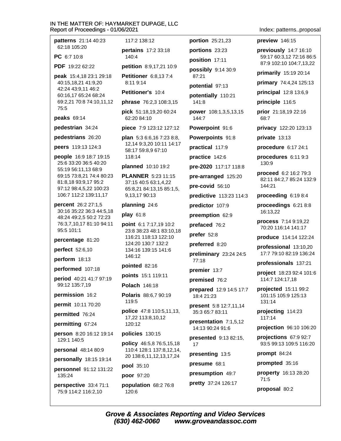patterns 21:14 40:23 62:18 105:20

**PC** 6.7.10.8

PDF 19:22 62:22

peak 15:4,18 23:1 29:18 40:15,18,21 41:9,20 42:24 43:9,11 46:2 60:16,17 65:24 68:24 69:2,21 70:8 74:10,11,12 75:5

#### peaks 69:14

pedestrian 34:24

pedestrians 26:20

peers 119:13 124:3

**people** 16:9 18:7 19:15 25:6 33:20 36:5 40:20 55:19 56:11.13 68:9 69:15 73:8,21 74:4 80:23 81:8,18 93:9,17 95:2 97:12 98:4,5,22 100:23 106:7 112:2 139:11,17

percent 26:2 27:1,5 30:16 35:22 36:3 44:5,18 48:24 49:2,5 50:2 72:23 76:3,7,10,17 81:10 94:11 95:5 101:1

percentage 81:20

**perfect** 52:6,10

perform 18:13

performed 107:18

period 40:21 41:7 97:19 99:12 135:7,19

permission 16:2

permit 10:11 70:20

permitted 76:24

permitting 67:24

person 8:20 16:12 19:14 129:1 140:5

personal 48:14 80:9

personally 18:15 19:14

personnel 91:12 131:22 135:24

perspective 33:4 71:1 75:9 114:2 116:2,10

117:2 138:12 pertains 17:2 33:18

140:4

petition 8:9,17,21 10:9

Petitioner 6:8,137:4 8:11 9:14

Petitioner's 10:4

phrase 76:2,3 108:3,15

pick 51:18,19,20 60:24 62:20 84:10

piece 7:9 123:12 127:12

plan 5:3 6:6,16 7:23 8:8, 12,14 9:3,20 10:11 14:17 58:17 59:8,9 67:10 118:14

planned 10:10 19:2

**PLANNER** 5:23 11:15 37:15 40:5 63:1.4.22 65:8,21 84:13,15 85:1,5, 9,13,17 90:13

#### planning 24:6

play 61:8

**point** 6:1 7:17,19 10:2 23:8 38:23 48:1 83:10.18 116:21 118:13 122:10 124:20 130:7 132:2 134:16 139:15 141:6 146:12

pointed 82:16

points 15:1 119:11

Polach 146:18

Polaris 88:6.7 90:19 119:5

police 47:8 110:5,11,13, 17.22 113:8.10.12  $120:12$ 

policies 130:15

policy 46:5,8 76:5,15,18 110:4 128:1 137:8,12,14, 20 138:6, 11, 12, 13, 17, 24

pool 35:10

poor 97:20

population 68:2 76:8 120:6

Index: patterns..proposal

preview 146:15

portion 25:21,23

portions 23:23

position 17:11

potential 97:13

87:21

141:8

 $144.7$ 

possibly 9:14 30:9

potentially 110:21

Powerpoint 91:6

Powerpoints 91:8

pre-2020 117:17 118:8

pre-arranged 125:20

predictive 113:23 114:3

practical 117:9

practice 142:6

pre-covid 56:10

predictor 107:9

preemption 62:9

prefaced 76:2

preferred 8:20

premier 13:7

 $18.421.23$ 

17

premised 76:2

preliminary 23:24 24:5

**prepared** 12:9 14:5 17:7

present 5:8 12:7,11,14

presentation 7:1,5,12

presented 9:13 82:15.

35:3 65:7 83:11

14:13 90:24 91:6

presenting 13:5

presumption 49:7

pretty 37:24 126:17

presume 68:1

prefer 52:8

 $77:18$ 

power 108:1,3,5,13,15

previously 14:7 16:10 59:17 60:3,12 72:16 86:5 87:9 102:10 104:7,13,22

primarily 15:19 20:14

primary 74:4,24 125:13

principal 12:8 13:6,9

principle 116:5

prior 21:18,19 22:16  $68.7$ 

privacy 122:20 123:13

 $private$  13:13

procedure 6:17 24:1

procedures 6:11 9:3 130:9

**proceed** 6:2 16:2 79:3 82:11 84:2.7 85:24 132:9 144:21

proceeding 6:19 8:4

proceedings 6:21 8:8 16:13,22

process 7:14 9:19,22 70:20 116:14 141:17

produce 114:14 122:24

professional 13:10,20 17:7 79:10 82:19 136:24

professionals 137:21

project 18:23 92:4 101:6 114:7 124:17,18

projected 15:11 99:2 101:15 105:9 125:13  $131:14$ 

projecting 114:23 117:14

projection 96:10 106:20

projections 67:9 92:7 93:5 99:13 109:5 116:20

prompt  $84:24$ 

prompted 35:16

property 16:13 28:20  $71:5$ 

proposal 80:2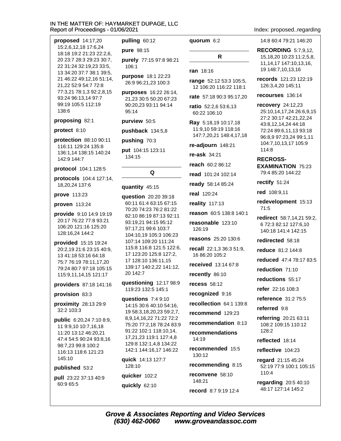proposed 14:17,20 15:2.6.12.18 17:6.24 18:18 19:2 21:23 22:2,6, 20 23:7 28:3 29:23 30:7, 22 31:24 32:19,23 33:5, 13 34:20 37:7 38:1 39:5, 21 46:22 49:12,16 51:14, 21.22 52:9 54:7 72:8 77:3,21 78:1,3 92:2,8,15 93:24 96:13,14 97:7 99:19 105:5 112:19 138:6

#### proposing 82:1

#### protect 8:10

protection 88:10 90:11 116:11 129:24 135:8 136:1,14 138:15 140:24 142:9 144:7

#### protocol 104:1 128:5

protocols 104:4 127:14, 18.20.24 137:6

#### **prove** 113:23

#### proven 113:24

provide 9:10 14:9 19:19 20:17 76:22 77:8 93:21 106:20 121:16 125:20 128:16,24 144:2

**provided** 15:15 19:24 20:2,19 21:6 23:15 40:9, 13 41:18 53:16 64:18 75:7 76:19 78:11.17.20 79:24 80:7 97:18 105:15 115:9,11,14,15 121:17

providers 87:18 141:16

#### provision 83:3

proximity 28:13 29:9 32:2 103:3

**public**  $6:20,247:108:9$ 11 9:9.10 10:7.16.18 11:20 13:12 46:20,21 47:4 54:5 90:24 93:8,16 98:7.23 99:8 100:2 116:13 118:6 121:23 145:10

#### published 53:2

pull 23:22 37:13 40:9 60:9 65:5

# pulling 60:12 pure 98:15 purely 77:15 97:8 98:21

106:1

purpose 18:1 22:23 26:9 96:21,23 100:3

purposes 16:22 26:14, 21,23 30:5 50:20 67:23 90:20.23 93:11 94:14  $95:14$ 

#### purview 50:5

pushback 134:5,8

pushing 70:3

put 104:15 123:11 134:15

Q

#### quantity 45:15

question 20:20 39:18 60:11 61:4 63:15 67:15 70:20 74:23 76:2 81:22 82:10 86:19 87:13 92:11 93:19,21 94:15 95:12 97:17,21 99:6 103:7 104:10,19 105:3 106:23 107:14 109:20 111:24 115:8 116:8 121:5 122:6, 17 123:20 125:8 127:2, 17 128:10 136:11,15 139:17 140:2,22 141:12, 20 142:7

questioning 12:17 98:9 119:23 132:5 145:1

questions 7:4 9:10 14:15 30:6 40:10 54:16, 19 58:3,18,20,23 59:2,7, 8,9,14,16,22 71:22 72:2 75:20 77:2,18 78:24 83:9 91:22 102:1 118:10,14, 17,21,23 119:1 127:4,8 129:8 132:1,4,8 134:22 142:1 144:16,17 146:22

quick 14:13 127:7 128:10 quicker 102:2 quickly 62:10

#### quorum 6:2

# $\mathsf{R}$

ran 18:16

range 52:12 53:3 105:5. 12 106:20 116:22 118:1

rate 57:18 90:3 95:17,20

ratio 52:2,6 53:6,13 60:22 106:10

Ray 5:18,19 10:17,18 11:9,10 59:19 118:16 147:7,20,21 148:4,17,18

re-adjourn 148:21

re-ask  $34:21$ 

reach 60:2 86:12

read 101:24 102:14

ready 58:14 85:24

real 120:24

**reality** 117:13

reason 60:5 138:8 140:1

reasonable 123:10 126:19

reasons 25:20 130:6

recall 22:1,3 36:3 51:9, 16 86:20 105:2

received 13:14 67:8

recently 86:10

recess  $58:12$ 

recognized 9:16

recollection 64:1 139:8

recommend 129:23

recommendation 8:13

recommendations 14:19

recommended 15:5 130:12

recommending 8:15

reconvene 58:10 148:21 record 8:7 9:19 12:4 Index: proposed..regarding

14:8 60:4 79:21 146:20

**RECORDING 5:7.9.12.** 15,18,20 10:23 11:2,5,8, 11, 14, 17 147: 10, 13, 16, 19 148:7,10,13,16

records 121:23 122:19 126:3,4,20 145:11

#### recourses 136:14

recovery 24:12,23 25:10,14,17,24 26:6,9,15 27:2 30:17 42:21,22,24 43:8,12,14,24 44:18 72:24 89:6,11,13 93:18 96:8,9 97:23,24 99:1,11 104:7,10,13,17 105:9 114:8

#### **RECROSS-**

**EXAMINATION 75:23** 79:4 85:20 144:22

rectify 51:24

#### red 108:9,11

redevelopment 15:13  $71:5$ 

redirect 58:7,14,21 59:2, 6 72:3 82:12 127:6,10 140:18 141:4 142:15

redirected 58:18

reduce 81:2 144:8

reduced 47:4 78:17 83:5

reduction 71:10

reductions 55:17

refer 22:16 108:3

reference 31:2 75:5

referred 9:8

referring 20:21 63:11 108:2 109:15 110:12 128:2

reflected 18:14

reflective 104:23

regard 21:15 45:24 52:19 77:9 100:1 105:15 110:4

regarding 20:5 40:10 48:17 127:14 145:2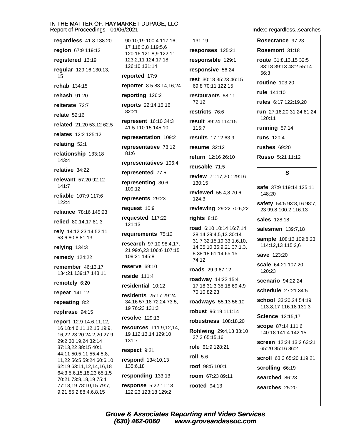regardless 41:8 138:20 region 67:9 119:13 registered 13:19 regular 129:16 130:13, 15 rehab 134:15 rehash 91:20 reiterate 72:7 relate  $52:16$ related 21:20 53:12 62:5 relates 12:2 125:12 relating 52:1 relationship 133:18 143:4 relative 34:22 relevant 57:20 92:12  $141.7$ reliable 107:9 117:6  $122:4$ reliance 78:16 145:23 relied 80:14.17 81:3 rely 14:12 23:14 52:11 53:6 80:8 81:13 relying 134:3 **remedy** 124:22 **remember** 46:13.17 134:21 139:17 143:11 remotely 6:20 **repeat** 141:12 repeating 8:2 rephrase 94:15 report 12:9 14:6,11,12, 16 18:4,6,11,12,15 19:9, 16,22 23:20 24:2,20 27:9 29:2 30:19.24 32:14 37:13.22 38:15 40:1 44:11 50:5,11 55:4,5,8, 11,22 56:5 59:24 60:6,10 62:19 63:11,12,14,16,18 64:3,5,6,15,18,23 65:1,5 70:21 73:8,18,19 75:4

77:18,19 78:10,15 79:7,

9,21 85:2 88:4,6,8,15

90:10.19 100:4 117:16. 17 118:3.8 119:5.6 120:16 121:8.9 122:11 123:2,11 124:17,18 126:10 131:14 reported 17:9 reporter 8:5 83:14,16,24 reporting 126:2 reports 22:14,15,16  $82:21$ **represent** 16:10 34:3 41:5 110:15 145:10 representation 109:2 representative 78:12 81:6 representatives 106:4 represented 77:5 representing 30:6 109:12 represents 29:23 request 10:9 requested 117:22  $121:13$ requirements 75:12 research 97:10 98:4.17. 21 99:6,23 106:6 107:15 109:21 145:8 reserve 69:10 reside  $111:4$ residential 10:12 residents 25:17 29:24 34:16 57:18 72:24 73:5. 19 76:23 131:3 resolve 129:13 resources 111:9,12,14, 19 112:13,14 129:10  $131:7$ respect 9:21 respond 134:10,13 135:6.18 responding 133:13

response 5:22 11:13 122:23 123:18 129:2

131:19

responses 125:21 responsible 129:1

responsive 56:24

rest 30:18 35:23 46:15 69:8 70:11 122:15

restaurants 68:11  $72:12$ 

restricts 76:6

result 89:24 114:15 115:7

results 17:12 63:9

resume  $32:12$ 

return 12:16 26:10

reusable 71:5

review 71:17.20 129:16 130:15

reviewed 55:4,8 70:6 124:3

reviewing 29:22 70:6,22

rights 8:10

road 6:10 10:14 16:7,14 28:14 29:4,5,13 30:14 31:7 32:15,19 33:1,6,10, 14 35:10 36:9,21 37:1,3, 8 38:18 61:14 65:15 74:12

roads 29:9 67:12

roadway 14:22 15:4 17:18 31:3 35:18 69:4,9 70:10 82:23

roadways 55:13 56:10

robust 96:19 111:14

robustness 108:18,20

Rohlwing 29:4,13 33:10 37:3 65:15.16

role 61:9 128:21

roll  $5:6$ 

**rooted** 94:13

roof 98:5 100:1

room 67:23 89:11

Index: regardless..searches

Rosecrance 97:23

Rosemont 31:18

route 31:8,13,15 32:5 33:18 39:13 48:2 55:14  $56:3$ 

**routine** 103:20

rule 141:10

rules 6:17 122:19.20

run 27:16.20 31:24 81:24  $120.11$ 

running 57:14

**runs** 120:4

rushes 69:20

Russo 5:21 11:12

## S

safe 37:9 119:14 125:11 148:20

safety 54:5 93:8,16 98:7, 23 99:8 100:2 116:13

sales 128:18

salesmen 139:7,18

sample 108:13 109:8,23 114:12,13 115:2,6

save 123:20

scale 64:21 107:20 120:23

scenario 94:22.24

schedule 27:21 34:5

school 33:20.24 54:19 113:8,17 116:18 131:3

**Science 13:15.17** 

**scope** 87:14 111:6 140:18 141:4 142:15

screen 12:24 13:2 63:21 65:20 85:16 86:2

scroll 63:3 65:20 119:21

scrolling 66:19

searched 86:23

searches 25:20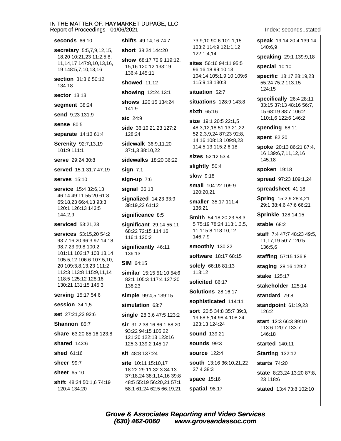| eport or Proceedings - 0 1/06/2021                                                |                          |
|-----------------------------------------------------------------------------------|--------------------------|
| <b>seconds</b> 66:10                                                              | shifts                   |
| secretary 5:5,7,9,12,15,                                                          | short                    |
| 18,20 10:21,23 11:2,5,8,<br>11, 14, 17 147: 8, 10, 13, 16,<br>19 148:5,7,10,13,16 | show<br>15,16<br>136:4   |
| section 31:3,6 50:12<br>134:18                                                    | show                     |
| <b>sector</b> 13:13                                                               | showi                    |
| segment 38:24                                                                     | show:<br>141:9           |
| <b>send</b> 9:23 131:9                                                            | sic 24                   |
| sense 80:5                                                                        | side :                   |
| separate 14:13 61:4                                                               | 128:2                    |
| Serenity 92:7,13,19<br>101:9 111:1                                                | sidew<br>37:1,3          |
| <b>serve</b> 29:24 30:8                                                           | sidew                    |
| served 15:1 31:7 47:19                                                            | sign i                   |
| <b>serves</b> 15:10                                                               | sign-l                   |
| <b>service</b> 15:4 32:6,13                                                       | signal                   |
| 46:14 49:11 55:20 61:8<br>65:18,23 66:4,13 93:3<br>120:1 126:13 143:5             | signal<br>38:19          |
| 144:2,9                                                                           | signif                   |
| serviced 53:21,23<br><b>services</b> 53:15,20 54:2                                | signif<br>68:22<br>116:1 |
| 93:7,16,20 96:3 97:14,18<br>98:7,23 99:8 100:2<br>101:11 102:17 103:13,14         | signif<br>136:1          |
| 105:5,12 106:6 107:5,10,<br>20 109:3,8,13,23 111:2                                | SIM 6                    |
| 112:3 113:8 115:9,11,14<br>118:5 125:12 128:16<br>130:21 131:15 145:3             | simila<br>82:1<br>138:2  |
| serving 15:17 54:6                                                                | simple                   |
| <b>session</b> 34:1,5                                                             | simul                    |
| set 27:21,23 92:6                                                                 | single                   |
| Shannon 85:7                                                                      | <b>sir</b> 31            |
| share 63:20 85:16 123:8<br><b>shared</b> 143:6                                    | 93:22<br>121:2<br>125:3  |
| <b>shed</b> 61:16                                                                 | sit 48                   |
| <b>sheer</b> 99:7                                                                 | site 1                   |
| <b>sheet</b> 65:10                                                                | 18:22<br>37:18           |
| <b>shift</b> 48:24 50:1,6 74:19<br>120:4 134:20                                   | 48:5<br>58:1             |

49:14,16 74:7

38:24 144:20

68:17 70:9 119:12, 3 120:12 133:19 4 145:11

ed 11:12

ing 12:24 13:1

\$120:15 134:24 G

 $4.9$ 

36:10,21,23 127:2 24

alk 36:9,11,20 3 38:10,22

**alks** 18:20 36:22

 $7:1$ 

up 7:6

 $136:13$ 

lized 14:23 33:9 9,22 61:12

ficance 8:5

ficant 29:14 55:11 2 72:15 114:16 120:2

icantly 46:11 3

#### $34:15$

ar 15:15 51:10 54:6 105:3 117:4 127:20 23

e 99:4.5 139:15

**ation 63:7** 

2 28:3.6 47:5 123:2

:2 38:16 86:1 88:20 2 94:15 105:22 20 122:13 123:16 3 139:2 145:17

#### 3:8 137:24

0:11 15:10.17 2 29:11 32:3 34:13 8,24 38:1,14,16 39:8 55:19 56:20,21 57:1 61:24 62:5 66:19,21

73:9.10 90:6 101:1.15 103:2 114:9 121:1.12 122:1.4.14

sites 56:16 94:11 95:5 96:16,18 99:10,13 104:14 105:1,9,10 109:6 115:9,13 130:3

#### situation 52:7

situations 128:9 143:8

 $sixth$  65:16

**size** 19:1 20:5 22:1,5 48:3,12,18 51:13,21,22 52:2,3,9,24 87:23 92:8, 14,16 108:13 109:8,23 114:5,13 115:2,6,18

sizes 52:12 53:4

slightly 50:4

**slow** 9:18

small 104:22 109:9 120:20,21

smaller 35:17 111:4 136:21

Smith 54:18,20,23 58:3, 5 75:19 78:24 113:1,3,5, 11 115:8 118:10,12 146:7.9

smoothly 130:22

software 18:17 68:15

solely 66:16 81:13 113:12

solicited 86:17

**Solutions** 28:16,17

sophisticated 114:11

sort 20:5 34:8 35:7 39:3, 19 68:5.14 98:4 108:24 123:13 124:24

sound 139:21

sounds 99:3

**source 122:4** 

**south** 13:16 36:10,21,22 37:4 38:3

space 15:16 spatial 98:17

#### Index: seconds..stated

speak 19:14 20:4 139:14 140:6.9

speaking 29:1 139:9,18

special 10:10

specific 18:17 28:19,23 55:24 75:2 113:15 124:15

specifically 26:4 28:11 33:15 37:13 48:16 56:7, 15 68:19 88:7 106:2 110:1,6 122:6 146:2

spending 68:11

spent 82:20

spoke 20:13 86:21 87:4, 16 139:6,7,11,12,16 145:18

spoken 19:18

spread 97:23 109:1,24

spreadsheet 41:18

Spring 15:2,9 28:4,21 29:1 38:4,6 47:6 66:21

**Sprinkle** 128:14,15

stable 68:2

staff 7:4 47:7 48:23 49:5. 11,17,19 50:7 120:5 136:5.6

staffing 57:15 136:8

staging 28:16 129:2

stake 125:17

stakeholder 125:14

standard 79:8

standpoint 61:19,23 126:2

start 12:3 66:3 89:10 113:6 120:7 133:7 146:18

started 140:11

Starting 132:12

**starts** 74:20

state 8:23,24 13:20 87:8, 23 118:6

stated 13:4 73:8 102:10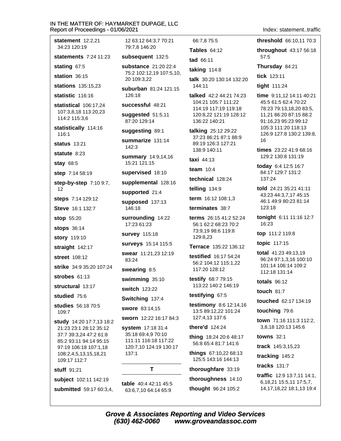#### IN THE MATTER OF: HAYMARKET DUPAGE, LLC R 021

Index: statement..traffic

| eport of Proceedings - 01/06/2                                                                                                                                           |                             |
|--------------------------------------------------------------------------------------------------------------------------------------------------------------------------|-----------------------------|
| statement $12:2,21$<br>34:23 120:19                                                                                                                                      | 12<br>79                    |
| statements 7:24 11:23                                                                                                                                                    | suł                         |
| stating 67:5                                                                                                                                                             | suł                         |
| station 36:15                                                                                                                                                            | 75<br>20                    |
| stations 135:15,23                                                                                                                                                       | suł                         |
| statistic 116:16                                                                                                                                                         | 12                          |
| statistical 106:17,24<br>107:3,8,18 113:20,23<br>114:2 115:3,6                                                                                                           | <b>SU</b><br>sug<br>87      |
| statistically 114:16<br>116:1                                                                                                                                            | suç                         |
| <b>status</b> 13:21                                                                                                                                                      | sur<br>14                   |
| statute 8:23                                                                                                                                                             | sur                         |
| <b>stay 68:5</b>                                                                                                                                                         | 15                          |
| step 7:14 58:19                                                                                                                                                          | su                          |
| <b>step-by-step</b> 7:10 9:7,                                                                                                                                            | sur                         |
| 12                                                                                                                                                                       | sur                         |
| steps 7:14 129:12<br><b>Steve</b> 16:1 132:7                                                                                                                             | sur<br>14                   |
| <b>stop</b> 55:20                                                                                                                                                        | sur                         |
| <b>stops</b> 36:14                                                                                                                                                       | 17                          |
| story 119:10                                                                                                                                                             | sur                         |
| straight 142:17                                                                                                                                                          | sur                         |
| <b>street</b> 108:12                                                                                                                                                     | <b>SW</b>                   |
| strike 34:9 35:20 107:24                                                                                                                                                 | 83<br><b>SW</b>             |
| strobes $61:13$                                                                                                                                                          | <b>SW</b>                   |
| <b>structural</b> 13:17                                                                                                                                                  | <b>SW</b>                   |
| studied 75:6                                                                                                                                                             | Sw                          |
| studies 56:18 70:5                                                                                                                                                       | <b>SW</b>                   |
| 109:7                                                                                                                                                                    | <b>SW</b>                   |
| study 14:20 17:7,13 18:2<br>21:23 23:1 28:12 35:12<br>37:7 39:3,24 47:2 61:8<br>85:2 93:11 94:14 95:15<br>97:19 106:18 107:1,18<br>108:2,4,5,13,15,18,21<br>109:17 112:7 | sys<br>35<br>11<br>12<br>13 |
| <b>stuff</b> 91:21                                                                                                                                                       |                             |
| subject 102:11 142:19                                                                                                                                                    | tab                         |
| submitted 59:17 60:3,4,                                                                                                                                                  | 63                          |

2 63:12 64:3.7 70:21 9:7.8 146:20 bsequent 132:5 **bstance** 21:20 22:4 5:2 102:12,19 107:5,10, 0 109:3,22 **burban** 81:24 121:15 26:18 ccessful 48:21 ggested 51:5,11 20 129:14 ggesting 89:1 mmarize 131:14  $12.3$ **mmary** 14:9,14,16 5:21 121:15 **pervised** 18:10 pplemental 128:16 pported 21:4 pposed 137:13 16:18 rrounding 14:22 7:23 61:23 rvey 115:18 rveys 15:14 115:5 ear 11:21,23 12:19  $3:24$ earing 8:5  $imming<sub>35:10</sub>$ **itch** 123:22 itching 137:4 ore 83:14,15 orn 12:22 16:17 84:3 stem 17:18 31:4 5:18 69:4,9 70:10 1:11 116:18 117:22 20:7,10 124:19 130:17 37:1 T le 40:4 42:11 45:5 3:6,7,10 64:14 65:9

66:7.8 75:5 threshold 66:10,11 70:3 Tables 64:12 tad 66:11 taking 114:8 talk 30:20 130:14 132:20 144:11 talked 42:2 44:21 74:23 104:21 105:7 111:22 114:19 117:19 119:18 120:8.22 121:19 128:12 136:22 140:21 talking 25:12 29:22 37:23 86:21 87:1 88:9 89:19 126:3 127:21 138:9 140:11 taxi 44:13 team  $10:4$ technical 128:24 telling 134:9 term 16:12 108:1,3 terminates 38:7 terms 26:15 41:2 52:24 56:1 62:2 68:23 70:2 73:9.19 98:6 119:8 129:8.23 Terrace 135:22 136:12 testified 16:17 54:24 56:2 104:12 115:1,22 117:20 128:12 testify 68:7 79:15 113:22 140:2 146:19 testifying 67:5 testimony 8:6 12:14,16 13:5 89:12,22 101:24 127:4,13 137:6 there'd 124:24 thing 18:24 20:6 48:17 56:8 65:4 81:7 141:6 things 67:10,22 68:13 125:5 143:16 144:13 thoroughfare 33:19 thoroughness 14:10

thought 96:24 105:2

throughout 43:17 56:18 57:5 Thursday 84:21

tick 123:11

tight 111:24

time 9:11,12 14:11 40:21 45:5 61:5 62:4 70:22 78:23 79:13,18,20 83:5, 11,21 86:20 87:15 88:2 91:16,23 95:23 99:12 105:3 111:20 118:13 126:9 127:8 130:2 139:8. 16

times 23:22 41:9 68:16 129:2 130:8 131:19

today 6:4 12:5 16:7 84:17 129:7 131:2 137:24

told 24:21 35:21 41:11 43:23 44:3,7,17 45:15 46:1 49:9 80:23 81:14 123:18

tonight 6:11 11:16 12:7 16:23

top 111:2 119:8

topic 117:15

**total**  $41:2349:13.19$ 96:24 97:1,3,16 100:10 101:14 106:14 109:2 112:18 131:14

totals 96:12

touch  $81:7$ 

touched 62:17 134:19

touching 79:6

town 71:16 111:3 112:2. 3,8,18 120:13 145:6

**towns** 32:1

track 145:3,15,23

tracking 145:2

tracks 131:7

traffic 12:9 13:7,11 14:1, 6,18,21 15:5,11 17:5,7, 14, 17, 18, 22 18: 1, 13 19: 4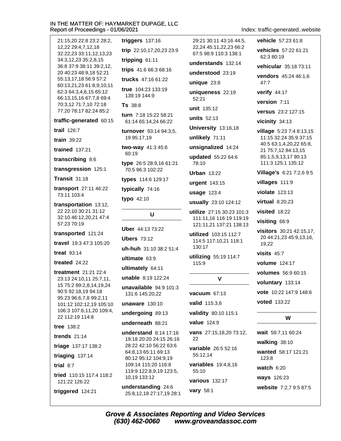| 21:15,20 22:8 23:2 28:2,                                                      | triggers $137:16$                     |
|-------------------------------------------------------------------------------|---------------------------------------|
| 12,22 29:4,7,12,18<br>32:22,23 33:11,12,13,23                                 | trip 22:10,17,20,                     |
| 34:3,12,23 35:2,8,15                                                          | tripping 61:11                        |
| 36:8 37:9 38:11 39:2,12,<br>20 40:23 48:9,18 52:21                            | trips 41:6 66:3 6                     |
| 55:13,17,18 56:9 57:2                                                         | trucks 47:16 61:                      |
| 60:13,21,23 61:8,9,10,11<br>62:3 64:3,4,6,15 65:12<br>66:13,15,16 67:7,8 69:4 | true 104:23 133:<br>139:19 144:9      |
| 70:3,12 71:7,10 72:18<br>77:20 78:17 82:24 85:2                               | Ts 38:8<br>turn 7:18 15:22 5          |
| traffic-generated 60:15                                                       | 61:14 65:14,24 6                      |
| trail 126:7                                                                   | turnover 93:14                        |
| train 39:22                                                                   | 19 95:17,19                           |
| trained 137:21                                                                | two-way 41:34<br>60:19                |
| transcribing 8:6                                                              | type 26:5 28:9,1                      |
| transgression 125:1                                                           | 70:5 96:3 102:22                      |
| Transit 31:18                                                                 | types 114:6 129                       |
| transport 27:11 46:22                                                         | typically 74:16                       |
| 73:11 103:4                                                                   | typo 42:10                            |
| transportation 13:12,<br>22 22:10 30:21 31:12<br>32:10 46:12,20,21 47:4       | U                                     |
| 57:23 70:19                                                                   |                                       |
| transported 121:24                                                            | Uber 44:13 73:2                       |
| travel 19:3 47:3 105:20                                                       | <b>Ubers 73:12</b><br>uh-huh 31:10 38 |
| treat $93:14$                                                                 | ultimate 63:9                         |
| treated $24:22$                                                               |                                       |
| <b>treatment</b> 21:21 22:4                                                   | ultimately 64:1<br>unable 8:19 122    |
| 23:13 24:10,11 25:7,11,<br>15 75:2 89:2,8,14,19,24                            | unavailable 94:                       |
| 90:5 92:18,19 94:18                                                           | 131:6 145:20,22                       |
| 95:23 96:6,7,8 99:2,11<br>101:12 102:12,19 105:10                             | unaware 130:10                        |
| 106:3 107:6,11,20 109:4,<br>22 112:19 114:8                                   | undergoing 89:                        |
| <b>tree</b> 138:2                                                             | underneath 88:                        |
| trends $21:14$                                                                | understand 8:1                        |
| triage 137:17 138:2                                                           | 19:18 20:20 24:1<br>28:22 42:10 56:2  |
| triaging 137:14                                                               | 64:8,13 65:11 69<br>80:12 95:12 104   |
| trial 8:7                                                                     | 109:14 115:20 1                       |
| tried 110:15 117:4 118:2<br>121:22 126:22                                     | 119:9 122:8,9,19<br>10,19 133:12      |
|                                                                               |                                       |

23 23:9  $8:16$  $22$ 19 52:21 unit 135:12 58:21 units  $52.13$ 36:22  $94:3,5,$  $5:6$ 78:10 6 61:21 2  $:17$  $\overline{2}$ 130:17 8:2 51:4 115:9 1  $24$ :9 101:3  $\mathbf{r}$ :13 **value** 124:9  $:21$ 4 17:16 22 5 26:16 22 63:6  $9:13$ 55:12,14  $:9,19$  $16:8$  $9123:5,$ 55:10  $24:6$ vary 58:1 7,19 28:1

Index: traffic-generated..website

vehicle 57:23 61:8 29:21 30:11 43:16 44:5. 22.24 45:11.22.23 66:2 67:5 98:9 110:3 138:1 understands 132:14 understood 23:19 unique  $23:8$ uniqueness 22:19 University 13:16,18 unlikely 71:11 unsignalized 14:24 updated 55:22 64:6 **Urban 13:22** urgent 143:15 **usage 123:4** usually 23:10 124:12 utilize 27:15 30:23 101:3 111:11,16 116:19 119:19 121:11,21 137:21 138:13 utilized 103:15 112:7 114:5 117:10,21 118:1 utilizing 55:19 114:7  $\mathbf v$ **vacuum 67:13** valid 115:3,6 validity 80:10 115:1 vans 27:15,18,20 73:12, variable 26:5 52:16 variables 19:4,8,16 various 132:17 website 7:2,7 9:5 87:5

vehicles 57:22 61:21 62:3 80:19 vehicular 35:18 73:11 vendors 45:24 46:1,6  $47:7$ verify 44:17 version 7:11 versus 23:2 127:15 vicinity 34:13 village 5:23 7:4 8:13,15 11:15 32:24 35:9 37:15 40:5 63:1,4,20,22 65:8, 21 75:7,12 84:13,15 85:1,5,9,13,17 90:13 111:3 125:1 135:12 Village's 6:21 7:2,6 9:5 villages 111:9 violate 123:13 virtual 8:20,23 visited 18:22 visiting 68:9 visitors 30:21 42:15,17, 20 44:21,23 45:9,13,16, 19,22 visits  $45:7$ **volume** 124:17 volumes 56:9 60:15 voluntary 133:14 vote 10:22 147:9 148:6 **voted** 133:22

#### W

wait 59:7,11 60:24 walking 38:10 wanted 58:17 121:21 123:8 watch 6:20 ways 126:23